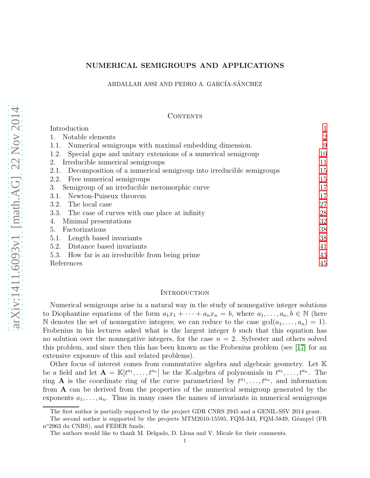### NUMERICAL SEMIGROUPS AND APPLICATIONS

### ABDALLAH ASSI AND PEDRO A. GARCÍA-SÁNCHEZ

### CONTENTS

| Introduction                                                               | $\mathbf{1}$   |
|----------------------------------------------------------------------------|----------------|
| Notable elements                                                           | $\overline{2}$ |
| 1.1. Numerical semigroups with maximal embedding dimension.                | 9              |
| 1.2. Special gaps and unitary extensions of a numerical semigroup          | 10             |
| Irreducible numerical semigroups<br>2.                                     | 11             |
| Decomposition of a numerical semigroup into irreducible semigroups<br>2.1. | 15             |
| 2.2. Free numerical semigroups                                             | 15             |
| Semigroup of an irreducible meromorphic curve<br>3.                        | 17             |
| 3.1. Newton-Puiseux theorem                                                | 17             |
| 3.2. The local case                                                        | 27             |
| 3.3. The case of curves with one place at infinity                         | 28             |
| Minimal presentations<br>4.                                                | 32             |
| Factorizations<br>5.                                                       | 38             |
| 5.1. Length based invariants                                               | 38             |
| 5.2. Distance based invariants                                             | 41             |
| 5.3. How far is an irreducible from being prime                            | 43             |
| References                                                                 | 45             |
|                                                                            |                |

### <span id="page-0-0"></span>**INTRODUCTION**

Numerical semigroups arise in a natural way in the study of nonnegative integer solutions to Diophantine equations of the form  $a_1x_1 + \cdots + a_nx_n = b$ , where  $a_1, \ldots, a_n, b \in \mathbb{N}$  (here N denotes the set of nonnegative integers; we can reduce to the case  $gcd(a_1, \ldots, a_n) = 1$ . Frobenius in his lectures asked what is the largest integer b such that this equation has no solution over the nonnegative integers, for the case  $n = 2$ . Sylvester and others solved this problem, and since then this has been known as the Frobenius problem (see [\[17\]](#page-45-0) for an extensive exposure of this and related problems).

Other focus of interest comes from commutative algebra and algebraic geometry. Let K be a field and let  $\mathbf{A} = \mathbb{K}[t^{a_1}, \ldots, t^{a_n}]$  be the K-algebra of polynomials in  $t^{a_1}, \ldots, t^{a_n}$ . The ring **A** is the coordinate ring of the curve parametrized by  $t^{a_1}, \ldots, t^{a_n}$ , and information from A can be derived from the properties of the numerical semigroup generated by the exponents  $a_1, \ldots, a_n$ . Thus in many cases the names of invariants in numerical semigroups

The first author is partially supported by the project GDR CNRS 2945 and a GENIL-SSV 2014 grant.

The second author is supported by the projects MTM2010-15595, FQM-343, FQM-5849, Géanpyl (FR n <sup>o</sup>2963 du CNRS), and FEDER funds.

The authors would like to thank M. Delgado, D. Llena and V. Micale for their comments.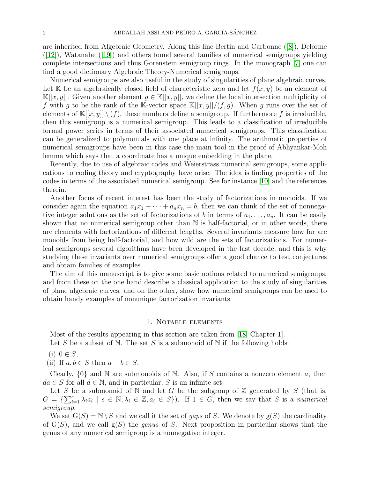are inherited from Algebraic Geometry. Along this line Bertin and Carbonne([\[8\]](#page-45-1)), Delorme  $([12])$  $([12])$  $([12])$ ,Watanabe  $([19])$  $([19])$  $([19])$  and others found several families of numerical semigroups yielding complete intersections and thus Gorenstein semigroup rings. In the monograph [\[7\]](#page-45-4) one can find a good dictionary Algebraic Theory-Numerical semigroups.

Numerical semigroups are also useful in the study of singularities of plane algebraic curves. Let K be an algebraically closed field of characteristic zero and let  $f(x, y)$  be an element of K[[x, y]]. Given another element  $g \in K[[x, y]]$ , we define the local intersection multiplicity of f with g to be the rank of the K-vector space  $\mathbb{K}[[x,y]]/(f,g)$ . When g runs over the set of elements of  $\mathbb{K}[[x,y]] \setminus (f)$ , these numbers define a semigroup. If furthermore f is irreducible, then this semigroup is a numerical semigroup. This leads to a classification of irreducible formal power series in terms of their associated numerical semigroups. This classification can be generalized to polynomials with one place at infinity. The arithmetic properties of numerical semigroups have been in this case the main tool in the proof of Abhyankar-Moh lemma which says that a coordinate has a unique embedding in the plane.

Recently, due to use of algebraic codes and Weierstrass numerical semigroups, some applications to coding theory and cryptography have arise. The idea is finding properties of the codes in terms of the associated numerical semigroup. See for instance [\[10\]](#page-45-5) and the references therein.

Another focus of recent interest has been the study of factorizations in monoids. If we consider again the equation  $a_1x_1 + \cdots + a_nx_n = b$ , then we can think of the set of nonnegative integer solutions as the set of factorizations of b in terms of  $a_1, \ldots, a_n$ . It can be easily shown that no numerical semigroup other than  $\mathbb N$  is half-factorial, or in other words, there are elements with factorizations of different lengths. Several invariants measure how far are monoids from being half-factorial, and how wild are the sets of factorizations. For numerical semigroups several algorithms have been developed in the last decade, and this is why studying these invariants over numerical semigroups offer a good chance to test conjectures and obtain families of examples.

The aim of this manuscript is to give some basic notions related to numerical semigroups, and from these on the one hand describe a classical application to the study of singularities of plane algebraic curves, and on the other, show how numerical semigroups can be used to obtain handy examples of nonunique factorization invariants.

### 1. Notable elements

<span id="page-1-0"></span>Most of the results appearing in this section are taken from [\[18,](#page-45-6) Chapter 1].

Let S be a subset of N. The set S is a submonoid of N if the following holds:

 $(i)$   $0 \in S$ ,

(ii) If  $a, b \in S$  then  $a + b \in S$ .

Clearly,  $\{0\}$  and N are submonoids of N. Also, if S contains a nonzero element a, then  $da \in S$  for all  $d \in \mathbb{N}$ , and in particular, S is an infinite set.

Let S be a submonoid of N and let G be the subgroup of  $\mathbb Z$  generated by S (that is,  $G = \{\sum_{i=1}^s \lambda_i a_i \mid s \in \mathbb{N}, \lambda_i \in \mathbb{Z}, a_i \in S\}$ . If  $1 \in G$ , then we say that S is a numerical semigroup.

We set  $G(S) = N \setminus S$  and we call it the set of *qaps* of S. We denote by  $g(S)$  the cardinality of  $G(S)$ , and we call  $g(S)$  the *genus* of S. Next proposition in particular shows that the genus of any numerical semigroup is a nonnegative integer.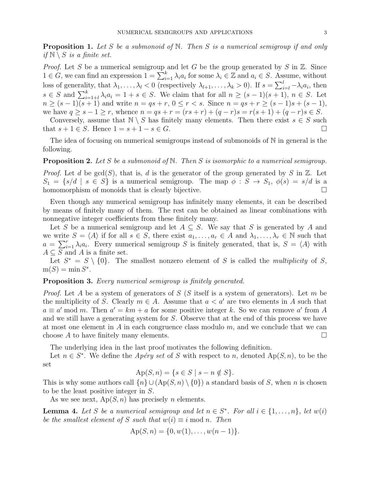**Proposition 1.** Let S be a submonoid of N. Then S is a numerical semigroup if and only if  $\mathbb{N} \setminus S$  is a finite set.

*Proof.* Let S be a numerical semigroup and let G be the group generated by S in  $\mathbb{Z}$ . Since  $1 \in G$ , we can find an expression  $1 = \sum_{i=1}^{k} \lambda_i a_i$  for some  $\lambda_i \in \mathbb{Z}$  and  $a_i \in S$ . Assume, without loss of generality, that  $\lambda_1, \ldots, \lambda_l < 0$  (respectively  $\lambda_{l+1}, \ldots, \lambda_k > 0$ ). If  $s = \sum_{i=l}^{l} -\lambda_i a_i$ , then  $s \in S$  and  $\sum_{i=1+l}^{k} \lambda_i a_i = 1 + s \in S$ . We claim that for all  $n \geq (s-1)(s+1)$ ,  $n \in S$ . Let  $n \ge (s-1)(s+1)$  and write  $n = qs + r, 0 \le r < s$ . Since  $n = qs + r \ge (s-1)s + (s-1)$ , we have  $q \ge s - 1 \ge r$ , whence  $n = qs + r = (rs + r) + (q - r)s = r(s + 1) + (q - r)s \in S$ .

Conversely, assume that  $\mathbb{N} \setminus S$  has finitely many elements. Then there exist  $s \in S$  such that  $s + 1 \in S$ . Hence  $1 = s + 1 - s \in G$ .

The idea of focusing on numerical semigroups instead of submonoids of N in general is the following.

**Proposition 2.** Let S be a submonoid of N. Then S is isomorphic to a numerical semigroup.

*Proof.* Let d be  $gcd(S)$ , that is, d is the generator of the group generated by S in Z. Let  $S_1 = \{s/d \mid s \in S\}$  is a numerical semigroup. The map  $\phi : S \to S_1$ ,  $\phi(s) = s/d$  is a homomorphism of monoids that is clearly bijective.

Even though any numerical semigroup has infinitely many elements, it can be described by means of finitely many of them. The rest can be obtained as linear combinations with nonnegative integer coefficients from these finitely many.

Let S be a numerical semigroup and let  $A \subseteq S$ . We say that S is generated by A and we write  $S = \langle A \rangle$  if for all  $s \in S$ , there exist  $a_1, \ldots, a_r \in A$  and  $\lambda_1, \ldots, \lambda_r \in \mathbb{N}$  such that  $a = \sum_{i=1}^r \lambda_i a_i$ . Every numerical semigroup S is finitely generated, that is,  $S = \langle A \rangle$  with  $A \subseteq S$  and A is a finite set.

Let  $S^* = S \setminus \{0\}$ . The smallest nonzero element of S is called the *multiplicity* of S,  $m(S) = \min S^*$ .

<span id="page-2-0"></span>Proposition 3. Every numerical semigroup is finitely generated.

*Proof.* Let A be a system of generators of S (S itself is a system of generators). Let m be the multiplicity of S. Clearly  $m \in A$ . Assume that  $a < a'$  are two elements in A such that  $a \equiv a' \mod m$ . Then  $a' = km + a$  for some positive integer k. So we can remove a' from A and we still have a generating system for S. Observe that at the end of this process we have at most one element in A in each congruence class modulo  $m$ , and we conclude that we can choose A to have finitely many elements.  $\square$ 

The underlying idea in the last proof motivates the following definition.

Let  $n \in S^*$ . We define the *Apéry set* of S with respect to n, denoted  $Ap(S, n)$ , to be the set

$$
Ap(S, n) = \{ s \in S \mid s - n \notin S \}.
$$

This is why some authors call  $\{n\} \cup (\mathrm{Ap}(S,n) \setminus \{0\})$  a standard basis of S, when n is chosen to be the least positive integer in S.

As we see next,  $Ap(S, n)$  has precisely *n* elements.

**Lemma 4.** Let S be a numerical semigroup and let  $n \in S^*$ . For all  $i \in \{1, ..., n\}$ , let  $w(i)$ be the smallest element of S such that  $w(i) \equiv i \mod n$ . Then

$$
Ap(S, n) = \{0, w(1), \ldots, w(n-1)\}.
$$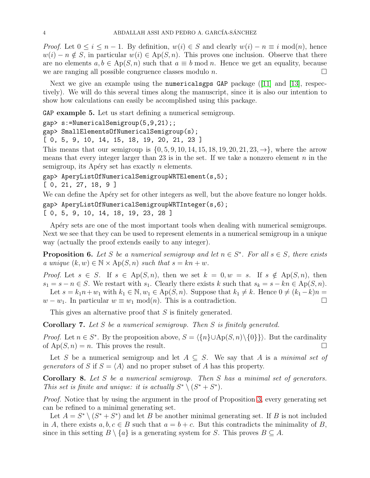*Proof.* Let  $0 \le i \le n-1$ . By definition,  $w(i) \in S$  and clearly  $w(i) - n \equiv i \mod(n)$ , hence  $w(i) - n \notin S$ , in particular  $w(i) \in Ap(S, n)$ . This proves one inclusion. Observe that there are no elements  $a, b \in Ap(S, n)$  such that  $a \equiv b \mod n$ . Hence we get an equality, because we are ranging all possible congruence classes modulo *n*.

Nextwe give an example using the numericalsgps GAP package ([\[11\]](#page-45-7) and [\[13\]](#page-45-8), respectively). We will do this several times along the manuscript, since it is also our intention to show how calculations can easily be accomplished using this package.

GAP example 5. Let us start defining a numerical semigroup.

```
gap> s:=NumericalSemigroup(5,9,21);;
```

```
gap> SmallElementsOfNumericalSemigroup(s);
```

```
[ 0, 5, 9, 10, 14, 15, 18, 19, 20, 21, 23 ]
```
This means that our semigroup is  $\{0, 5, 9, 10, 14, 15, 18, 19, 20, 21, 23, \rightarrow\}$ , where the arrow means that every integer larger than 23 is in the set. If we take a nonzero element  $n$  in the semigroup, its Apéry set has exactly  $n$  elements.

```
gap> AperyListOfNumericalSemigroupWRTElement(s,5);
```

```
[ 0, 21, 27, 18, 9 ]
```
We can define the Apery set for other integers as well, but the above feature no longer holds.

```
gap> AperyListOfNumericalSemigroupWRTInteger(s,6);
[ 0, 5, 9, 10, 14, 18, 19, 23, 28 ]
```
Apéry sets are one of the most important tools when dealing with numerical semigroups. Next we see that they can be used to represent elements in a numerical semigroup in a unique way (actually the proof extends easily to any integer).

<span id="page-3-1"></span>**Proposition 6.** Let S be a numerical semigroup and let  $n \in S^*$ . For all  $s \in S$ , there exists a unique  $(k, w) \in \mathbb{N} \times \mathrm{Ap}(S, n)$  such that  $s = kn + w$ .

*Proof.* Let  $s \in S$ . If  $s \in Ap(S,n)$ , then we set  $k = 0, w = s$ . If  $s \notin Ap(S,n)$ , then  $s_1 = s - n \in S$ . We restart with  $s_1$ . Clearly there exists k such that  $s_k = s - kn \in Ap(S, n)$ . Let  $s = k_1 n + w_1$  with  $k_1 \in \mathbb{N}$ ,  $w_1 \in Ap(S, n)$ . Suppose that  $k_1 \neq k$ . Hence  $0 \neq (k_1 - k)n$  $w - w_1$ . In particular  $w \equiv w_1 \mod(n)$ . This is a contradiction.

This gives an alternative proof that S is finitely generated.

<span id="page-3-0"></span>Corollary 7. Let S be a numerical semigroup. Then S is finitely generated.

*Proof.* Let  $n \in S^*$ . By the proposition above,  $S = \langle \{n\} \cup \mathrm{Ap}(S, n) \setminus \{0\} \rangle$ . But the cardinality of  $Ap(S, n) = n$ . This proves the result.

Let S be a numerical semigroup and let  $A \subseteq S$ . We say that A is a minimal set of generators of S if  $S = \langle A \rangle$  and no proper subset of A has this property.

Corollary 8. Let S be a numerical semigroup. Then S has a minimal set of generators. This set is finite and unique: it is actually  $S^* \setminus (S^* + S^*)$ .

Proof. Notice that by using the argument in the proof of Proposition [3,](#page-2-0) every generating set can be refined to a minimal generating set.

Let  $A = S^* \setminus (S^* + S^*)$  and let B be another minimal generating set. If B is not included in A, there exists  $a, b, c \in B$  such that  $a = b + c$ . But this contradicts the minimality of B, since in this setting  $B \setminus \{a\}$  is a generating system for S. This proves  $B \subset A$ .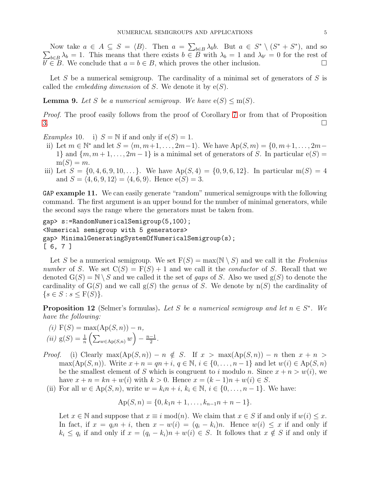Now take  $a \in A \subseteq S = \langle B \rangle$ . Then  $a = \sum_{b \in B} \lambda_b b$ . But  $a \in S^* \setminus (S^* + S^*)$ , and so  $\sum_{b\in B}\lambda_b=1$ . This means that there exists  $b\in B$  with  $\lambda_b=1$  and  $\lambda_{b'}=0$  for the rest of  $b \in B$ . We conclude that  $a = b \in B$ , which proves the other inclusion.

Let S be a numerical semigroup. The cardinality of a minimal set of generators of S is called the *embedding dimension* of S. We denote it by  $e(S)$ .

**Lemma 9.** Let S be a numerical semigroup. We have  $e(S) \leq m(S)$ .

Proof. The proof easily follows from the proof of Corollary [7](#page-3-0) or from that of Proposition  $3.$ 

Examples 10. i)  $S = N$  if and only if  $e(S) = 1$ .

- ii) Let  $m \in \mathbb{N}^*$  and let  $S = \langle m, m+1, \ldots, 2m-1 \rangle$ . We have  $Ap(S, m) = \{0, m+1, \ldots, 2m-1\}$ 1} and  $\{m, m+1, \ldots, 2m-1\}$  is a minimal set of generators of S. In particular  $e(S)$  =  $m(S) = m$ .
- iii) Let  $S = \{0, 4, 6, 9, 10, \ldots\}$ . We have  $Ap(S, 4) = \{0, 9, 6, 12\}$ . In particular  $m(S) = 4$ and  $S = \langle 4, 6, 9, 12 \rangle = \langle 4, 6, 9 \rangle$ . Hence  $e(S) = 3$ .

GAP example 11. We can easily generate "random" numerical semigroups with the following command. The first argument is an upper bound for the number of minimal generators, while the second says the range where the generators must be taken from.

```
gap> s:=RandomNumericalSemigroup(5,100);
<Numerical semigroup with 5 generators>
gap> MinimalGeneratingSystemOfNumericalSemigroup(s);
[ 6, 7 ]
```
Let S be a numerical semigroup. We set  $F(S) = max(N \setminus S)$  and we call it the Frobenius number of S. We set  $C(S) = F(S) + 1$  and we call it the *conductor* of S. Recall that we denoted  $G(S) = N \setminus S$  and we called it the set of gaps of S. Also we used  $g(S)$  to denote the cardinality of  $G(S)$  and we call  $g(S)$  the genus of S. We denote by  $n(S)$  the cardinality of  $\{s \in S : s \leq F(S)\}.$ 

<span id="page-4-0"></span>**Proposition 12** (Selmer's formulas). Let S be a numerical semigroup and let  $n \in S^*$ . We have the following:

(i) 
$$
F(S) = max(Ap(S, n)) - n
$$
,  
(ii)  $g(S) = \frac{1}{n} \left( \sum_{w \in Ap(S,n)} w \right) - \frac{n-1}{2}$ .

- *Proof.* (i) Clearly  $\max(Ap(S,n)) n \notin S$ . If  $x > \max(Ap(S,n)) n$  then  $x + n >$ max(Ap(S, n)). Write  $x + n = qn + i$ ,  $q \in \mathbb{N}$ ,  $i \in \{0, ..., n-1\}$  and let  $w(i) \in Ap(S, n)$ be the smallest element of S which is congruent to i modulo n. Since  $x + n > w(i)$ , we have  $x + n = kn + w(i)$  with  $k > 0$ . Hence  $x = (k-1)n + w(i) \in S$ .
	- (ii) For all  $w \in \mathrm{Ap}(S, n)$ , write  $w = k_i n + i, k_i \in \mathbb{N}, i \in \{0, \ldots, n-1\}$ . We have:

$$
Ap(S, n) = \{0, k_1n + 1, \ldots, k_{n-1}n + n - 1\}.
$$

Let  $x \in \mathbb{N}$  and suppose that  $x \equiv i \mod(n)$ . We claim that  $x \in S$  if and only if  $w(i) \leq x$ . In fact, if  $x = q_i n + i$ , then  $x - w(i) = (q_i - k_i)n$ . Hence  $w(i) \leq x$  if and only if  $k_i \leq q_i$  if and only if  $x = (q_i - k_i)n + w(i) \in S$ . It follows that  $x \notin S$  if and only if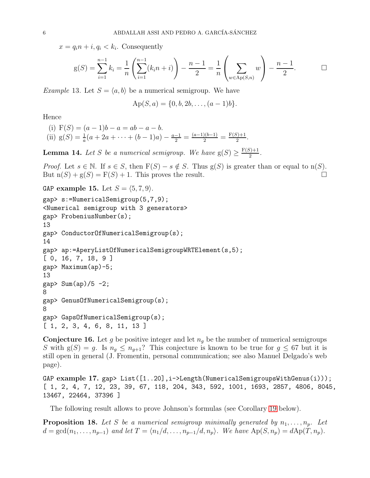$x = q_i n + i, q_i < k_i$ . Consequently

$$
g(S) = \sum_{i=1}^{n-1} k_i = \frac{1}{n} \left( \sum_{i=1}^{n-1} (k_i n + i) \right) - \frac{n-1}{2} = \frac{1}{n} \left( \sum_{w \in Ap(S,n)} w \right) - \frac{n-1}{2}.
$$

*Example* 13. Let  $S = \langle a, b \rangle$  be a numerical semigroup. We have

$$
Ap(S, a) = \{0, b, 2b, \ldots, (a-1)b\}.
$$

Hence

(i) 
$$
F(S) = (a - 1)b - a = ab - a - b
$$
.  
\n(ii)  $g(S) = \frac{1}{a}(a + 2a + \dots + (b - 1)a) - \frac{a-1}{2} = \frac{(a-1)(b-1)}{2} = \frac{F(S)+1}{2}$ .

**Lemma 14.** Let S be a numerical semigroup. We have  $g(S) \geq \frac{F(S)+1}{2}$  $\frac{2^{j+1}}{2}$ .

*Proof.* Let  $s \in \mathbb{N}$ . If  $s \in S$ , then  $F(S) - s \notin S$ . Thus  $g(S)$  is greater than or equal to  $n(S)$ . But  $n(S) + g(S) = F(S) + 1$ . This proves the result.

GAP example 15. Let  $S = \langle 5, 7, 9 \rangle$ .

```
gap> s:=NumericalSemigroup(5,7,9);
<Numerical semigroup with 3 generators>
gap> FrobeniusNumber(s);
13
gap> ConductorOfNumericalSemigroup(s);
14
gap> ap:=AperyListOfNumericalSemigroupWRTElement(s,5);
[ 0, 16, 7, 18, 9 ]
gap> Maximum(ap)-5;
13
gap> Sum(ap)/5 -2;8
gap> GenusOfNumericalSemigroup(s);
8
gap> GapsOfNumericalSemigroup(s);
[ 1, 2, 3, 4, 6, 8, 11, 13 ]
```
**Conjecture 16.** Let g be positive integer and let  $n_q$  be the number of numerical semigroups S with  $g(S) = g$ . Is  $n_g \leq n_{g+1}$ ? This conjecture is known to be true for  $g \leq 67$  but it is still open in general (J. Fromentin, personal communication; see also Manuel Delgado's web page).

GAP example 17. gap> List( $[1..20]$ , i->Length(NumericalSemigroupsWithGenus(i))); [ 1, 2, 4, 7, 12, 23, 39, 67, 118, 204, 343, 592, 1001, 1693, 2857, 4806, 8045, 13467, 22464, 37396 ]

The following result allows to prove Johnson's formulas (see Corollary [19](#page-6-0) below).

**Proposition 18.** Let S be a numerical semigroup minimally generated by  $n_1, \ldots, n_p$ . Let  $d = \gcd(n_1, \ldots, n_{p-1})$  and let  $T = \langle n_1/d, \ldots, n_{p-1}/d, n_p \rangle$ . We have  $Ap(S, n_p) = dAp(T, n_p)$ .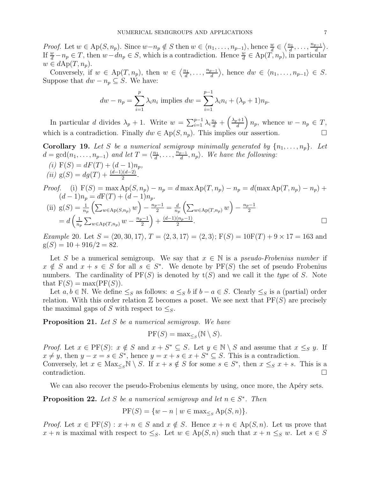*Proof.* Let  $w \in Ap(S, n_p)$ . Since  $w - n_p \notin S$  then  $w \in \langle n_1, \ldots, n_{p-1} \rangle$ , hence  $\frac{w}{d} \in \langle \frac{n_1}{d} \rangle$  $\frac{n_1}{d}, \ldots, \frac{n_{p-1}}{d}$  $\frac{1}{d}$ . If  $\frac{w}{d} - n_p \in T$ , then  $w - dn_p \in S$ , which is a contradiction. Hence  $\frac{w}{d} \in Ap(T, n_p)$ , in particular  $w \in dAp(T, n_p).$ 

Conversely, if  $w \in Ap(T, n_p)$ , then  $w \in \left\langle \frac{n_1}{d}\right\rangle$  $\frac{a_1}{d}, \ldots, \frac{n_{p-1}}{d}$  $\langle u_n^{\frac{p-1}{d}} \rangle$ , hence  $dw \in \langle n_1, \ldots, n_{p-1} \rangle \in S$ . Suppose that  $dw - n_p \subseteq S$ . We have:

$$
dw - n_p = \sum_{i=1}^p \lambda_i n_i
$$
 implies 
$$
dw = \sum_{i=1}^{p-1} \lambda_i n_i + (\lambda_p + 1)n_p.
$$

In particular d divides  $\lambda_p + 1$ . Write  $w = \sum_{i=1}^{p-1} \lambda_i \frac{n_i}{d} + \left(\frac{\lambda_p + 1}{d}\right)$  $\left(\frac{n+1}{d}\right)n_p$ , whence  $w - n_p \in T$ , which is a contradiction. Finally  $dw \in Ap(S, n_p)$ . This implies our assertion.

<span id="page-6-0"></span>**Corollary 19.** Let S be a numerical semigroup minimally generated by  $\{n_1, \ldots, n_p\}$ . Let  $d = \gcd(n_1, \ldots, n_{p-1})$  and let  $T = \langle \frac{n_1}{d} \rangle$  $\frac{n_1}{d}, \ldots, \frac{n_{p-1}}{d}$  $\langle \frac{d^{n-1}}{d}, n_p \rangle$ . We have the following:

(i) 
$$
F(S) = dF(T) + (d-1)n_p,
$$
  
(ii)  $g(S) = dg(T) + \frac{(d-1)(d-2)}{2}.$ 

Proof. (i)  $F(S) = \max Ap(S, n_p) - n_p = d \max Ap(T, n_p) - n_p = d(\max Ap(T, n_p) - n_p) +$  $(d-1)n_p = dF(T) + (d-1)n_p$ .

(ii) 
$$
g(S) = \frac{1}{n_p} \left( \sum_{w \in Ap(S, n_p)} w \right) - \frac{n_p - 1}{2} = \frac{d}{n_p} \left( \sum_{w \in Ap(T, n_p)} w \right) - \frac{n_p - 1}{2}
$$
  
=  $d \left( \frac{1}{n_p} \sum_{w \in Ap(T, n_p)} w - \frac{n_p - 1}{2} \right) + \frac{(d - 1)(n_p - 1)}{2}$ .

*Example* 20. Let  $S = \langle 20, 30, 17 \rangle$ ,  $T = \langle 2, 3, 17 \rangle = \langle 2, 3 \rangle$ ;  $F(S) = 10F(T) + 9 \times 17 = 163$  and  $g(S) = 10 + 916/2 = 82.$ 

Let S be a numerical semigroup. We say that  $x \in \mathbb{N}$  is a *pseudo-Frobenius number* if  $x \notin S$  and  $x + s \in S$  for all  $s \in S^*$ . We denote by  $PF(S)$  the set of pseudo Frobenius numbers. The cardinality of  $PF(S)$  is denoted by  $t(S)$  and we call it the type of S. Note that  $F(S) = max(PF(S)).$ 

Let  $a, b \in \mathbb{N}$ . We define  $\leq_S$  as follows:  $a \leq_S b$  if  $b - a \in S$ . Clearly  $\leq_S$  is a (partial) order relation. With this order relation  $\mathbb Z$  becomes a poset. We see next that  $PF(S)$  are precisely the maximal gaps of S with respect to  $\leq_S$ .

<span id="page-6-2"></span>**Proposition 21.** Let  $S$  be a numerical semigroup. We have

$$
\mathrm{PF}(S) = \max_{\leq_S} (\mathbb{N} \setminus S).
$$

*Proof.* Let  $x \in \text{PF}(S)$ :  $x \notin S$  and  $x + S^* \subseteq S$ . Let  $y \in \mathbb{N} \setminus S$  and assume that  $x \leq_S y$ . If  $x \neq y$ , then  $y - x = s \in S^*$ , hence  $y = x + s \in x + S^* \subseteq S$ . This is a contradiction. Conversely, let  $x \in \text{Max}_{\leq s} \mathbb{N} \setminus S$ . If  $x + s \notin S$  for some  $s \in S^*$ , then  $x \leq_S x + s$ . This is a  $\Box$ 

We can also recover the pseudo-Frobenius elements by using, once more, the Apéry sets.

<span id="page-6-1"></span>**Proposition 22.** Let S be a numerical semigroup and let  $n \in S^*$ . Then

$$
PF(S) = \{w - n \mid w \in \max_{\leq_S} Ap(S, n)\}.
$$

*Proof.* Let  $x \in PF(S) : x + n \in S$  and  $x \notin S$ . Hence  $x + n \in Ap(S, n)$ . Let us prove that  $x + n$  is maximal with respect to  $\leq_S$ . Let  $w \in \mathrm{Ap}(S,n)$  such that  $x + n \leq_S w$ . Let  $s \in S$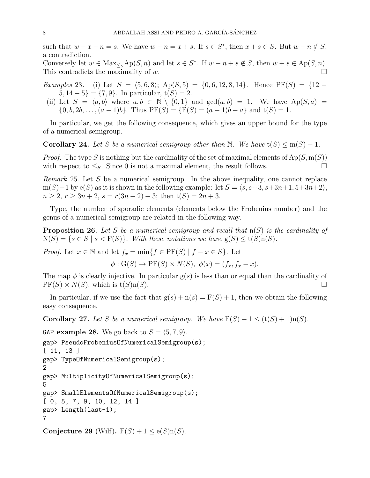such that  $w - x - n = s$ . We have  $w - n = x + s$ . If  $s \in S^*$ , then  $x + s \in S$ . But  $w - n \notin S$ , a contradiction.

Conversely let  $w \in \text{Max}_{\leq s} \text{Ap}(S, n)$  and let  $s \in S^*$ . If  $w - n + s \notin S$ , then  $w + s \in \text{Ap}(S, n)$ . This contradicts the maximality of w.

Examples 23. (i) Let  $S = \langle 5, 6, 8 \rangle$ ; Ap(S, 5) = {0, 6, 12, 8, 14}. Hence PF(S) = {12 −  $5, 14-5$ } = {7,9}. In particular,  $t(S) = 2$ .

(ii) Let  $S = \langle a, b \rangle$  where  $a, b \in \mathbb{N} \setminus \{0, 1\}$  and  $gcd(a, b) = 1$ . We have  $Ap(S, a)$  $\{0, b, 2b, \ldots, (a-1)b\}.$  Thus  $PF(S) = \{F(S) = (a-1)b - a\}$  and  $t(S) = 1$ .

In particular, we get the following consequence, which gives an upper bound for the type of a numerical semigroup.

**Corollary 24.** Let S be a numerical semigroup other than N. We have  $t(S) \le m(S) - 1$ .

*Proof.* The type S is nothing but the cardinality of the set of maximal elements of  $Ap(S, m(S))$ with respect to  $\leq_S$ . Since 0 is not a maximal element, the result follows.

Remark 25. Let S be a numerical semigroup. In the above inequality, one cannot replace m(S)−1 by e(S) as it is shown in the following example: let  $S = \langle s, s+3, s+3n+1, 5+3n+2 \rangle$ ,  $n \geq 2, r \geq 3n + 2, s = r(3n + 2) + 3$ ; then  $t(S) = 2n + 3$ .

Type, the number of sporadic elements (elements below the Frobenius number) and the genus of a numerical semigroup are related in the following way.

**Proposition 26.** Let S be a numerical semigroup and recall that  $n(S)$  is the cardinality of  $N(S) = \{s \in S \mid s < F(S)\}\$ . With these notations we have  $g(S) \leq t(S) n(S)$ .

*Proof.* Let  $x \in \mathbb{N}$  and let  $f_x = \min\{f \in \text{PF}(S) \mid f - x \in S\}$ . Let

 $\phi: G(S) \to PF(S) \times N(S), \ \phi(x) = (f_x, f_x - x).$ 

The map  $\phi$  is clearly injective. In particular  $g(s)$  is less than or equal than the cardinality of  $PF(S) \times N(S)$ , which is  $t(S)n(S)$ .

In particular, if we use the fact that  $g(s) + n(s) = F(S) + 1$ , then we obtain the following easy consequence.

**Corollary 27.** Let S be a numerical semigroup. We have  $F(S) + 1 \leq (t(S) + 1)\text{n}(S)$ .

```
GAP example 28. We go back to S = \langle 5, 7, 9 \rangle.
gap> PseudoFrobeniusOfNumericalSemigroup(s);
[ 11, 13 ]
gap> TypeOfNumericalSemigroup(s);
2
gap> MultiplicityOfNumericalSemigroup(s);
5
gap> SmallElementsOfNumericalSemigroup(s);
[ 0, 5, 7, 9, 10, 12, 14 ]
gap> Length(last-1);
7
```
Conjecture 29 (Wilf).  $F(S) + 1 \leq e(S) n(S)$ .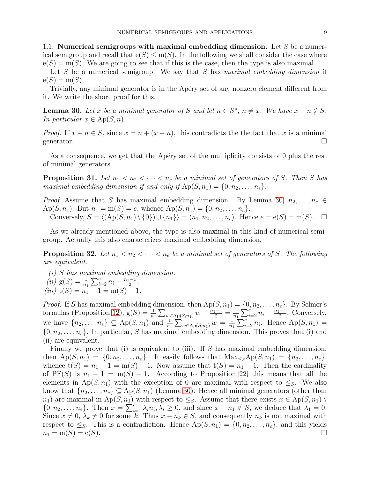<span id="page-8-0"></span>1.1. Numerical semigroups with maximal embedding dimension. Let  $S$  be a numerical semigroup and recall that  $e(S) \leq m(S)$ . In the following we shall consider the case where  $e(S) = m(S)$ . We are going to see that if this is the case, then the type is also maximal.

Let S be a numerical semigroup. We say that S has maximal embedding dimension if  $e(S) = m(S)$ .

Trivially, any minimal generator is in the Apéry set of any nonzero element different from it. We write the short proof for this.

<span id="page-8-1"></span>**Lemma 30.** Let x be a minimal generator of S and let  $n \in S^*$ ,  $n \neq x$ . We have  $x - n \notin S$ . In particular  $x \in Ap(S, n)$ .

*Proof.* If  $x - n \in S$ , since  $x = n + (x - n)$ , this contradicts the the fact that x is a minimal generator.  $\Box$ 

As a consequence, we get that the Apéry set of the multiplicity consists of 0 plus the rest of minimal generators.

**Proposition 31.** Let  $n_1 < n_2 < \cdots < n_e$  be a minimal set of generators of S. Then S has maximal embedding dimension if and only if  $Ap(S, n_1) = \{0, n_2, \ldots, n_e\}.$ 

*Proof.* Assume that S has maximal embedding dimension. By Lemma [30,](#page-8-1)  $n_2, \ldots, n_e \in$ Ap(S, n<sub>1</sub>). But  $n_1 = m(S) = e$ , whence  $Ap(S, n_1) = \{0, n_2, \ldots, n_e\}.$ Conversely,  $S = \langle (Ap(S, n_1) \setminus \{0\}) \cup \{n_1\} \rangle = \langle n_1, n_2, \ldots, n_e \rangle$ . Hence  $e = e(S) = m(S)$ .  $\Box$ 

As we already mentioned above, the type is also maximal in this kind of numerical semigroup. Actually this also characterizes maximal embedding dimension.

**Proposition 32.** Let  $n_1 < n_2 < \cdots < n_e$  be a minimal set of generators of S. The following are equivalent.

(i) S has maximal embedding dimension.

(*ii*) 
$$
g(S) = \frac{1}{n_1} \sum_{i=2}^{e} n_i - \frac{n_1 - 1}{2}
$$
.

(iii)  $t(S) = n_1 - 1 = m(S) - 1$ .

*Proof.* If S has maximal embedding dimension, then  $Ap(S, n_1) = \{0, n_2, \ldots, n_e\}$ . By Selmer's formulas (Proposition [12\)](#page-4-0),  $g(S) = \frac{1}{n_1} \sum_{w \in Ap(S,n_1)} w - \frac{n_1-1}{2} = \frac{1}{n_1}$  $\frac{1}{n_1}\sum_{i=2}^{e} n_i - \frac{n_1-1}{2}$  $\frac{-1}{2}$ . Conversely, we have  $\{n_2,\ldots,n_e\} \subseteq \mathrm{Ap}(S,n_1)$  and  $\frac{1}{n_1} \sum_{w \in \mathrm{Ap}(S,n_1)} w = \frac{1}{n_1}$  $\frac{1}{n_1} \sum_{i=2}^{e} n_i$ . Hence  $Ap(S, n_1) =$  $\{0, n_2, \ldots, n_e\}$ . In particular, S has maximal embedding dimension. This proves that (i) and (ii) are equivalent.

Finally we prove that (i) is equivalent to (iii). If S has maximal embedding dimension, then  $Ap(S, n_1) = \{0, n_2, \ldots, n_e\}$ . It easily follows that  $Max_{\leq s}Ap(S, n_1) = \{n_2, \ldots, n_e\}$ , whence  $t(S) = n_1 - 1 = m(S) - 1$ . Now assume that  $t(S) = n_1 - 1$ . Then the cardinality of  $PF(S)$  is  $n_1 - 1 = m(S) - 1$ . According to Proposition [22,](#page-6-1) this means that all the elements in Ap(S, n<sub>1</sub>) with the exception of 0 are maximal with respect to  $\leq_S$ . We also know that  $\{n_2, \ldots, n_e\} \subseteq \mathrm{Ap}(S, n_1)$  (Lemma [30\)](#page-8-1). Hence all minimal generators (other than  $n_1$ ) are maximal in Ap(S,  $n_1$ ) with respect to  $\leq_S$ . Assume that there exists  $x \in Ap(S, n_1) \setminus$  $\{0, n_2, \ldots, n_e\}$ . Then  $x = \sum_{i=1}^e \lambda_i n_i, \lambda_i \geq 0$ , and since  $x - n_1 \notin S$ , we deduce that  $\lambda_1 = 0$ . Since  $x \neq 0$ ,  $\lambda_k \neq 0$  for some k. Thus  $x - n_k \in S$ , and consequently  $n_k$  is not maximal with respect to  $\leq_S$ . This is a contradiction. Hence  $Ap(S, n_1) = \{0, n_2, \ldots, n_e\}$ , and this yields  $n_1 = m(S) = e(S).$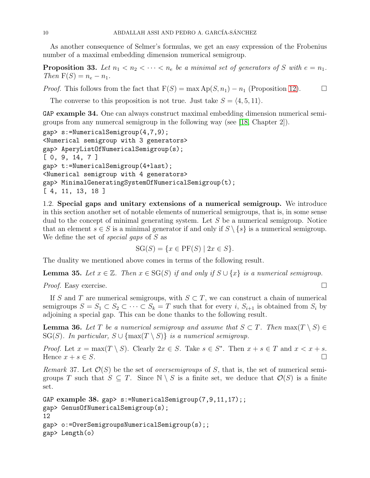As another consequence of Selmer's formulas, we get an easy expression of the Frobenius number of a maximal embedding dimension numerical semigroup.

**Proposition 33.** Let  $n_1 < n_2 < \cdots < n_e$  be a minimal set of generators of S with  $e = n_1$ . Then  $F(S) = n_e - n_1$ .

*Proof.* This follows from the fact that  $F(S) = \max Ap(S, n_1) - n_1$  (Proposition [12\)](#page-4-0).

The converse to this proposition is not true. Just take  $S = \langle 4, 5, 11 \rangle$ .

GAP example 34. One can always construct maximal embedding dimension numerical semigroups from any numercal semigroup in the following way (see [\[18,](#page-45-6) Chapter 2]).

```
gap> s:=NumericalSemigroup(4,7,9);
<Numerical semigroup with 3 generators>
gap> AperyListOfNumericalSemigroup(s);
[ 0, 9, 14, 7 ]
gap> t:=NumericalSemigroup(4+last);
<Numerical semigroup with 4 generators>
gap> MinimalGeneratingSystemOfNumericalSemigroup(t);
[ 4, 11, 13, 18 ]
```
<span id="page-9-0"></span>1.2. Special gaps and unitary extensions of a numerical semigroup. We introduce in this section another set of notable elements of numerical semigroups, that is, in some sense dual to the concept of minimal generating system. Let S be a numerical semigroup. Notice that an element  $s \in S$  is a minimal generator if and only if  $S \setminus \{s\}$  is a numerical semigroup. We define the set of *special gaps* of S as

$$
SG(S) = \{ x \in PF(S) \mid 2x \in S \}.
$$

The duality we mentioned above comes in terms of the following result.

<span id="page-9-2"></span>**Lemma 35.** Let  $x \in \mathbb{Z}$ . Then  $x \in SG(S)$  if and only if  $S \cup \{x\}$  is a numerical semigroup.

*Proof.* Easy exercise.  $\Box$ 

If S and T are numerical semigroups, with  $S \subset T$ , we can construct a chain of numerical semigroups  $S = S_1 \subset S_2 \subset \cdots \subset S_k = T$  such that for every i,  $S_{i+1}$  is obtained from  $S_i$  by adjoining a special gap. This can be done thanks to the following result.

<span id="page-9-1"></span>**Lemma 36.** Let T be a numerical semigroup and assume that  $S \subset T$ . Then  $\max(T \setminus S) \in$ SG(S). In particular,  $S \cup \{\max(T \setminus S)\}\$ is a numerical semigroup.

*Proof.* Let  $x = \max(T \setminus S)$ . Clearly  $2x \in S$ . Take  $s \in S^*$ . Then  $x + s \in T$  and  $x < x + s$ . Hence  $x + s \in S$ .

Remark 37. Let  $\mathcal{O}(S)$  be the set of *oversemigroups* of S, that is, the set of numerical semigroups T such that  $S \subseteq T$ . Since  $\mathbb{N} \setminus S$  is a finite set, we deduce that  $\mathcal{O}(S)$  is a finite set.

```
GAP example 38. gap> s:=NumericalSemigroup(7,9,11,17);;
gap> GenusOfNumericalSemigroup(s);
12
gap> o:=OverSemigroupsNumericalSemigroup(s);;
gap> Length(o)
```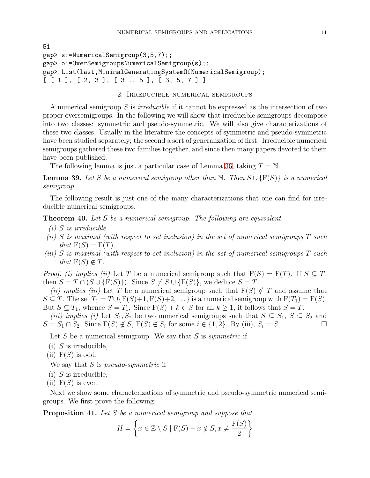```
51
gap> s:=NumericalSemigroup(3,5,7);;
gap> o:=OverSemigroupsNumericalSemigroup(s);;
gap> List(last,MinimalGeneratingSystemOfNumericalSemigroup);
[ [ 1 ], [ 2, 3 ], [ 3 ... 5 ], [ 3, 5, 7 ] ]
```
### 2. Irreducible numerical semigroups

<span id="page-10-0"></span>A numerical semigroup S is *irreducible* if it cannot be expressed as the intersection of two proper oversemigroups. In the following we will show that irreducible semigroups decompose into two classes: symmetric and pseudo-symmetric. We will also give characterizations of these two classes. Usually in the literature the concepts of symmetric and pseudo-symmetric have been studied separately; the second a sort of generalization of first. Irreducible numerical semigroups gathered these two families together, and since then many papers devoted to them have been published.

The following lemma is just a particular case of Lemma [36,](#page-9-1) taking  $T = N$ .

**Lemma 39.** Let S be a numerical semigroup other than N. Then  $S \cup \{F(S)\}\$ is a numerical semigroup.

The following result is just one of the many characterizations that one can find for irreducible numerical semigroups.

<span id="page-10-2"></span>**Theorem 40.** Let  $S$  be a numerical semigroup. The following are equivalent.

- $(i)$  S is irreducible.
- (ii) S is maximal (with respect to set inclusion) in the set of numerical semigroups  $T$  such that  $F(S) = F(T)$ .
- (iii) S is maximal (with respect to set inclusion) in the set of numerical semigroups  $T$  such that  $F(S) \notin T$ .

*Proof.* (i) implies (ii) Let T be a numerical semigroup such that  $F(S) = F(T)$ . If  $S \subseteq T$ , then  $S = T \cap (S \cup \{F(S)\})$ . Since  $S \neq S \cup \{F(S)\}$ , we deduce  $S = T$ .

(ii) implies (iii) Let T be a numerical semigroup such that  $F(S) \notin T$  and assume that  $S \subseteq T$ . The set  $T_1 = T \cup \{F(S)+1, F(S)+2, \dots\}$  is a numerical semigroup with  $F(T_1) = F(S)$ . But  $S \subseteq T_1$ , whence  $S = T_1$ . Since  $F(S) + k \in S$  for all  $k \geq 1$ , it follows that  $S = T$ .

(iii) implies (i) Let  $S_1, S_2$  be two numerical semigroups such that  $S \subseteq S_1$ ,  $S \subseteq S_2$  and  $S = S_1 \cap S_2$ . Since  $F(S) \notin S$ ,  $F(S) \notin S_i$  for some  $i \in \{1, 2\}$ . By (iii),  $S_i = S$ .

Let S be a numerical semigroup. We say that S is *symmetric* if

- $(i)$  S is irreducible,
- (ii)  $F(S)$  is odd.

We say that  $S$  is *pseudo-symmetric* if

- $(i)$  S is irreducible,
- (ii)  $F(S)$  is even.

Next we show some characterizations of symmetric and pseudo-symmetric numerical semigroups. We first prove the following.

<span id="page-10-1"></span>**Proposition 41.** Let S be a numerical semigroup and suppose that

$$
H = \left\{ x \in \mathbb{Z} \setminus S \mid F(S) - x \notin S, x \neq \frac{F(S)}{2} \right\}
$$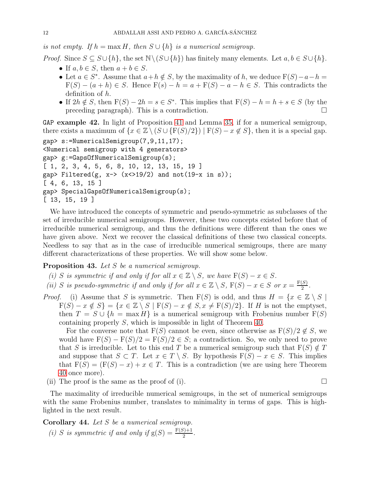is not empty. If  $h = \max H$ , then  $S \cup \{h\}$  is a numerical semigroup.

*Proof.* Since  $S \subseteq S \cup \{h\}$ , the set  $\mathbb{N} \setminus (S \cup \{h\})$  has finitely many elements. Let  $a, b \in S \cup \{h\}$ .

- If  $a, b \in S$ , then  $a + b \in S$ .
- Let  $a \in S^*$ . Assume that  $a + h \notin S$ , by the maximality of h, we deduce  $F(S) a h =$  $F(S) - (a + h) \in S$ . Hence  $F(s) - h = a + F(S) - a - h \in S$ . This contradicts the definition of h.
- If  $2h \notin S$ , then  $F(S) 2h = s \in S^*$ . This implies that  $F(S) h = h + s \in S$  (by the preceding paragraph). This is a contradiction.  $\square$

GAP example 42. In light of Proposition [41](#page-10-1) and Lemma [35,](#page-9-2) if for a numerical semigroup, there exists a maximum of  $\{x \in \mathbb{Z} \setminus (S \cup \{F(S)/2\}) \mid F(S) - x \notin S\}$ , then it is a special gap. gap> s:=NumericalSemigroup(7,9,11,17); <Numerical semigroup with 4 generators> gap> g:=GapsOfNumericalSemigroup(s); [ 1, 2, 3, 4, 5, 6, 8, 10, 12, 13, 15, 19 ] gap> Filtered(g,  $x \rightarrow (x \rightarrow 19/2)$  and not(19-x in s)); [ 4, 6, 13, 15 ] gap> SpecialGapsOfNumericalSemigroup(s); [ 13, 15, 19 ]

We have introduced the concepts of symmetric and pseudo-symmetric as subclasses of the set of irreducible numerical semigroups. However, these two concepts existed before that of irreducible numerical semigroup, and thus the definitions were different than the ones we have given above. Next we recover the classical definitions of these two classical concepts. Needless to say that as in the case of irreducible numerical semigroups, there are many different characterizations of these properties. We will show some below.

### <span id="page-11-0"></span>Proposition 43. Let S be a numerical semigroup.

- (i) S is symmetric if and only if for all  $x \in \mathbb{Z} \setminus S$ , we have  $F(S) x \in S$ .
- (ii) S is pseudo-symmetric if and only if for all  $x \in \mathbb{Z} \setminus S$ ,  $F(S) x \in S$  or  $x = \frac{F(S)}{2}$  $rac{(5)}{2}$ .

*Proof.* (i) Assume that S is symmetric. Then  $F(S)$  is odd, and thus  $H = \{x \in \mathbb{Z} \setminus S \mid$  $F(S) - x \notin S$  =  $\{x \in \mathbb{Z} \setminus S \mid F(S) - x \notin S, x \neq F(S)/2\}$ . If H is not the emptyset, then  $T = S \cup \{h = \max H\}$  is a numerical semigroup with Frobenius number  $F(S)$ containing properly S, which is impossible in light of Theorem [40.](#page-10-2)

For the converse note that  $F(S)$  cannot be even, since otherwise as  $F(S)/2 \notin S$ , we would have  $F(S) - F(S)/2 = F(S)/2 \in S$ ; a contradiction. So, we only need to prove that S is irreducible. Let to this end T be a numerical semigroup such that  $F(S) \notin T$ and suppose that  $S \subset T$ . Let  $x \in T \setminus S$ . By hypothesis  $F(S) - x \in S$ . This implies that  $F(S) = (F(S) - x) + x \in T$ . This is a contradiction (we are using here Theorem [40](#page-10-2) once more).

(ii) The proof is the same as the proof of (i).  $\Box$ 

The maximality of irreducible numerical semigroups, in the set of numerical semigroups with the same Frobenius number, translates to minimality in terms of gaps. This is highlighted in the next result.

## <span id="page-11-1"></span>Corollary 44. Let S be a numerical semigroup.

(i) S is symmetric if and only if  $g(S) = \frac{F(S)+1}{2}$ .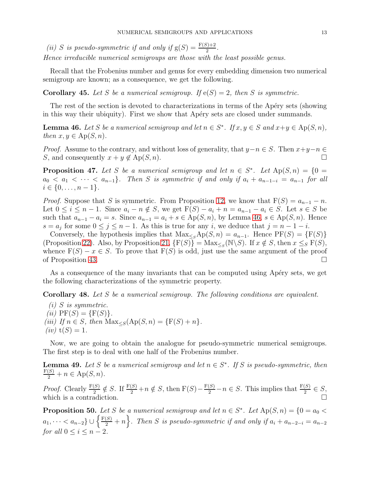(ii) S is pseudo-symmetric if and only if  $g(S) = \frac{F(S) + 2}{2}$ .

Hence irreducible numerical semigroups are those with the least possible genus.

Recall that the Frobenius number and genus for every embedding dimension two numerical semigroup are known; as a consequence, we get the following.

**Corollary 45.** Let S be a numerical semigroup. If  $e(S) = 2$ , then S is symmetric.

The rest of the section is devoted to characterizations in terms of the Apéry sets (showing in this way their ubiquity). First we show that Apéry sets are closed under summands.

<span id="page-12-0"></span>**Lemma 46.** Let S be a numerical semigroup and let  $n \in S^*$ . If  $x, y \in S$  and  $x+y \in Ap(S, n)$ , then  $x, y \in Ap(S, n)$ .

*Proof.* Assume to the contrary, and without loss of generality, that  $y-n \in S$ . Then  $x+y-n \in S$ S, and consequently  $x + y \notin Ap(S, n)$ .

<span id="page-12-1"></span>**Proposition 47.** Let S be a numerical semigroup and let  $n \in S^*$ . Let  $Ap(S,n) = \{0\}$  $a_0 < a_1 < \cdots < a_{n-1}$ . Then S is symmetric if and only if  $a_i + a_{n-1-i} = a_{n-1}$  for all  $i \in \{0, \ldots, n-1\}.$ 

*Proof.* Suppose that S is symmetric. From Proposition [12,](#page-4-0) we know that  $F(S) = a_{n-1} - n$ . Let  $0 \leq i \leq n-1$ . Since  $a_i - n \notin S$ , we get  $F(S) - a_i + n = a_{n-1} - a_i \in S$ . Let  $s \in S$  be such that  $a_{n-1} - a_i = s$ . Since  $a_{n-1} = a_i + s \in Ap(S, n)$ , by Lemma [46,](#page-12-0)  $s \in Ap(S, n)$ . Hence  $s = a_j$  for some  $0 \le j \le n - 1$ . As this is true for any i, we deduce that  $j = n - 1 - i$ .

Conversely, the hypothesis implies that  $Max_{\leq s}Ap(S, n) = a_{n-1}$ . Hence  $PF(S) = \{F(S)\}$ (Proposition [22\)](#page-6-1). Also, by Proposition [21,](#page-6-2)  $\{F(S)\} = Max_{\leq_S}(\mathbb{N}\backslash S)$ . If  $x \notin S$ , then  $x \leq_S F(S)$ , whence  $F(S) - x \in S$ . To prove that  $F(S)$  is odd, just use the same argument of the proof of Proposition [43.](#page-11-0)

As a consequence of the many invariants that can be computed using Apéry sets, we get the following characterizations of the symmetric property.

Corollary 48. Let S be a numerical semigroup. The following conditions are equivalent.

(i) S is symmetric. (*ii*)  $PF(S) = {F(S)}$ . (iii) If  $n \in S$ , then  $\text{Max}_{\leq S}(\text{Ap}(S, n) = \{F(S) + n\}).$  $(iv)$  t $(S) = 1$ .

Now, we are going to obtain the analogue for pseudo-symmetric numerical semigroups. The first step is to deal with one half of the Frobenius number.

**Lemma 49.** Let S be a numerical semigroup and let  $n \in S^*$ . If S is pseudo-symmetric, then  $\frac{F(S)}{2} + n \in \mathrm{Ap}(S,n).$ 

*Proof.* Clearly  $\frac{F(S)}{2} \notin S$ . If  $\frac{F(S)}{2} + n \notin S$ , then  $F(S) - \frac{F(S)}{2} - n \in S$ . This implies that  $\frac{F(S)}{2} \in S$ , which is a contradiction.

**Proposition 50.** Let S be a numerical semigroup and let  $n \in S^*$ . Let  $Ap(S, n) = \{0 = a_0 <$  $a_1, \cdots < a_{n-2}\} \cup \left\{\frac{F(S)}{2}+n\right\}$ . Then S is pseudo-symmetric if and only if  $a_i + a_{n-2-i} = a_{n-2}$ for all  $0 \leq i \leq n-2$ .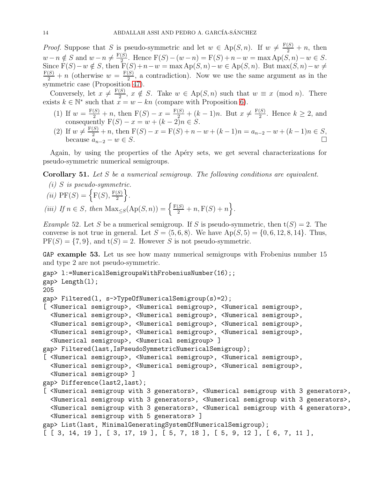*Proof.* Suppose that S is pseudo-symmetric and let  $w \in Ap(S,n)$ . If  $w \neq \frac{F(S)}{2} + n$ , then  $w-n \notin S$  and  $w-n \neq \frac{F(S)}{2}$ 2. Hence  $F(S) - (w - n) = F(S) + n - w = \max_{S} Ap(S, n) - w \in S$ . Since  $F(S)-w \notin S$ , then  $F(S)+n-w = \max Ap(S,n)-w \in Ap(S,n)$ . But  $\max(S,n)-w \neq$  $\frac{F(S)}{2} + n$  (otherwise  $w = \frac{F(S)}{2}$  $\frac{1}{2}$ , a contradiction). Now we use the same argument as in the symmetric case (Proposition [47\)](#page-12-1).

Conversely, let  $x \neq \frac{F(S)}{2}$  $\frac{S}{2}$ ,  $x \notin S$ . Take  $w \in Ap(S,n)$  such that  $w \equiv x \pmod{n}$ . There exists  $k \in \mathbb{N}^*$  such that  $x = w - kn$  (compare with Proposition [6\)](#page-3-1).

- (1) If  $w = \frac{F(S)}{2} + n$ , then  $F(S) x = \frac{F(S)}{2} + (k-1)n$ . But  $x \neq \frac{F(S)}{2}$  $\frac{1}{2}$ . Hence  $k \geq 2$ , and consequently  $F(S) - x = w + (k - 2)n \in S$ .
- (2) If  $w \neq \frac{F(S)}{2} + n$ , then  $F(S) x = F(S) + n w + (k 1)n = a_{n-2} w + (k 1)n \in S$ , because  $a_{n-2} - w \in S$ .

Again, by using the properties of the Apéry sets, we get several characterizations for pseudo-symmetric numerical semigroups.

Corollary 51. Let S be a numerical semigroup. The following conditions are equivalent.

- $(i)$  S is pseudo-symmetric.
- (ii)  $PF(S) = \left\{ F(S), \frac{F(S)}{2} \right\}$  $\left.\frac{(S)}{2}\right\}.$

(iii) If  $n \in S$ , then  $\text{Max}_{\leq S}(\text{Ap}(S, n)) = \left\{ \frac{\text{F}(S)}{2} + n, \text{F}(S) + n \right\}.$ 

*Example* 52. Let S be a numerical semigroup. If S is pseudo-symmetric, then  $t(S) = 2$ . The converse is not true in general. Let  $S = \langle 5, 6, 8 \rangle$ . We have  $Ap(S, 5) = \{0, 6, 12, 8, 14\}$ . Thus,  $PF(S) = \{7, 9\}$ , and  $t(S) = 2$ . However S is not pseudo-symmetric.

GAP example 53. Let us see how many numerical semigroups with Frobenius number 15 and type 2 are not pseudo-symmetric.

```
gap> l:=NumericalSemigroupsWithFrobeniusNumber(16);;
gap> Length(l);
205
gap> Filtered(l, s->TypeOfNumericalSemigroup(s)=2);
[ <Numerical semigroup>, <Numerical semigroup>, <Numerical semigroup>,
  <Numerical semigroup>, <Numerical semigroup>, <Numerical semigroup>,
  <Numerical semigroup>, <Numerical semigroup>, <Numerical semigroup>,
  <Numerical semigroup>, <Numerical semigroup>, <Numerical semigroup>,
  <Numerical semigroup>, <Numerical semigroup> ]
gap> Filtered(last,IsPseudoSymmetricNumericalSemigroup);
[ <Numerical semigroup>, <Numerical semigroup>, <Numerical semigroup>,
  <Numerical semigroup>, <Numerical semigroup>, <Numerical semigroup>,
  <Numerical semigroup> ]
gap> Difference(last2,last);
[ <Numerical semigroup with 3 generators>, <Numerical semigroup with 3 generators>,
  <Numerical semigroup with 3 generators>, <Numerical semigroup with 3 generators>,
  <Numerical semigroup with 3 generators>, <Numerical semigroup with 4 generators>,
  <Numerical semigroup with 5 generators> ]
gap> List(last, MinimalGeneratingSystemOfNumericalSemigroup);
[ [ 3, 14, 19 ], [ 3, 17, 19 ], [ 5, 7, 18 ], [ 5, 9, 12 ], [ 6, 7, 11 ],
```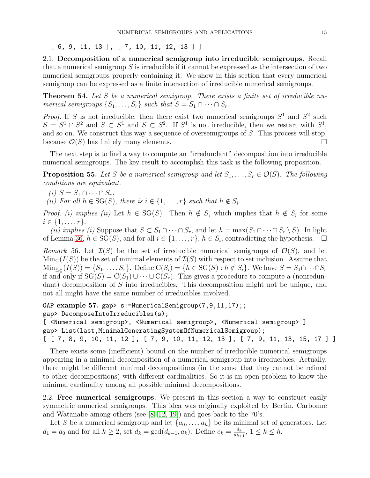<span id="page-14-0"></span>[ 6, 9, 11, 13 ], [ 7, 10, 11, 12, 13 ] ]

2.1. Decomposition of a numerical semigroup into irreducible semigroups. Recall that a numerical semigroup  $S$  is irreducible if it cannot be expressed as the intersection of two numerical semigroups properly containing it. We show in this section that every numerical semigroup can be expressed as a finite intersection of irreducible numerical semigroups.

**Theorem 54.** Let  $S$  be a numerical semigroup. There exists a finite set of irreducible numerical semigroups  $\{S_1, \ldots, S_r\}$  such that  $S = S_1 \cap \cdots \cap S_r$ .

*Proof.* If S is not irreducible, then there exist two numerical semigroups  $S^1$  and  $S^2$  such  $S = S^1 \cap S^2$  and  $S \subset S^1$  and  $S \subset S^2$ . If  $S^1$  is not irreducible, then we restart with  $S^1$ , and so on. We construct this way a sequence of oversemigroups of S. This process will stop, because  $\mathcal{O}(S)$  has finitely many elements.

The next step is to find a way to compute an "irredundant" decomposition into irreducible numerical semigroups. The key result to accomplish this task is the following proposition.

**Proposition 55.** Let S be a numerical semigroup and let  $S_1, \ldots, S_r \in \mathcal{O}(S)$ . The following conditions are equivalent.

(i)  $S = S_1 \cap \cdots \cap S_r$ .

(ii) For all  $h \in SG(S)$ , there is  $i \in \{1, \ldots, r\}$  such that  $h \notin S_i$ .

*Proof.* (i) implies (ii) Let  $h \in SG(S)$ . Then  $h \notin S$ , which implies that  $h \notin S_i$  for some  $i \in \{1, \ldots, r\}.$ 

(ii) implies (i) Suppose that  $S \subset S_1 \cap \cdots \cap S_r$ , and let  $h = \max(S_1 \cap \cdots \cap S_r \setminus S)$ . In light of Lemma [36,](#page-9-1)  $h \in \overline{SG}(S)$ , and for all  $i \in \{1, \ldots, r\}$ ,  $h \in S_i$ , contradicting the hypothesis.  $\Box$ 

Remark 56. Let  $\mathcal{I}(S)$  be the set of irreducible numerical semigroups of  $\mathcal{O}(S)$ , and let  $\text{Min}_{\subset}(I(S))$  be the set of minimal elements of  $\mathcal{I}(S)$  with respect to set inclusion. Assume that  $\text{Min}_{\leq \subseteq}(I(S)) = \{S_1, \ldots, S_r\}$ . Define  $\text{C}(S_i) = \{h \in \text{SG}(S) : h \notin S_i\}$ . We have  $S = S_1 \cap \cdots \cap S_r$ if and only if  $SG(S) = C(S_1) \cup \cdots \cup C(S_r)$ . This gives a procedure to compute a (nonredundant) decomposition of S into irreducibles. This decomposition might not be unique, and not all might have the same number of irreducibles involved.

```
GAP example 57. gap> s:=NumericalSemigroup(7,9,11,17);;
gap> DecomposeIntoIrreducibles(s);
```

```
[ <Numerical semigroup>, <Numerical semigroup>, <Numerical semigroup> ]
gap> List(last,MinimalGeneratingSystemOfNumericalSemigroup);
[ [ 7, 8, 9, 10, 11, 12 ], [ 7, 9, 10, 11, 12, 13 ], [ 7, 9, 11, 13, 15, 17 ] ]
```
There exists some (inefficient) bound on the number of irreducible numerical semigroups appearing in a minimal decomposition of a numerical semigroup into irreducibles. Actually, there might be different minimal decompositions (in the sense that they cannot be refined to other decompositions) with different cardinalities. So it is an open problem to know the minimal cardinality among all possible minimal decompositions.

<span id="page-14-1"></span>2.2. Free numerical semigroups. We present in this section a way to construct easily symmetric numerical semigroups. This idea was originally exploited by Bertin, Carbonne and Watanabe among others (see [\[8,](#page-45-1) [12,](#page-45-2) [19\]](#page-45-3)) and goes back to the 70's.

Let S be a numerical semigroup and let  $\{a_0, \ldots, a_h\}$  be its minimal set of generators. Let  $d_1 = a_0$  and for all  $k \geq 2$ , set  $d_k = \gcd(d_{k-1}, a_k)$ . Define  $e_k = \frac{d_k}{d_{k-1}}$  $\frac{d_k}{d_{k+1}}, \ 1 \leq k \leq h.$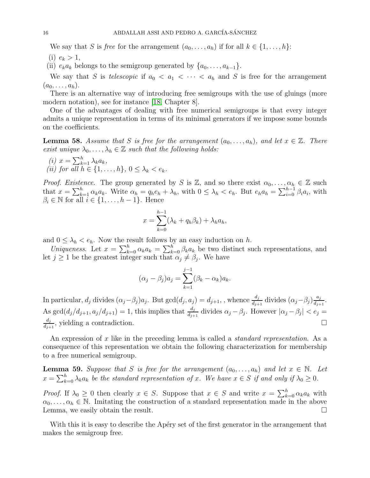We say that S is free for the arrangement  $(a_0, \ldots, a_h)$  if for all  $k \in \{1, \ldots, h\}$ :

(i)  $e_k > 1$ ,

(ii)  $e_k a_k$  belongs to the semigroup generated by  $\{a_0, \ldots, a_{k-1}\}.$ 

We say that S is telescopic if  $a_0 < a_1 < \cdots < a_h$  and S is free for the arrangement  $(a_0,\ldots,a_h).$ 

There is an alternative way of introducing free semigroups with the use of gluings (more modern notation), see for instance [\[18,](#page-45-6) Chapter 8].

One of the advantages of dealing with free numerical semigroups is that every integer admits a unique representation in terms of its minimal generators if we impose some bounds on the coefficients.

**Lemma 58.** Assume that S is free for the arrangement  $(a_0, \ldots, a_h)$ , and let  $x \in \mathbb{Z}$ . There exist unique  $\lambda_0, \ldots, \lambda_h \in \mathbb{Z}$  such that the following holds:

(i)  $x = \sum_{k=1}^{h} \lambda_k a_k$ , (ii) for all  $h \in \{1, \ldots, h\}$ ,  $0 \leq \lambda_k < e_k$ .

*Proof. Existence.* The group generated by S is Z, and so there exist  $\alpha_0, \ldots, \alpha_h \in \mathbb{Z}$  such that  $x = \sum_{k=1}^{h} \alpha_k a_k$ . Write  $\alpha_h = q_h e_h + \lambda_h$ , with  $0 \leq \lambda_h < e_h$ . But  $e_h a_h = \sum_{i=0}^{h-1} \beta_i a_i$ , with  $\beta_i \in \mathbb{N}$  for all  $i \in \{1, \ldots, h-1\}$ . Hence

$$
x = \sum_{k=0}^{h-1} (\lambda_k + q_h \beta_k) + \lambda_h a_h,
$$

and  $0 \leq \lambda_h < e_h$ . Now the result follows by an easy induction on h.

Uniqueness. Let  $x = \sum_{k=0}^{h} \alpha_k a_k = \sum_{k=0}^{h} \beta_k a_k$  be two distinct such representations, and let  $j \geq 1$  be the greatest integer such that  $\alpha_j \neq \beta_j$ . We have

$$
(\alpha_j - \beta_j)a_j = \sum_{k=1}^{j-1} (\beta_k - \alpha_k)a_k.
$$

In particular,  $d_j$  divides  $(\alpha_j - \beta_j)a_j$ . But  $gcd(d_j, a_j) = d_{j+1}$ , , whence  $\frac{d_j}{d_{j+1}}$  divides  $(\alpha_j - \beta_j)\frac{a_j}{d_{j+1}}$  $\frac{a_j}{d_{j+1}}$ . As  $\gcd(d_j/d_{j+1}, a_j/d_{j+1}) = 1$ , this implies that  $\frac{d_j}{d_{j+1}}$  divides  $\alpha_j - \beta_j$ . However  $|\alpha_j - \beta_j| < e_j =$  $d_j$  $\frac{d_j}{d_{j+1}}$ , yielding a contradiction.

An expression of x like in the preceding lemma is called a *standard representation*. As a consequence of this representation we obtain the following characterization for membership to a free numerical semigroup.

**Lemma 59.** Suppose that S is free for the arrangement  $(a_0, \ldots, a_h)$  and let  $x \in \mathbb{N}$ . Let  $x = \sum_{k=0}^{h} \lambda_k a_k$  be the standard representation of x. We have  $x \in S$  if and only if  $\lambda_0 \geq 0$ .

*Proof.* If  $\lambda_0 \geq 0$  then clearly  $x \in S$ . Suppose that  $x \in S$  and write  $x = \sum_{k=0}^{h} \alpha_k a_k$  with  $\alpha_0, \ldots, \alpha_h \in \mathbb{N}$ . Imitating the construction of a standard representation made in the above Lemma, we easily obtain the result.

With this it is easy to describe the Apéry set of the first generator in the arrangement that makes the semigroup free.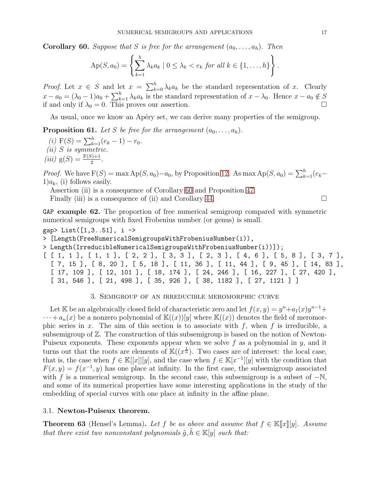<span id="page-16-2"></span>**Corollary 60.** Suppose that S is free for the arrangement  $(a_0, \ldots, a_h)$ . Then

$$
Ap(S, a_0) = \left\{ \sum_{k=1}^h \lambda_k a_k \mid 0 \leq \lambda_k < e_k \text{ for all } k \in \{1, \ldots, h\} \right\}.
$$

*Proof.* Let  $x \in S$  and let  $x = \sum_{k=0}^{h} \lambda_k a_k$  be the standard representation of x. Clearly  $x - a_0 = (\lambda_0 - 1)a_0 + \sum_{k=1}^h \lambda_k a_k$  is the standard representation of  $x - \lambda_0$ . Hence  $x - a_0 \notin S$ if and only if  $\lambda_0 = 0$ . This proves our assertion.

As usual, once we know an Apéry set, we can derive many properties of the semigroup.

**Proposition 61.** Let S be free for the arrangement  $(a_0, \ldots, a_h)$ .

(i)  $F(S) = \sum_{k=1}^{h} (e_k - 1) - r_0.$ (ii) S is symmetric. (iii)  $g(S) = \frac{F(S) + 1}{2}$ .

*Proof.* We have  $F(S) = \max Ap(S, a_0) - a_0$ , by Proposition [12.](#page-4-0) As  $\max Ap(S, a_0) = \sum_{k=1}^{h} (e_k 1)a_k$ , (i) follows easily.

Assertion (ii) is a consequence of Corollary [60](#page-16-2) and Proposition [47.](#page-12-1)

Finally (iii) is a consequence of (ii) and Corollary [44.](#page-11-1)

GAP example 62. The proportion of free numerical semigroup compared with symmetric numerical semigroups with fixed Frobenius number (or genus) is small.

```
gap> List([1,3..51], i ->
```
> [Length(FreeNumericalSemigroupsWithFrobeniusNumber(i)),

> Length(IrreducibleNumericalSemigroupsWithFrobeniusNumber(i))]);

[ [ 1, 1 ], [ 1, 1 ], [ 2, 2 ], [ 3, 3 ], [ 2, 3 ], [ 4, 6 ], [ 5, 8 ], [ 3, 7 ], [ 7, 15 ], [ 8, 20 ], [ 5, 18 ], [ 11, 36 ], [ 11, 44 ], [ 9, 45 ], [ 14, 83 ], [ 17, 109 ], [ 12, 101 ], [ 18, 174 ], [ 24, 246 ], [ 16, 227 ], [ 27, 420 ], [ 31, 546 ], [ 21, 498 ], [ 35, 926 ], [ 38, 1182 ], [ 27, 1121 ] ]

### 3. Semigroup of an irreducible meromorphic curve

<span id="page-16-0"></span>Let K be an algebraically closed field of characteristic zero and let  $f(x, y) = y^n + a_1(x)y^{n-1} +$  $\cdots + a_n(x)$  be a nonzero polynomial of  $\mathbb{K}((x))[y]$  where  $\mathbb{K}((x))$  denotes the field of meromorphic series in x. The aim of this section is to associate with f, when f is irreducible, a subsemigroup of Z. The construction of this subsemigroup is based on the notion of Newton-Puiseux exponents. These exponents appear when we solve  $f$  as a polynomial in  $y$ , and it turns out that the roots are elements of  $\mathbb{K}((x^{\frac{1}{n}})$ . Two cases are of intereset: the local case, that is, the case when  $f \in \mathbb{K}[[x]][y]$ , and the case when  $f \in \mathbb{K}[x^{-1}][y]$  with the condition that  $F(x, y) = f(x^{-1}, y)$  has one place at infinity. In the first case, the subsemigroup associated with f is a numerical semigroup. In the second case, this subsemigroup is a subset of  $-N$ , and some of its numerical properties have some interesting applications in the study of the embedding of special curves with one place at infinity in the affine plane.

### <span id="page-16-1"></span>3.1. Newton-Puiseux theorem.

**Theorem 63** (Hensel's Lemma). Let f be as above and assume that  $f \in \mathbb{K}[[x]][y]$ . Assume that there exist two nonconstant polynomials  $\tilde{q}, \tilde{h} \in \mathbb{K}[y]$  such that: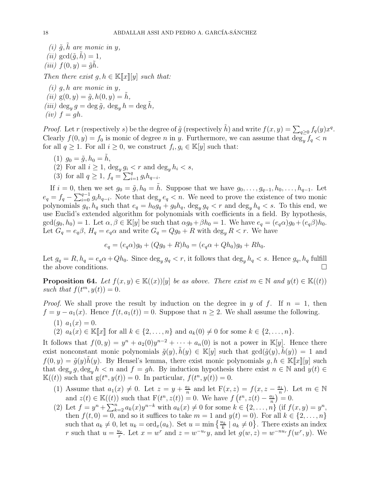(i)  $\tilde{g}, \tilde{h}$  are monic in y, (*ii*)  $gcd(\tilde{q}, h) = 1$ , (iii)  $f(0, y) = \tilde{q}\tilde{h}$ . Then there exist  $g, h \in \mathbb{K}[[x][y]]$  such that:

 $(i)$  g, h are monic in y, (ii)  $g(0, y) = \tilde{g}, h(0, y) = h$ , (iii)  $\deg_y g = \deg \tilde{g}$ ,  $\deg_y h = \deg \tilde{h}$ ,  $(iv) f = gh.$ 

*Proof.* Let r (respectively s) be the degree of  $\tilde{g}$  (respectively  $\tilde{h}$ ) and write  $f(x, y) = \sum_{q\geq 0} f_q(y) x^q$ . Clearly  $f(0, y) = f_0$  is monic of degree n in y. Furthermore, we can assume that  $\deg_y f_q < n$ for all  $q \geq 1$ . For all  $i \geq 0$ , we construct  $f_i, g_i \in \mathbb{K}[y]$  such that:

- (1)  $g_0 = \tilde{g}, h_0 = \tilde{h},$
- (2) For all  $i \geq 1$ ,  $\deg_u g_i < r$  and  $\deg_u h_i < s$ ,
- (3) for all  $q \ge 1$ ,  $f_q = \sum_{i=1}^q g_i h_{q-i}$ .

If  $i = 0$ , then we set  $g_0 = \tilde{g}$ ,  $h_0 = \tilde{h}$ . Suppose that we have  $g_0, \ldots, g_{q-1}, h_0, \ldots, h_{q-1}$ . Let  $e_q = f_q - \sum_{i=0}^{q-1} g_i h_{q-i}$ . Note that  $\deg_y e_q < n$ . We need to prove the existence of two monic polynomials  $g_q$ ,  $h_q$  such that  $e_q = h_0 g_q + g_0 h_q$ ,  $\deg_y g_q < r$  and  $\deg_y h_q < s$ . To this end, we use Euclid's extended algorithm for polynomials with coefficients in a field. By hypothesis,  $gcd(g_0, h_0) = 1$ . Let  $\alpha, \beta \in \mathbb{K}[y]$  be such that  $\alpha g_0 + \beta h_0 = 1$ . We have  $e_q = (e_q \alpha)g_0 + (e_q \beta)h_0$ . Let  $G_q = e_q \beta$ ,  $H_q = e_q \alpha$  and write  $G_q = Qg_0 + R$  with  $\deg_q R < r$ . We have

$$
e_q = (e_q \alpha)g_0 + (Qg_0 + R)h_0 = (e_q \alpha + Qh_0)g_0 + Rh_0.
$$

Let  $g_q = R$ ,  $h_q = e_q \alpha + Q h_0$ . Since  $\deg_y g_q < r$ , it follows that  $\deg_y h_q < s$ . Hence  $g_q$ ,  $h_q$  fulfill the above conditions.

**Proposition 64.** Let  $f(x, y) \in \mathbb{K}((x))[y]$  be as above. There exist  $m \in \mathbb{N}$  and  $y(t) \in \mathbb{K}((t))$ such that  $f(t^m, y(t)) = 0$ .

*Proof.* We shall prove the result by induction on the degree in y of f. If  $n = 1$ , then  $f = y - a_1(x)$ . Hence  $f(t, a_1(t)) = 0$ . Suppose that  $n \ge 2$ . We shall assume the following.

- (1)  $a_1(x) = 0$ .
- (2)  $a_k(x) \in \mathbb{K}[\![x]\!]$  for all  $k \in \{2, ..., n\}$  and  $a_k(0) \neq 0$  for some  $k \in \{2, ..., n\}$ .

It follows that  $f(0, y) = y^n + a_2(0)y^{n-2} + \cdots + a_n(0)$  is not a power in K[y]. Hence there exist nonconstant monic polynomials  $\tilde{g}(y), \tilde{h}(y) \in \mathbb{K}[y]$  such that  $gcd(\tilde{g}(y), \tilde{h}(y)) = 1$  and  $f(0, y) = \tilde{g}(y)h(y)$ . By Hensel's lemma, there exist monic polynomials  $g, h \in \mathbb{K}[[x]][y]$  such that  $\deg_y g, \deg_y h < n$  and  $f = gh$ . By induction hypothesis there exist  $n \in \mathbb{N}$  and  $y(t) \in$  $\mathbb{K}(t)$  such that  $g(t^n, y(t)) = 0$ . In particular,  $f(t^n, y(t)) = 0$ .

- (1) Assume that  $a_1(x) \neq 0$ . Let  $z = y + \frac{a_1}{n}$  $rac{a_1}{n}$  and let  $F(x, z) = f(x, z - \frac{a_1}{n})$  $\frac{n_1}{n}$ ). Let  $m \in \mathbb{N}$ and  $z(t) \in \mathbb{K}((t))$  such that  $F(t^n, z(t)) = 0$ . We have  $f(t^n, z(t) - \frac{a_1}{n})$  $\frac{a_1}{n}$  = 0.
- (2) Let  $f = y^n + \sum_{k=2}^n a_k(x)y^{n-k}$  with  $a_k(x) \neq 0$  for some  $k \in \{2, ..., n\}$  (if  $f(x, y) = y^n$ , then  $f(t, 0) = 0$ , and so it suffices to take  $m = 1$  and  $y(t) = 0$ ). For all  $k \in \{2, ..., n\}$ such that  $a_k \neq 0$ , let  $u_k = \text{ord}_x(a_k)$ . Set  $u = \min\left\{\frac{u_k}{k} \mid a_k \neq 0\right\}$ . There exists an index r such that  $u = \frac{u_r}{r}$  $\frac{u_r}{r}$ . Let  $x = w^r$  and  $z = w^{-u_r}y$ , and let  $g(w, z) = w^{-nu_r}f(w^r, y)$ . We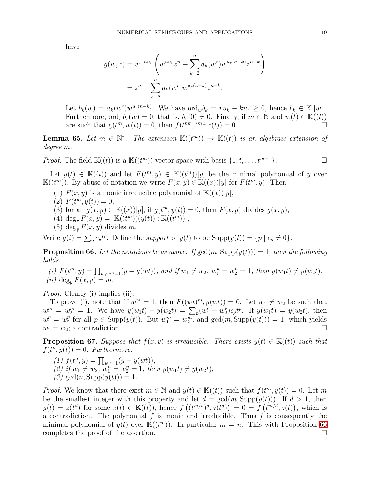have

$$
g(w, z) = w^{-nu_r} \left( w^{nu_r} z^n + \sum_{k=2}^n a_k (w^r) w^{u_r(n-k)} z^{n-k} \right)
$$
  
=  $z^n + \sum_{k=2}^n a_k (w^r) w^{u_r(n-k)} z^{n-k}.$ 

Let  $b_k(w) = a_k(w^r)w^{u_r(n-k)}$ . We have  $\text{ord}_w b_k = ru_k - ku_r \geq 0$ , hence  $b_k \in \mathbb{K}[[w]]$ . Furthermore,  $\text{ord}_w b_r(w) = 0$ , that is,  $b_r(0) \neq 0$ . Finally, if  $m \in \mathbb{N}$  and  $w(t) \in \mathbb{K}((t))$ are such that  $g(t^m, w(t)) = 0$ , then  $f(t^{mr}, t^{mur} z(t)) = 0$ .

**Lemma 65.** Let  $m \in \mathbb{N}^*$ . The extension  $\mathbb{K}((t^m)) \to \mathbb{K}((t))$  is an algebraic extension of degree m.

*Proof.* The field  $\mathbb{K}((t))$  is a  $\mathbb{K}((t^m))$ -vector space with basis  $\{1, t, \ldots, t^{m-1}\}.$ 

Let  $y(t) \in K((t))$  and let  $F(t^m, y) \in K((t^m))[y]$  be the minimal polynomial of y over  $\mathbb{K}((t^m))$ . By abuse of notation we write  $F(x,y) \in \mathbb{K}((x))[y]$  for  $F(t^m, y)$ . Then

- (1)  $F(x, y)$  is a monic irreducible polynomial of  $K((x))[y]$ ,
- (2)  $F(t^m, y(t)) = 0,$
- (3) for all  $g(x, y) \in \mathbb{K}((x))[y]$ , if  $g(t^m, y(t)) = 0$ , then  $F(x, y)$  divides  $g(x, y)$ ,
- (4)  $\deg_y F(x, y) = [\mathbb{K}((t^m))(y(t)) : \mathbb{K}((t^m))],$
- (5) deg<sub>y</sub>  $F(x, y)$  divides m.

Write  $y(t) = \sum_p c_p t^p$ . Define the support of  $y(t)$  to be  $\text{Supp}(y(t)) = \{p \mid c_p \neq 0\}$ .

<span id="page-18-0"></span>**Proposition 66.** Let the notations be as above. If  $gcd(m, Supp(y(t))) = 1$ , then the following holds.

(i)  $F(t^m, y) = \prod_{w, w^m=1}(y - y(wt))$ , and if  $w_1 \neq w_2$ ,  $w_1^n = w_2^n = 1$ , then  $y(w_1t) \neq y(w_2t)$ . (*ii*) deg<sub>y</sub>  $F(x, y) = m$ .

*Proof.* Clearly (i) implies (ii).

To prove (i), note that if  $w^m = 1$ , then  $F((wt)^m, y(wt)) = 0$ . Let  $w_1 \neq w_2$  be such that  $w_1^m = w_2^m = 1$ . We have  $y(w_1t) - y(w_2t) = \sum_p (w_1^p - w_2^p)$  $_{2}^{p}$ ) $c_{p}t^{p}$ . If  $y(w_{1}t) = y(w_{2}t)$ , then  $w_1^p = w_2^p$ <sup>p</sup> for all  $p \in \text{Supp}(y(t))$ . But  $w_1^m = w_2^m$ , and  $\gcd(m, \text{Supp}(y(t))) = 1$ , which yields  $w_1 = w_2$ ; a contradiction.

<span id="page-18-1"></span>**Proposition 67.** Suppose that  $f(x, y)$  is irreducible. There exists  $y(t) \in \mathbb{K}((t))$  such that  $f(t^n, y(t)) = 0$ . Furthermore,

- (1)  $f(t^n, y) = \prod_{w^n=1} (y y(wt)),$
- (2) if  $w_1 \neq w_2$ ,  $w_1^n = w_2^n = 1$ , then  $y(w_1t) \neq y(w_2t)$ ,
- (3)  $gcd(n, Supp(y(t))) = 1.$

*Proof.* We know that there exist  $m \in \mathbb{N}$  and  $y(t) \in \mathbb{K}((t))$  such that  $f(t^m, y(t)) = 0$ . Let m be the smallest integer with this property and let  $d = \gcd(m, \text{Supp}(y(t)))$ . If  $d > 1$ , then  $y(t) = z(t^d)$  for some  $z(t) \in K((t)),$  hence  $f((t^{m/d})^d, z(t^d)) = 0 = f(t^{m/d}, z(t)),$  which is a contradiction. The polynomial f is monic and irreducible. Thus f is consequently the minimal polynomial of  $y(t)$  over  $\mathbb{K}((t^m))$ . In particular  $m = n$ . This with Proposition [66](#page-18-0) completes the proof of the assertion.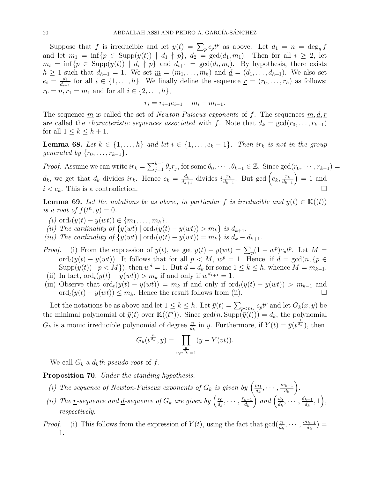Suppose that f is irreducible and let  $y(t) = \sum_p c_p t^p$  as above. Let  $d_1 = n = \deg_y f$ and let  $m_1 = \inf\{p \in \text{Supp}(y(t)) \mid d_1 \nmid p\}$ ,  $d_2 = \text{gcd}(d_1, m_1)$ . Then for all  $i \geq 2$ , let  $m_i = \inf\{p \in \text{Supp}(y(t)) \mid d_i \nmid p\}$  and  $d_{i+1} = \text{gcd}(d_i, m_i)$ . By hypothesis, there exists  $h \geq 1$  such that  $d_{h+1} = 1$ . We set  $\underline{m} = (m_1, \ldots, m_h)$  and  $\underline{d} = (d_1, \ldots, d_{h+1})$ . We also set  $e_i = \frac{d_i}{d_i}$  $\frac{d_i}{d_{i+1}}$  for all  $i \in \{1, \ldots, h\}$ . We finally define the sequence  $\underline{r} = (r_0, \ldots, r_h)$  as follows:  $r_0 = n, r_1 = m_1$  and for all  $i \in \{2, ..., h\},$ 

$$
r_i = r_{i-1}e_{i-1} + m_i - m_{i-1}.
$$

The sequence  $\underline{m}$  is called the set of *Newton-Puiseux exponents* of f. The sequences  $\underline{m}, \underline{d}, \underline{r}$ are called the *characteristic sequences associated* with f. Note that  $d_k = \gcd(r_0, \ldots, r_{k-1})$ for all  $1 \leq k \leq h+1$ .

<span id="page-19-1"></span>**Lemma 68.** Let  $k \in \{1, ..., h\}$  and let  $i \in \{1, ..., e_k - 1\}$ . Then  $ir_k$  is not in the group generated by  $\{r_0, \ldots, r_{k-1}\}.$ 

*Proof.* Assume we can write  $ir_k = \sum_{j=1}^{k-1} \theta_j r_j$ , for some  $\theta_0, \dots, \theta_{k-1} \in \mathbb{Z}$ . Since  $\gcd(r_0, \dots, r_{k-1}) =$  $d_k$ , we get that  $d_k$  divides  $ir_k$ . Hence  $e_k = \frac{d_k}{d_{k+1}}$  $\frac{d_k}{d_{k+1}}$  divides  $i\frac{r_k}{d_{k+1}}$  $\frac{r_k}{d_{k+1}}$ . But  $\gcd\left(e_k, \frac{r_k}{d_{k+1}}\right) = 1$  and  $i < e_k$ . This is a contradiction.

<span id="page-19-0"></span>**Lemma 69.** Let the notations be as above, in particular f is irreducible and  $y(t) \in K((t))$ is a root of  $f(t^n, y) = 0$ .

- (i) ord<sub>t</sub> $(y(t) y(wt)) \in \{m_1, ..., m_h\}.$
- (ii) The cardinality of  $\{y(wt) \mid \text{ord}_t(y(t) y(wt)) > m_k\}$  is  $d_{k+1}$ .
- (iii) The cardinality of  $\{y(wt) \mid \text{ord}_t(y(t) y(wt)) = m_k\}$  is  $d_k d_{k+1}$ .
- *Proof.* (i) From the expression of  $y(t)$ , we get  $y(t) y(wt) = \sum_{p} (1 w^p)c_p t^p$ . Let  $M =$ ord<sub>t</sub> $(y(t) - y(wt))$ . It follows that for all  $p < M$ ,  $w^p = 1$ . Hence, if  $d = \gcd(n, \{p \in$  $\text{Supp}(y(t)) \mid p < M$ }, then  $w^d = 1$ . But  $d = d_k$  for some  $1 \le k \le h$ , whence  $M = m_{k-1}$ . (ii) In fact,  $\text{ord}_t(y(t) - y(wt)) > m_k$  if and only if  $w^{d_{k+1}} = 1$ .
- (iii) Observe that  $\text{ord}_t(y(t) y(wt)) = m_k$  if and only if  $\text{ord}_t(y(t) y(wt)) > m_{k-1}$  and  $\text{ord}_t(y(t) - y(wt)) \leq m_k$ . Hence the result follows from (ii). □

Let the notations be as above and let  $1 \leq k \leq h$ . Let  $\bar{y}(t) = \sum_{p \leq m_k} c_p t^p$  and let  $G_k(x, y)$  be the minimal polynomial of  $\bar{y}(t)$  over  $\mathbb{K}((t^n))$ . Since  $\gcd(n, \text{Supp}(\bar{y}(t))) = d_k$ , the polynomial  $G_k$  is a monic irreducible polynomial of degree  $\frac{n}{d_k}$  in y. Furthermore, if  $Y(t) = \bar{y}(t^{\frac{1}{d_k}})$ , then

$$
G_k(t^{\frac{n}{d_k}}, y) = \prod_{v, v^{\frac{n}{d_k}} = 1} (y - Y(vt)).
$$

We call  $G_k$  a  $d_k$ th pseudo root of f.

Proposition 70. Under the standing hypothesis.

- (i) The sequence of Newton-Puiseux exponents of  $G_k$  is given by  $\left(\frac{m_1}{d_k}\right)$  $\frac{m_1}{d_k}, \cdots, \frac{m_{k-1}}{d_k}$  $d_k$ .
- (ii) The <u>r</u>-sequence and <u>d</u>-sequence of  $G_k$  are given by  $\left(\frac{r_0}{dt}\right)$  $\frac{r_0}{d_k}, \cdots, \frac{r_{k-1}}{d_k}$  $d_k$ ) and  $\left(\frac{d_0}{du}\right)$  $\frac{d_0}{d_k}, \cdots, \frac{d_{k-1}}{d_k}$  $\frac{k-1}{d_k}, 1\bigg),$ respectively.
- *Proof.* (i) This follows from the expression of  $Y(t)$ , using the fact that  $gcd(\frac{n}{d_k}, \dots, \frac{m_{k-1}}{d_k})$  $\frac{d_{k-1}}{d_k}$ ) = 1.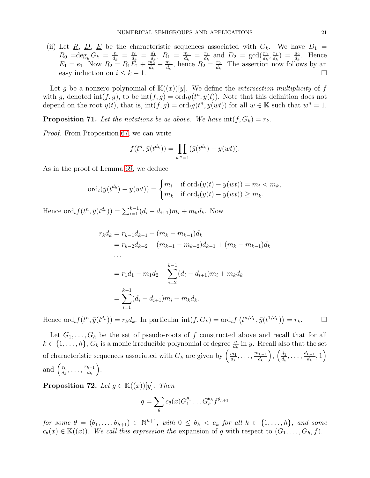(ii) Let <u>R, D, E</u> be the characteristic sequences associated with  $G_k$ . We have  $D_1 =$  $R_0 = \deg_y G_k = \frac{n}{d_k}$  $\frac{n}{d_k} = \frac{r_0}{d_k}$  $\frac{r_0}{d_k} = \frac{d_1}{d_k}$  $\frac{d_1}{d_k},\ R_1 = \frac{m_1}{d_k}$  $\frac{m_1}{d_k} = \frac{r_1}{d_k}$  $rac{r_1}{d_k}$  and  $D_2 = \gcd(\frac{r_0}{d_k}, \frac{r_1}{d_k})$  $\frac{r_1}{d_k}$  =  $\frac{d_2}{d_k}$ . Hence  $E_1 = e_1$ . Now  $R_2 = R_1 \tilde{E_1} + \frac{m_2^2}{d_1}$  $\frac{\tilde{m_2^n}}{d_k} - \frac{m_1}{d_k}$  $\frac{m_1}{d_k}$ , hence  $R_2 = \frac{r_2}{d_k}$  $\frac{r_2}{d_k}$ . The assertion now follows by an easy induction on  $i \leq k-1$ .

Let g be a nonzero polynomial of  $K((x))[y]$ . We define the *intersection multiplicity* of f with g, denoted  $\text{int}(f, g)$ , to be  $\text{int}(f, g) = \text{ord}_t g(t^n, y(t))$ . Note that this definition does not depend on the root  $y(t)$ , that is,  $\text{int}(f, g) = \text{ord}_t g(t^n, y(wt))$  for all  $w \in \mathbb{K}$  such that  $w^n = 1$ .

<span id="page-20-1"></span>**Proposition 71.** Let the notations be as above. We have  $int(f, G_k) = r_k$ .

Proof. From Proposition [67,](#page-18-1) we can write

$$
f(t^n, \bar{y}(t^{d_k})) = \prod_{w^n=1} (\bar{y}(t^{d_k}) - y(wt)).
$$

As in the proof of Lemma [69,](#page-19-0) we deduce

$$
\operatorname{ord}_t(\bar{y}(t^{d_k}) - y(wt)) = \begin{cases} m_i & \text{if } \operatorname{ord}_t(y(t) - y(wt)) = m_i < m_k, \\ m_k & \text{if } \operatorname{ord}_t(y(t) - y(wt)) \ge m_k. \end{cases}
$$

Hence  $\mathrm{ord}_t f(t^n, \bar{y}(t^{d_k})) = \sum_{i=1}^{k-1} (d_i - d_{i+1}) m_i + m_k d_k$ . Now

$$
r_k d_k = r_{k-1} d_{k-1} + (m_k - m_{k-1}) d_k
$$
  
=  $r_{k-2} d_{k-2} + (m_{k-1} - m_{k-2}) d_{k-1} + (m_k - m_{k-1}) d_k$   
...  
=  $r_1 d_1 - m_1 d_2 + \sum_{i=2}^{k-1} (d_i - d_{i+1}) m_i + m_k d_k$   
=  $\sum_{i=1}^{k-1} (d_i - d_{i+1}) m_i + m_k d_k$ .

Hence  $\mathrm{ord}_t f(t^n, \bar{y}(t^{d_k})) = r_k d_k$ . In particular  $\mathrm{int}(f, G_k) = \mathrm{ord}_t f(t^{n/d_k}, \bar{y}(t^{1/d_k})) = r_k$ .

Let  $G_1, \ldots, G_h$  be the set of pseudo-roots of f constructed above and recall that for all  $k \in \{1, \ldots, h\}$ ,  $G_k$  is a monic irreducible polynomial of degree  $\frac{n}{d_k}$  in y. Recall also that the set of characteristic sequences associated with  $G_k$  are given by  $\left(\frac{m_1}{d_k}\right)$  $\frac{m_1}{d_k}, \ldots, \frac{m_{k-1}}{d_k}$  $d_k$ ),  $\left(\frac{d_1}{d_1}\right)$  $\frac{d_1}{d_k}, \ldots, \frac{d_{k-1}}{d_k}$  $\left(\frac{k-1}{d_k},1\right)$ and  $\left(\frac{r_0}{d_1}\right)$  $\frac{r_0}{d_k}, \ldots, \frac{r_{k-1}}{d_k}$  $d_k$ .

<span id="page-20-0"></span>**Proposition 72.** Let  $q \in \mathbb{K}((x))[y]$ . Then

$$
g = \sum_{\theta} c_{\theta}(x) G_1^{\theta_1} \dots G_h^{\theta_h} f^{\theta_{h+1}}
$$

for some  $\theta = (\theta_1, \ldots, \theta_{h+1}) \in \mathbb{N}^{h+1}$ , with  $0 \leq \theta_k < e_k$  for all  $k \in \{1, \ldots, h\}$ , and some  $c_{\theta}(x) \in \mathbb{K}((x))$ . We call this expression the expansion of g with respect to  $(G_1, \ldots, G_h, f)$ .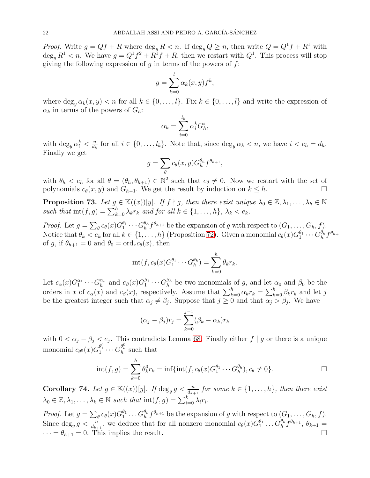*Proof.* Write  $g = Qf + R$  where  $\deg_y R < n$ . If  $\deg_y Q \geq n$ , then write  $Q = Q^1 f + R^1$  with  $\deg_y R^1 < n$ . We have  $g = Q^1 f^2 + R^1 f + R$ , then we restart with  $Q^1$ . This process will stop giving the following expression of q in terms of the powers of  $f$ :

$$
g = \sum_{k=0}^{l} \alpha_k(x, y) f^k,
$$

where  $\deg_u \alpha_k(x, y) < n$  for all  $k \in \{0, \ldots, l\}$ . Fix  $k \in \{0, \ldots, l\}$  and write the expression of  $\alpha_k$  in terms of the powers of  $G_h$ :

$$
\alpha_k = \sum_{i=0}^{l_k} \alpha_i^k G_h^i,
$$

with  $\deg_y \alpha_i^k < \frac{n}{d_k}$  $\frac{n}{d_h}$  for all  $i \in \{0, \ldots, l_k\}$ . Note that, since  $\deg_y \alpha_k < n$ , we have  $i < e_h = d_h$ . Finally we get

$$
g = \sum_{\theta} c_{\theta}(x, y) G_{h}^{\theta_h} f^{\theta_{h+1}},
$$

with  $\theta_h < e_h$  for all  $\theta = (\theta_h, \theta_{h+1}) \in \mathbb{N}^2$  such that  $c_{\theta} \neq 0$ . Now we restart with the set of polynomials  $c_{\theta}(x, y)$  and  $G_{h-1}$ . We get the result by induction on  $k \leq h$ .

<span id="page-21-1"></span>**Proposition 73.** Let  $g \in \mathbb{K}((x))[y]$ . If  $f \nmid g$ , then there exist unique  $\lambda_0 \in \mathbb{Z}, \lambda_1, \ldots, \lambda_h \in \mathbb{N}$ such that  $\text{int}(f,g) = \sum_{k=0}^{h} \lambda_k r_k$  and for all  $k \in \{1, \ldots, h\}$ ,  $\lambda_k < e_k$ .

*Proof.* Let  $g = \sum_{\theta} c_{\theta}(x) G_1^{\theta_1}$  $\theta_1^{q_1} \cdots \theta_h^{q_h} f^{\theta_{h+1}}$  be the expansion of g with respect to  $(G_1, \ldots, G_h, f)$ . Notice that  $\theta_k < e_k$  for all  $k \in \{1, ..., h\}$  (Proposition [72\)](#page-20-0). Given a monomial  $c_{\theta}(x)G_1^{\theta_1}$  $a_1^{\theta_1}\cdots G_h^{\theta_h}$  $\frac{\theta_h}{h} f^{\theta_{h+1}}$ of g, if  $\theta_{h+1} = 0$  and  $\theta_0 = \text{ord}_x c_\theta(x)$ , then

$$
int(f, c_{\theta}(x)G_1^{\theta_1}\cdots G_h^{\theta_h}) = \sum_{k=0}^h \theta_k r_k.
$$

Let  $c_{\alpha}(x)G_1^{\alpha_1}$  $a_1 \ldots G_h^{\alpha_h}$  $\frac{\alpha_h}{h}$  and  $c_\beta(x) G_1^{\beta_1}$  $\frac{\beta_1}{1} \cdots G_h^{\beta_h}$  $\frac{\beta_h}{h}$  be two monomials of g, and let  $\alpha_0$  and  $\beta_0$  be the orders in x of  $c_{\alpha}(x)$  and  $c_{\beta}(x)$ , respectively. Assume that  $\sum_{k=0}^{h} \alpha_k r_k = \sum_{k=0}^{h} \beta_k r_k$  and let j be the greatest integer such that  $\alpha_j \neq \beta_j$ . Suppose that  $j \geq 0$  and that  $\alpha_j > \beta_j$ . We have

$$
(\alpha_j - \beta_j)r_j = \sum_{k=0}^{j-1} (\beta_k - \alpha_k)r_k
$$

with  $0 < \alpha_j - \beta_j < e_j$ . This contradicts Lemma [68.](#page-19-1) Finally either  $f | g$  or there is a unique monomial  $c_{\theta^0}(x) G_1^{\theta_1^0} \cdots G_h^{\theta_h^0}$  such that

$$
int(f,g) = \sum_{k=0}^{h} \theta_k^0 r_k = inf\{int(f,c_{\theta}(x)G_1^{\theta_1} \cdots G_h^{\theta_h}), c_{\theta} \neq 0\}.
$$

<span id="page-21-0"></span>**Corollary 74.** Let  $g \in \mathbb{K}((x))[y]$ . If  $\deg_y g < \frac{n}{d_{k+1}}$  for some  $k \in \{1, ..., h\}$ , then there exist  $\lambda_0 \in \mathbb{Z}, \lambda_1, \ldots, \lambda_k \in \mathbb{N}$  such that  $\text{int}(f, g) = \sum_{i=0}^k \lambda_i r_i$ .

*Proof.* Let  $g = \sum_{\theta} c_{\theta}(x) G_1^{\theta_1}$  $\frac{\theta_1}{1} \ldots G_h^{\theta_h} f^{\theta_{h+1}}$  be the expansion of g with respect to  $(G_1, \ldots, G_h, f)$ . Since  $\deg_y g < \frac{n}{d_{k+1}}$ , we deduce that for all nonzero monomial  $c_\theta(x) G_1^{\theta_1}$  $g_1^{0_1} \ldots G_h^{\theta_h} f^{\theta_{h+1}}, \theta_{k+1} =$  $\cdots = \theta_{h+1} = 0$ . This implies the result.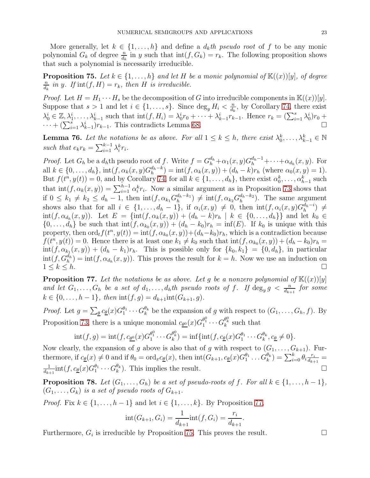More generally, let  $k \in \{1, ..., h\}$  and define a  $d_k$ th pseudo root of f to be any monic polynomial  $G_k$  of degree  $\frac{n}{d_k}$  in y such that  $\text{int}(f, G_k) = r_k$ . The following proposition shows that such a polynomial is necessarily irreducible.

<span id="page-22-1"></span>**Proposition 75.** Let  $k \in \{1, ..., h\}$  and let H be a monic polynomial of  $\mathbb{K}((x))[y]$ , of degree n  $\frac{n}{d_k}$  in y. If  $\text{int}(f, H) = r_k$ , then H is irreducible.

*Proof.* Let  $H = H_1 \cdots H_s$  be the decomposition of G into irreducible components in  $\mathbb{K}((x))[y]$ . Suppose that  $s > 1$  and let  $i \in \{1, \ldots, s\}$ . Since  $\deg_y H_i < \frac{n}{d_i}$  $\frac{n}{d_k}$ , by Corollary [74,](#page-21-0) there exist  $\lambda_0^i \in \mathbb{Z}, \lambda_1^i, \ldots, \lambda_{k-1}^i$  such that  $\text{int}(f, H_i) = \lambda_0^i r_0 + \cdots + \lambda_{k-1}^i r_{k-1}^i$ . Hence  $r_k = (\sum_{i=1}^s \lambda_0^i) r_0 +$  $\cdots + (\sum_{i=1}^{s} \lambda_{k-1}^{i})r_{k-1}$ . This contradicts Lemma [68.](#page-19-1)

<span id="page-22-2"></span>**Lemma 76.** Let the notations be as above. For all  $1 \leq k \leq h$ , there exist  $\lambda_0^k, \ldots, \lambda_{k-1}^k \in \mathbb{N}$ such that  $e_k r_k = \sum_{i=1}^{k-1} \lambda_i^k r_i$ .

*Proof.* Let  $G_h$  be a  $d_h$ th pseudo root of f. Write  $f = G_h^{d_h} + \alpha_1(x, y)G_h^{d_h-1} + \cdots + \alpha_{d_h}(x, y)$ . For all  $k \in \{0, ..., d_h\}$ ,  $\text{int}(f, \alpha_k(x, y)G_h^{d_h-k}) = \text{int}(f, \alpha_k(x, y)) + (d_h - k)r_h$  (where  $\alpha_0(x, y) = 1$ ). But  $f(t^n, y(t)) = 0$ , and by Corollary [74,](#page-21-0) for all  $k \in \{1, \ldots, d_h\}$ , there exist  $\alpha_0^k, \ldots, \alpha_{h-1}^k$  such that  $\text{int}(f, \alpha_k(x, y)) = \sum_{i=1}^{h-1} \alpha_i^k r_i$ . Now a similar argument as in Proposition [73](#page-21-1) shows that if  $0 \leq k_1 \neq k_2 \leq d_h - 1$ , then  $\text{int}(f, \alpha_{k_1} G_h^{d_h - k_1})$  $\binom{d_h - k_1}{h} \neq \text{int}(f, \alpha_{k_2} G_h^{d_h - k_2})$  $\binom{a_h - \kappa_2}{h}$ . The same argument shows also that for all  $i \in \{1, \ldots, d_h-1\}$ , if  $\alpha_i(x, y) \neq 0$ , then  $\text{int}(f, \alpha_i(x, y)G_h^{d_h-i})$  $\binom{a_h-i}{h} \neq$  $\text{int}(f, \alpha_{d_h}(x, y))$ . Let  $E = \{\text{int}(f, \alpha_k(x, y)) + (d_h - k)r_h \mid k \in \{0, ..., d_h\}\}\$ and let  $k_0 \in$  $\{0,\ldots,d_h\}$  be such that  $\mathrm{int}(f,\alpha_{k_0}(x,y)) + (d_h - k_0)r_h = \mathrm{inf}(E)$ . If  $k_0$  is unique with this property, then  $\text{ord}_t f(t^n, y(t)) = \text{int}(f, \alpha_{k_0}(x, y)) + (d_h - k_0)r_h$ , which is a contradiction because  $f(t^n, y(t)) = 0$ . Hence there is at least one  $k_1 \neq k_0$  such that  $\text{int}(f, \alpha_{k_0}(x, y)) + (d_h - k_0)r_h =$  $\text{int}(f, \alpha_{k_1}(x, y)) + (d_h - k_1)r_h$ . This is possible only for  $\{k_0, k_1\} = \{0, d_h\}$ , in particular  $\text{int}(f, G_h^{d_h}) = \text{int}(f, \alpha_{d_h}(x, y))$ . This proves the result for  $k = h$ . Now we use an induction on  $1 \leq k \leq h$ .

<span id="page-22-0"></span>**Proposition 77.** Let the notations be as above. Let g be a nonzero polynomial of  $\mathbb{K}((x))[y]$ and let  $G_1,\ldots,G_h$  be a set of  $d_1,\ldots,d_h$ th pseudo roots of f. If  $\deg_y g < \frac{n}{d_{k+1}}$  for some  $k \in \{0, \ldots, h-1\}$ , then  $\text{int}(f, g) = d_{k+1} \text{int}(G_{k+1}, g)$ .

*Proof.* Let  $g = \sum_{\underline{\theta}} c_{\underline{\theta}}(x) G_1^{\theta_1}$  $a_1^{\theta_1} \cdots G_k^{\theta_k}$  be the expansion of g with respect to  $(G_1, \ldots, G_h, f)$ . By Proposition [73,](#page-21-1) there is a unique monomial  $c_{\underline{\theta^0}}(x)G_1^{\theta_1^0}\cdots G_k^{\theta_k^0}$  such that

$$
int(f,g) = int(f, c_{\underline{\theta^0}}(x)G_1^{\theta_1^0} \cdots G_k^{\theta_k^0}) = inf\{int(f, c_{\underline{\theta}}(x)G_1^{\theta_1} \cdots G_k^{\theta_k}, c_{\underline{\theta}} \neq 0\}.
$$

Now clearly, the expansion of g above is also that of g with respect to  $(G_1, \ldots, G_{k+1})$ . Furthermore, if  $c_{\underline{\theta}}(x) \neq 0$  and if  $\theta_0 = \text{ord}_x c_{\underline{\theta}}(x)$ , then  $\text{int}(G_{k+1}, c_{\underline{\theta}}(x)G_1^{\theta_1})$  $\binom{\theta_1}{1}\dots G_k^{\theta_k}=\sum_{i=0}^k\theta_i\frac{r_i}{d_{k+1}}$  $\frac{r_i}{d_{k+1}} =$ 1  $\frac{1}{d_{k+1}}\text{int}(f, c_{\underline{\theta}}(x)G_1^{\theta_1})$  $\bigcup_{1}^{\theta_{1}}\cdots G_{k}^{\theta_{k}}$ . This implies the result.

<span id="page-22-3"></span>**Proposition 78.** Let  $(G_1, \ldots, G_h)$  be a set of pseudo-roots of f. For all  $k \in \{1, \ldots, h-1\}$ ,  $(G_1, \ldots, G_k)$  is a set of pseudo roots of  $G_{k+1}$ .

*Proof.* Fix  $k \in \{1, \ldots, h-1\}$  and let  $i \in \{1, \ldots, k\}$ . By Proposition [77,](#page-22-0)

$$
int(G_{k+1}, G_i) = \frac{1}{d_{k+1}} int(f, G_i) = \frac{r_i}{d_{k+1}}.
$$

Furthermore,  $G_i$  is irreducible by Proposition [75.](#page-22-1) This proves the result.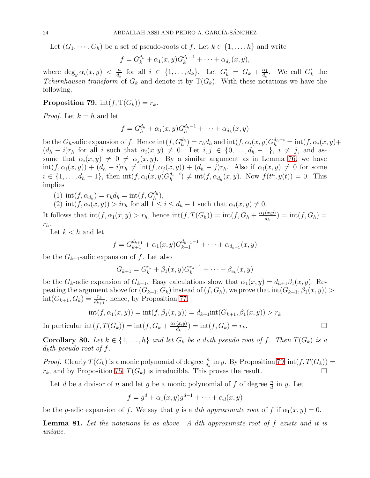Let  $(G_1, \dots, G_h)$  be a set of pseudo-roots of f. Let  $k \in \{1, \dots, h\}$  and write

$$
f = G_k^{d_k} + \alpha_1(x, y)G_k^{d_k - 1} + \cdots + \alpha_{d_k}(x, y),
$$

where  $\deg_y \alpha_i(x, y) < \frac{n}{d_k}$  $\frac{n}{d_k}$  for all  $i \in \{1, \ldots, d_k\}$ . Let  $G'_k = G_k + \frac{\alpha_1}{d_k}$  $\frac{\alpha_1}{d_k}$ . We call  $G'_k$  the Tchirnhausen transform of  $G_k$  and denote it by  $T(G_k)$ . With these notations we have the following.

# <span id="page-23-0"></span>**Proposition 79.** int(f,  $T(G_k)$ ) =  $r_k$ .

*Proof.* Let  $k = h$  and let

$$
f = G_h^{d_h} + \alpha_1(x, y)G_h^{d_h-1} + \cdots + \alpha_{d_h}(x, y)
$$

be the  $G_h$ -adic expansion of f. Hence  $\text{int}(f, G_h^{d_h}) = r_h d_h$  and  $\text{int}(f, \alpha_i(x, y)G_h^{d_h-i} = \text{int}(f, \alpha_i(x, y) +$  $(d_h - i)r_h$  for all i such that  $\alpha_i(x, y) \neq 0$ . Let  $i, j \in \{0, \ldots, d_h - 1\}$ ,  $i \neq j$ , and assume that  $\alpha_i(x, y) \neq 0 \neq \alpha_j(x, y)$ . By a similar argument as in Lemma [76,](#page-22-2) we have  $\text{int}(f, \alpha_i(x, y)) + (d_h - i)r_h \neq \text{int}(f, \alpha_j(x, y)) + (d_h - j)r_h$ . Also if  $\alpha_i(x, y) \neq 0$  for some  $i \in \{1, ..., d_h - 1\}$ , then  $\text{int}(f, \alpha_i(x, y)G_h^{d_h - i})$  $\binom{d_h-i}{h} \neq \text{int}(f, \alpha_{d_h}(x, y)).$  Now  $f(t^n, y(t)) = 0$ . This implies

(1)  $\text{int}(f, \alpha_{d_h}) = r_h d_h = \text{int}(f, G_h^{d_h}),$ 

(2)  $\text{int}(f, \alpha_i(x, y)) > ir_h \text{ for all } 1 \leq i \leq d_h - 1 \text{ such that } \alpha_i(x, y) \neq 0.$ 

It follows that  $\text{int}(f, \alpha_1(x, y) > r_h$ , hence  $\text{int}(f, T(G_h)) = \text{int}(f, G_h + \frac{\alpha_1(x, y)}{d_h})$  $\frac{d(x,y)}{d_h}$  = int $(f, G_h)$  =  $r_h$ .

Let  $k < h$  and let

$$
f = G_{k+1}^{d_{k+1}} + \alpha_1(x, y)G_{k+1}^{d_{k+1}-1} + \dots + \alpha_{d_{k+1}}(x, y)
$$

be the  $G_{k+1}$ -adic expansion of f. Let also

$$
G_{k+1} = G_k^{e_k} + \beta_1(x, y)G_k^{e_k-1} + \dots + \beta_{e_k}(x, y)
$$

be the  $G_k$ -adic expansion of  $G_{k+1}$ . Easy calculations show that  $\alpha_1(x, y) = d_{h+1}\beta_1(x, y)$ . Repeating the argument above for  $(G_{k+1}, G_k)$  instead of  $(f, G_h)$ , we prove that  $\text{int}(G_{k+1}, \beta_1(x, y))$  $int(G_{k+1}, G_k) = \frac{r_k}{d_{k+1}},$  hence, by Proposition [77,](#page-22-0)

$$
int(f, \alpha_1(x, y)) = int(f, \beta_1(x, y)) = d_{k+1}int(G_{k+1}, \beta_1(x, y)) > r_k
$$

In particular  $\text{int}(f, T(G_k)) = \text{int}(f, G_k + \frac{\alpha_1(x,y)}{d_k})$  $\frac{(x,y)}{d_k}$  = int $(f, G_k) = r_k$ .

<span id="page-23-2"></span>**Corollary 80.** Let  $k \in \{1, ..., h\}$  and let  $G_k$  be a  $d_k$ th pseudo root of f. Then  $T(G_k)$  is a  $d_k$ th pseudo root of f.

*Proof.* Clearly  $T(G_k)$  is a monic polynomial of degree  $\frac{n}{d_k}$  in y. By Proposition [79,](#page-23-0)  $int(f, T(G_k)) =$  $r_k$ , and by Proposition [75,](#page-22-1)  $T(G_k)$  is irreducible. This proves the result.

Let d be a divisor of n and let g be a monic polynomial of f of degree  $\frac{n}{d}$  in y. Let

$$
f = gd + \alpha_1(x, y)gd-1 + \dots + \alpha_d(x, y)
$$

be the g-adic expansion of f. We say that g is a dth approximate root of f if  $\alpha_1(x, y) = 0$ .

<span id="page-23-1"></span>**Lemma 81.** Let the notations be as above. A dth approximate root of  $f$  exists and it is unique.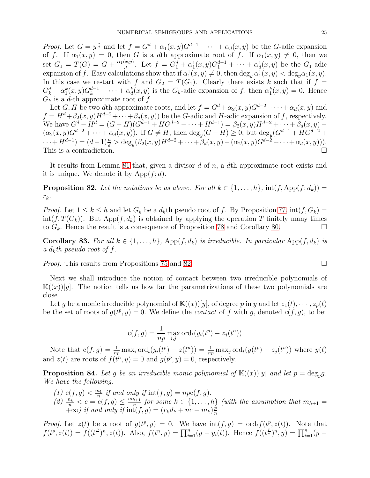*Proof.* Let  $G = y^{\frac{n}{d}}$  and let  $f = G^d + \alpha_1(x, y)G^{d-1} + \cdots + \alpha_d(x, y)$  be the G-adic expansion of f. If  $\alpha_1(x, y) = 0$ , then G is a dth approximate root of f. If  $\alpha_1(x, y) \neq 0$ , then we set  $G_1 = T(G) = G + \frac{\alpha_1(x,y)}{d}$  $\frac{d(x,y)}{d}$ . Let  $f = G_1^d + \alpha_1^1(x,y)G_1^{d-1} + \cdots + \alpha_d^1(x,y)$  be the  $G_1$ -adic expansion of f. Easy calculations show that if  $\alpha_1^1(x, y) \neq 0$ , then  $\deg_y \alpha_1^1(x, y) < \deg_y \alpha_1(x, y)$ . In this case we restart with f and  $G_2 = T(G_1)$ . Clearly there exists k such that if  $f =$  $G_k^d + \alpha_1^k(x, y)G_k^{d-1} + \cdots + \alpha_d^k(x, y)$  is the  $G_k$ -adic expansion of f, then  $\alpha_1^k(x, y) = 0$ . Hence  $G_k$  is a d-th approximate root of f.

Let G, H be two dth approximate roots, and let  $f = G^d + \alpha_2(x, y)G^{d-2} + \cdots + \alpha_d(x, y)$  and  $f = H^d + \beta_2(x, y)H^{d-2} + \cdots + \beta_d(x, y)$  be the G-adic and H-adic expansion of f, respectively. We have  $G^d - H^d = (G - H)(G^{d-1} + HG^{d-2} + \cdots + H^{d-1}) = \beta_2(x, y)H^{d-2} + \cdots + \beta_d(x, y) (\alpha_2(x, y)G^{d-2} + \cdots + \alpha_d(x, y))$ . If  $G \neq H$ , then  $\deg_y(G-H) \geq 0$ , but  $\deg_y(G^{d-1} + HG^{d-2} +$  $\cdots + H^{d-1}) = (d-1)\frac{n}{d} > \deg_y(\beta_2(x, y)H^{d-2} + \cdots + \beta_d(x, y) - (\alpha_2(x, y)G^{d-2} + \cdots + \alpha_d(x, y))).$ This is a contradiction.

It results from Lemma [81](#page-23-1) that, given a divisor  $d$  of  $n$ , a  $d$ th approximate root exists and it is unique. We denote it by  $\mathrm{App}(f;d)$ .

<span id="page-24-0"></span>**Proposition 82.** Let the notations be as above. For all  $k \in \{1, ..., h\}$ ,  $\text{int}(f, \text{App}(f; d_k))$  $r_k$ .

*Proof.* Let  $1 \leq k \leq h$  and let  $G_k$  be a  $d_k$ th pseudo root of f. By Proposition [77,](#page-22-0)  $int(f, G_k)$  =  $int(f, T(G_k))$ . But App $(f, d_k)$  is obtained by applying the operation T finitely many times to  $G_k$ . Hence the result is a consequence of Proposition [78](#page-22-3) and Corollary [80.](#page-23-2)

Corollary 83. For all  $k \in \{1, ..., h\}$ , App $(f, d_k)$  is irreducible. In particular App $(f, d_k)$  is a  $d_k$ th pseudo root of f.

Proof. This results from Propositions [75](#page-22-1) and [82.](#page-24-0)

Next we shall introduce the notion of contact between two irreducible polynomials of  $\mathbb{K}((x))[y]$ . The notion tells us how far the parametrizations of these two polynomials are close.

Let g be a monic irreducible polynomial of  $\mathbb{K}((x))[y]$ , of degree p in y and let  $z_1(t), \cdots, z_p(t)$ be the set of roots of  $g(t^p, y) = 0$ . We define the *contact* of f with g, denoted  $c(f, g)$ , to be:

$$
c(f,g) = \frac{1}{np} \max_{i,j} \text{ord}_t(y_i(t^p) - z_j(t^n))
$$

Note that  $c(f,g) = \frac{1}{np} \max_i \text{ord}_t(y_i(t^p) - z(t^n)) = \frac{1}{np} \max_j \text{ord}_t(y(t^p) - z_j(t^n))$  where  $y(t)$ and  $z(t)$  are roots of  $f(t^n, y) = 0$  and  $g(t^p, y) = 0$ , respectively.

<span id="page-24-1"></span>**Proposition 84.** Let g be an irreducible monic polynomial of  $\mathbb{K}((x))[y]$  and let  $p = deg_y g$ . We have the following.

- (1)  $c(f, g) < \frac{m_1}{n}$  $\frac{n_1}{n}$  if and only if  $\text{int}(f,g) = npc(f,g)$ .
- (2)  $\frac{m_k}{n} < c = c(f, g) \leq \frac{m_{k+1}}{n}$  $\sum_{n=1}^{k+1}$  for some  $k \in \{1, \ldots, h\}$  (with the assumption that  $m_{h+1} =$  $+\infty$ ) if and only if  $\mathrm{int}(f,g) = (r_k d_k + nc - m_k)\frac{p_k}{n}$ n

*Proof.* Let  $z(t)$  be a root of  $g(t^p, y) = 0$ . We have  $\text{int}(f, g) = \text{ord}_t f(t^p, z(t))$ . Note that  $f(t^p, z(t)) = f((t^p)^n, z(t))$ . Also,  $f(t^n, y) = \prod_{i=1}^n (y - y_i(t))$ . Hence  $f((t^p)^n, y) = \prod_{i=1}^n (y - y_i(t))$ .

$$
\Box
$$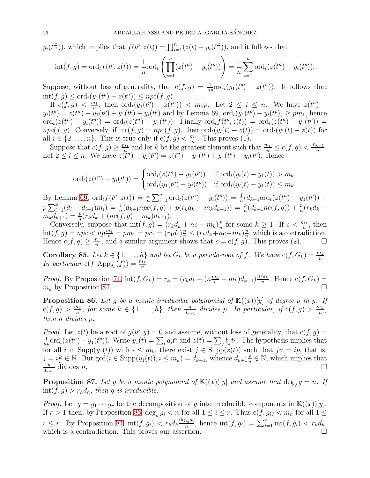$y_i(t^{\frac{p}{n}})$ , which implies that  $f(t^p, z(t)) = \prod_{i=1}^n (z(t) - y_i(t^{\frac{p}{n}}))$ , and it follows that

$$
int(f,g) = ord_t f(t^p, z(t)) = \frac{1}{n} ord_t \left( \prod_{i=1}^n (z(t^n) - y_i(t^p)) \right) = \frac{1}{n} \sum_{i=1}^n ord_t (z(t^n) - y_i(t^p)).
$$

Suppose, without loss of generality, that  $c(f,g) = \frac{1}{np} ord_t(y_1(t^p) - z(t^n))$ . It follows that  $\text{int}(f,g) \le \text{ord}_t(y_1(t^p) - z(t^n)) \le npc(f,g).$ 

If  $c(f, g) < \frac{m_1}{n}$  $\frac{n_1}{n}$ , then  $\mathrm{ord}_t(y_1(t^p) - z(t^n)) < m_1p$ . Let  $2 \leq i \leq n$ . We have  $z(t^n)$  –  $y_i(t^p) = z(t^n) - y_1(t^p) + y_1(t^p) - y_i(t^p)$  and by Lemma 69,  $\text{ord}_t(y_1(t^p) - y_i(t^p)) \geq pm_1$ , hence  $\mathrm{ord}_t(z(t^n) - y_i(t^p)) = \mathrm{ord}_t(z(t^n) - y_1(t^p)).$  Finally  $\mathrm{ord}_t f(t^p, z(t)) = \mathrm{ord}_t(z(t^n) - y_1(t^p)) =$  $npc(f, g)$ . Conversely, if  $int(f, g) = npc(f, g)$ , then  $ord_t(y_i(t) - z(t)) = ord_t(y_1(t) - z(t))$  for all  $i \in \{2, \ldots, n\}$ . This is true only if  $c(f, g) < \frac{m_1}{n}$  $\frac{n_1}{n}$ . This proves (1).

Suppose that  $c(f,g) \geq \frac{m_1}{n}$  $\frac{n_1}{n}$  and let k be the greatest element such that  $\frac{m_k}{n} \le c(f,g) < \frac{m_{k+1}}{n}$  $\frac{k+1}{n}$ . Let  $2 \leq i \leq n$ . We have  $z(i^n) - y_i(t^p) = z(t^n) - y_1(t^p) + y_1(t^p) - y_i(t^p)$ . Hence

$$
\text{ord}_{t}(z(t^{n}) - y_{i}(t^{p})) = \begin{cases} \text{ord}_{t}(z(t^{n}) - y_{1}(t^{p})) & \text{if } \text{ord}_{t}(y_{i}(t) - y_{1}(t)) > m_{k}, \\ \text{ord}_{t}(y_{1}(t^{p}) - y_{i}(t^{p})) & \text{if } \text{ord}_{t}(y_{i}(t) - y_{1}(t)) \leq m_{k}. \end{cases}
$$

By Lemma [69,](#page-19-0)  $\text{ord}_t f(t^p, z(t)) = \frac{1}{n} \sum_{i=1}^n \text{ord}_t(z(t^n) - y_i(t^p)) = \frac{1}{n} (d_{k+1} \text{ord}_t(z(t^n) - y_1(t^p)) +$  $p\sum_{i=1}^{k}(d_i-d_{i+1})m_i) = \frac{1}{n}(d_{k+1}npc(f,g) + p(r_kd_k - m_kd_{k+1})) = \frac{p}{n}(d_{k+1}nc(f,g)) + \frac{p}{n}(r_kd_k - m_kd_{k+1})$  $m_k d_{k+1}) = \frac{p}{n} (r_k d_k + (nc(\hat{f}, g) - m_k) d_{k+1}).$ 

Conversely, suppose that  $\mathrm{int}(f,g) = (r_k d_k + nc - m_k) \frac{p}{n}$  $\frac{p}{n}$  for some  $k \geq 1$ . If  $c < \frac{m_1}{n}$ , then  $\text{int}(f,g) = npc < np\frac{m_1}{n} = pm_1 = pr_1 = (r_1d_1)\frac{p}{n} \le (r_kd_k + nc - m_k)\frac{p}{n}$  $\frac{p}{n}$ , which is a contradiction. Hence  $c(f,g) \geq \frac{m_1}{n}$  $\frac{n_1}{n_2}$ , and a similar argument shows that  $c = c(f, g)$ . This proves (2).

**Corollary 85.** Let  $k \in \{1, \ldots, h\}$  and let  $G_k$  be a pseudo-root of f. We have  $c(f, G_k) = \frac{m_k}{n}$ . In particular  $c(f, \mathrm{App}_{d_k}(f)) = \frac{m_k}{n}$ .

*Proof.* By Proposition [71,](#page-20-1)  $int(f, G_k) = r_k = (r_k d_k + (n \frac{m_k}{n} - m_k) d_{k+1}) \frac{n/d_k}{n}$  $\frac{a_k}{n}$ . Hence  $c(f, G_k) =$  $m_k$  by Proposition [84.](#page-24-1)

<span id="page-25-0"></span>**Proposition 86.** Let g be a monic irreducible polynomial of  $\mathbb{K}((x))[y]$  of degree p in y. If  $c(f,g) > \frac{m_k}{n}$  $\frac{n_k}{n}$ , for some  $k \in \{1, ..., h\}$ , then  $\frac{n}{d_{k+1}}$  divides p. In particular, if  $c(f, g) > \frac{m_h}{n}$  $\frac{n_h}{n}$ , then n divides p.

*Proof.* Let  $z(t)$  be a root of  $g(t^p, y) = 0$  and assume, without loss of generality, that  $c(f, g) =$ 1  $\frac{1}{np}$ ord<sub>t</sub> $(z(t^n) - y_1(t^p))$ . Write  $y_1(t) = \sum_i a_i t^i$  and  $z(t) = \sum_j b_j t^j$ . The hypothesis implies that for all i in Supp $(y_1(t))$  with  $i \leq m_k$ , there exist  $j \in \text{Supp}(z(t))$  such that  $jn = ip$ , that is,  $j = i\frac{p}{n}$  $\frac{p}{n} \in \mathbb{N}$ . But  $gcd(i \in \text{Supp}(y_1(t)), i \leq m_k) = d_{k+1}$ , whence  $d_{k+1} \frac{p}{n}$  $\frac{p}{n} \in \mathbb{N}$ , which implies that n  $d_{k+1}$ divides *n*.

<span id="page-25-1"></span>**Proposition 87.** Let g be a monic polynomial of  $\mathbb{K}((x))[y]$  and assume that  $\deg_y g = n$ . If  $\text{int}(f,g) > r_h d_h$ , then g is irreducible.

*Proof.* Let  $g = g_1 \cdots g_r$  be the decomposition of g into irreducible components in  $\mathbb{K}((x))[y]$ . If  $r > 1$  then, by Proposition [86,](#page-25-0)  $\deg_y g_i < n$  for all  $1 \leq i \leq r$ . Thus  $c(f, g_i) < m_h$  for all  $1 \leq$  $i \leq r$ . By Proposition [84,](#page-24-1)  $\mathrm{int}(f, g_i) < r_h d_h \frac{\deg_y g_i}{n}$  $\frac{g_y g_i}{n}$ , hence  $\text{int}(f, g_i) = \sum_{i=1}^r \text{int}(f, g_i) < r_h d_h$ , which is a contradiction. This proves our assertion.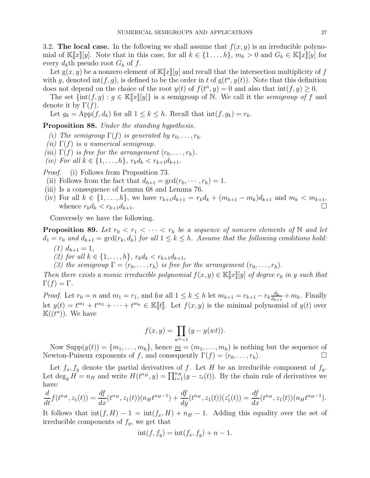<span id="page-26-0"></span>3.2. The local case. In the following we shall assume that  $f(x, y)$  is an irreducible polynomial of  $\mathbb{K}[x][y]$ . Note that in this case, for all  $k \in \{1 \ldots, h\}$ ,  $m_k > 0$  and  $G_k \in \mathbb{K}[x][y]$  for every  $d_k$ th pseudo root  $G_k$  of f.

Let  $g(x, y)$  be a nonzero element of  $\mathbb{K}[x][y]$  and recall that the intersection multiplicity of f with g, denoted  $\text{int}(f, g)$ , is defined to be the order in t of  $g(t^n, y(t))$ . Note that this definition does not depend on the choice of the root  $y(t)$  of  $f(t^n, y) = 0$  and also that  $\text{int}(f, g) \geq 0$ .

The set  $\{\text{int}(f,g) : g \in \mathbb{K}\llbracket x \rrbracket[y] \}$  is a semigroup of N. We call it the *semigroup of f* and denote it by  $\Gamma(f)$ .

Let  $g_k = \text{App}(f, d_k)$  for all  $1 \leq k \leq h$ . Recall that  $\text{int}(f, g_k) = r_k$ .

Proposition 88. Under the standing hypothesis.

- (i) The semigroup  $\Gamma(f)$  is generated by  $r_0, \ldots, r_h$ .
- (ii)  $\Gamma(f)$  is a numerical semigroup.
- (iii)  $\Gamma(f)$  is free for the arrangement  $(r_0, \ldots, r_h)$ .
- (iv) For all  $k \in \{1, ..., h\}$ ,  $r_k d_k < r_{k+1} d_{k+1}$ .

Proof. (i) Follows from Proposition 73.

- (ii) Follows from the fact that  $d_{h+1} = \gcd(r_0, \dots, r_h) = 1$ .
- (iii) Is a consequence of Lemma 68 and Lemma 76.
- (iv) For all  $k \in \{1, ..., h\}$ , we have  $r_{k+1}d_{k+1} = r_kd_k + (m_{k+1} m_k)d_{k+1}$  and  $m_k < m_{k+1}$ , whence  $r_k d_k < r_{k+1} d_{k+1}$ .

Conversely we have the following.

**Proposition 89.** Let  $r_0 < r_1 < \cdots < r_h$  be a sequence of nonzero elements of N and let  $d_1 = r_0$  and  $d_{k+1} = \gcd(r_k, d_k)$  for all  $1 \leq k \leq h$ . Assume that the following conditions hold: (1)  $d_{h+1} = 1$ ,

- (2) for all  $k \in \{1, ..., h\}$ ,  $r_k d_k < r_{k+1} d_{k+1}$ ,
- (3) the semigroup  $\Gamma = \langle r_0, \ldots, r_h \rangle$  is free for the arrangement  $(r_0, \ldots, r_h)$ .

Then there exists a monic irreducible polynomial  $f(x, y) \in \mathbb{K}[[x][y]]$  of degree  $r_0$  in y such that  $\Gamma(f) = \Gamma$ .

*Proof.* Let  $r_0 = n$  and  $m_1 = r_1$ , and for all  $1 \leq k \leq h$  let  $m_{k+1} = r_{k+1} - r_k \frac{d_k}{d_{k+1}}$  $\frac{d_k}{d_{k+1}} + m_k$ . Finally let  $y(t) = t^{m_1} + t^{m_2} + \cdots + t^{m_h} \in \mathbb{K}[\![t]\!]$ . Let  $f(x, y)$  is the minimal polynomial of  $y(t)$  over  $\mathbb{K}((t^n))$ . We have

$$
f(x, y) = \prod_{w^n = 1} (y - y(wt)).
$$

Now  $\text{Supp}(y(t)) = \{m_1, \ldots, m_h\}$ , hence  $\underline{m} = (m_1, \ldots, m_h)$  is nothing but the sequence of Newton-Puiseux exponents of f, and consequently  $\Gamma(f) = \langle r_0, \ldots, r_h \rangle$ .

Let  $f_x, f_y$  denote the partial derivatives of f. Let H be an irreducible component of  $f_y$ . Let  $\deg_y H = n_H$  and write  $H(t^{n_H}, y) = \prod_{i=1}^{n_H} (y - z_i(t))$ . By the chain rule of derivatives we have:

$$
\frac{d}{dt}f(t^{n_H}, z_1(t)) = \frac{df}{dx}(t^{n_H}, z_1(t))(n_H t^{n_H - 1}) + \frac{df}{dy}(t^{n_H}, z_1(t))(z'_1(t)) = \frac{df}{dx}(t^{n_H}, z_1(t))(n_H t^{n_H - 1}).
$$

It follows that  $\text{int}(f, H) - 1 = \text{int}(f_x, H) + n_H - 1$ . Adding this equality over the set of irreducible components of  $f_y$ , we get that

$$
int(f, f_y) = int(f_x, f_y) + n - 1.
$$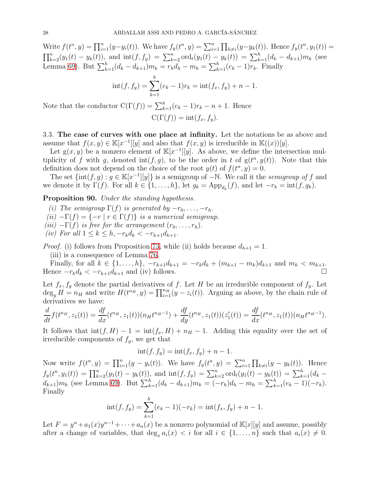Write  $f(t^n, y) = \prod_{i=1}^n (y - y_i(t))$ . We have  $f_y(t^n, y) = \sum_{i=1}^n \prod_{k \neq i} (y - y_k(t))$ . Hence  $f_y(t^n, y_1(t)) =$  $\prod_{k=2}^{n}(y_1(t) - y_k(t))$ , and  $\text{int}(f, f_y) = \sum_{k=2}^{n} \text{ord}_t(y_1(t) - y_k(t)) = \sum_{k=1}^{h}(d_k - d_{k+1})m_k$  (see Lemma [69\)](#page-19-0). But  $\sum_{k=1}^{h} (d_k - d_{k+1}) m_k = r_h d_h - m_h = \sum_{k=1}^{h} (e_k - 1) r_k$ . Finally

$$
int(f, f_y) = \sum_{k=1}^{h} (e_k - 1)r_k = int(f_x, f_y) + n - 1.
$$

Note that the conductor  $C(\Gamma(f)) = \sum_{k=1}^{h} (e_k - 1)r_k - n + 1$ . Hence  $C(\Gamma(f)) = \text{int}(f_x, f_y).$ 

<span id="page-27-0"></span>3.3. The case of curves with one place at infinity. Let the notations be as above and assume that  $f(x, y) \in \mathbb{K}[x^{-1}][y]$  and also that  $f(x, y)$  is irreducible in  $\mathbb{K}((x))[y]$ .

Let  $g(x, y)$  be a nonzero element of  $\mathbb{K}[x^{-1}][y]$ . As above, we define the intersection multiplicity of f with g, denoted  $\text{int}(f, g)$ , to be the order in t of  $g(t^n, y(t))$ . Note that this definition does not depend on the choice of the root  $y(t)$  of  $f(t^n, y) = 0$ .

The set  $\{\text{int}(f,g): g \in \mathbb{K}[x^{-1}][y]\}$  is a semigroup of  $-\mathbb{N}$ . We call it the *semigroup of f* and we denote it by  $\Gamma(f)$ . For all  $k \in \{1, ..., h\}$ , let  $g_k = \mathrm{App}_{d_k}(f)$ , and let  $-r_k = \mathrm{int}(f, g_k)$ .

Proposition 90. Under the standing hypothesis.

(i) The semigroup  $\Gamma(f)$  is generated by  $-r_0, \ldots, -r_h$ .

(ii)  $-\Gamma(f) = \{-r \mid r \in \Gamma(f)\}\$ is a numerical semigroup.

(iii)  $-\Gamma(f)$  is free for the arrangement  $(r_0, \ldots, r_h)$ .

(iv) For all  $1 \leq k \leq h, -r_k d_k < -r_{k+1} d_{k+1}.$ 

*Proof.* (i) follows from Proposition [73,](#page-21-1) while (ii) holds because  $d_{h+1} = 1$ .

(iii) is a consequence of Lemma [76.](#page-22-2)

Finally, for all  $k \in \{1, ..., h\}$ ,  $-r_{k+1}d_{k+1} = -r_kd_k + (m_{k+1} - m_k)d_{k+1}$  and  $m_k < m_{k+1}$ . Hence  $-r_kd_k < -r_{k+1}d_{k+1}$  and (iv) follows.

Let  $f_x, f_y$  denote the partial derivatives of f. Let H be an irreducible component of  $f_y$ . Let  $\deg_y H = n_H$  and write  $H(t^{n_H}, y) = \prod_{i=1}^{n_H} (y - z_i(t))$ . Arguing as above, by the chain rule of derivatives we have:

$$
\frac{d}{dt}f(t^{n_H}, z_1(t)) = \frac{df}{dx}(t^{n_H}, z_1(t))(n_Ht^{n_H-1}) + \frac{df}{dy}(t^{n_H}, z_1(t))(z'_1(t)) = \frac{df}{dx}(t^{n_H}, z_1(t))(n_Ht^{n_H-1}).
$$

It follows that  $\text{int}(f, H) - 1 = \text{int}(f_x, H) + n_H - 1$ . Adding this equality over the set of irreducible components of  $f_y$ , we get that

$$
int(f, f_y) = int(f_x, f_y) + n - 1.
$$

Now write  $f(t^n, y) = \prod_{i=1}^n (y - y_i(t))$ . We have  $f_y(t^n, y) = \sum_{i=1}^n \prod_{k \neq i} (y - y_k(t))$ . Hence  $f_y(t^n, y_1(t)) = \prod_{k=2}^n (y_1(t) - y_k(t))$ , and  $\text{int}(f, f_y) = \sum_{k=2}^n \text{ord}_t(y_1(t) - y_k(t)) = \sum_{k=1}^n (d_k (d_{k+1})m_k$  (see Lemma [69\)](#page-19-0). But  $\sum_{k=1}^h (d_k - d_{k+1})m_k = (-r_h)d_h - m_h = \sum_{k=1}^h (e_k - 1)(-r_k)$ . Finally

$$
int(f, f_y) = \sum_{k=1}^{h} (e_k - 1)(-r_k) = int(f_x, f_y) + n - 1.
$$

Let  $F = y^n + a_1(x)y^{n-1} + \cdots + a_n(x)$  be a nonzero polynomial of  $\mathbb{K}[x][y]$  and assume, possibly after a change of variables, that  $\deg_x a_i(x) < i$  for all  $i \in \{1, \ldots, n\}$  such that  $a_i(x) \neq 0$ .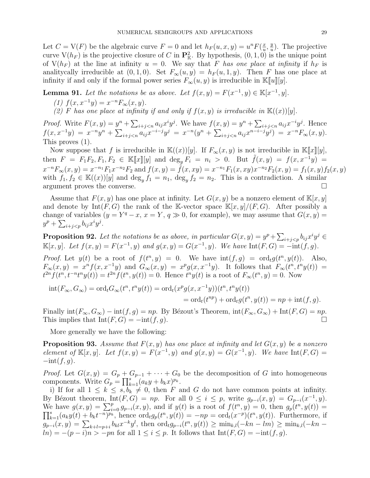Let  $C = V(F)$  be the algebraic curve  $F = 0$  and let  $h_F(u, x, y) = u^n F(\frac{x}{u})$  $\frac{x}{u}, \frac{y}{u}$  $\frac{y}{u}$ ). The projective curve  $V(h_F)$  is the projective closure of C in  $\mathbf{P}_{\mathbb{K}}^2$ . By hypothesis,  $(0,1,0)$  is the unique point of  $V(h_F)$  at the line at infinity  $u = 0$ . We say that F has one place at infinity if  $h_F$  is analitycally irreducible at  $(0, 1, 0)$ . Set  $F_{\infty}(u, y) = h_F(u, 1, y)$ . Then F has one place at infinity if and only if the formal power series  $F_{\infty}(u, y)$  is irreducible in K[u][y].

<span id="page-28-1"></span>**Lemma 91.** Let the notations be as above. Let  $f(x, y) = F(x^{-1}, y) \in \mathbb{K}[x^{-1}, y]$ .

- (1)  $f(x, x^{-1}y) = x^{-n} F_{\infty}(x, y).$
- (2) F has one place at infinity if and only if  $f(x, y)$  is irreducible in  $\mathbb{K}((x))[y]$ .

*Proof.* Write  $F(x, y) = y^n + \sum_{i+j \le n} a_{ij} x^i y^j$ . We have  $f(x, y) = y^n + \sum_{i+j \le n} a_{ij} x^{-i} y^j$ . Hence  $f(x, x^{-1}y) = x^{-n}y^n + \sum_{i+j < n} a_{ij}x^{-i-j}y^j = x^{-n}(y^n + \sum_{i+j < n} a_{ij}x^{n-i-j}y^j) = x^{-n}F_\infty(x, y).$ This proves (1).

Now suppose that f is irreducible in  $\mathbb{K}((x))[y]$ . If  $F_{\infty}(x, y)$  is not irreducible in  $\mathbb{K}[[x][y],$ then  $F = F_1F_2, F_1, F_2 \in \mathbb{K}[\![x]\!][y]$  and  $\deg_y F_i = n_i > 0$ . But  $\tilde{f}(x, y) = f(x, x^{-1}y) =$  $x^{-n}F_{\infty}(x,y) = x^{-n_1}F_1x^{-n_2}F_2$  and  $f(x,y) = \tilde{f}(x,xy) = x^{-n_1}F_1(x,xy)x^{-n_2}F_2(x,y) = f_1(x,y)f_2(x,y)$ with  $f_1, f_2 \in K((x))[y]$  and  $\deg_y f_1 = n_1$ ,  $\deg_y f_2 = n_2$ . This is a contradiction. A similar argument proves the converse.

Assume that  $F(x, y)$  has one place at infinity. Let  $G(x, y)$  be a nonzero element of  $\mathbb{K}[x, y]$ and denote by  $Int(F, G)$  the rank of the K-vector space  $\mathbb{K}[x, y]/(F, G)$ . After possibly a change of variables  $(y = Y^q - x, x = Y, q \gg 0)$ , for example), we may assume that  $G(x, y) =$  $y^p + \sum_{i+j.$ 

<span id="page-28-0"></span>**Proposition 92.** Let the notations be as above, in particular  $G(x, y) = y^p + \sum_{i+j < p} b_{ij} x^i y^j \in$  $\mathbb{K}[x, y]$ . Let  $f(x, y) = F(x^{-1}, y)$  and  $g(x, y) = G(x^{-1}, y)$ . We have  $\text{Int}(F, G) = -\text{int}(f, g)$ .

*Proof.* Let  $y(t)$  be a root of  $f(t^n, y) = 0$ . We have  $int(f, g) = ord_t g(t^n, y(t))$ . Also,  $F_{\infty}(x,y) = x^n f(x,x^{-1}y)$  and  $G_{\infty}(x,y) = x^p g(x,x^{-1}y)$ . It follows that  $F_{\infty}(t^n,t^n y(t)) =$  $t^{2n} f(t^n, t^{-n} t^n y(t)) = t^{2n} f(t^n, y(t)) = 0.$  Hence  $t^n y(t)$  is a root of  $F_{\infty}(t^n, y) = 0.$  Now

$$
int(F_{\infty}, G_{\infty}) = ord_t G_{\infty}(t^n, t^n y(t)) = ord_t(x^p g(x, x^{-1}y))(t^n, t^n y(t))
$$
  
= ord\_t(t^{np}) + ord\_t g(t^n, y(t)) = np + int(f, g).

Finally  $\text{int}(F_{\infty}, G_{\infty}) - \text{int}(f, g) = np$ . By Bézout's Theorem,  $\text{int}(F_{\infty}, G_{\infty}) + \text{Int}(F, G) = np$ . This implies that  $\text{Int}(F, G) = -\text{int}(f, g)$ .

More generally we have the following:

**Proposition 93.** Assume that  $F(x, y)$  has one place at infinity and let  $G(x, y)$  be a nonzero element of  $\mathbb{K}[x, y]$ . Let  $f(x, y) = F(x^{-1}, y)$  and  $g(x, y) = G(x^{-1}, y)$ . We have  $\text{Int}(F, G) =$  $-\text{int}(f, q)$ .

*Proof.* Let  $G(x, y) = G_p + G_{p-1} + \cdots + G_0$  be the decomposition of G into homogeneous components. Write  $G_p = \prod_{k=1}^s (a_k y + b_k x)^{p_k}$ .

i) If for all  $1 \leq k \leq s, b_k \neq 0$ , then F and G do not have common points at infinity. By Bézout theorem, Int $(F, G) = np$ . For all  $0 \le i \le p$ , write  $g_{p-i}(x, y) = G_{p-i}(x^{-1}, y)$ . We have  $g(x, y) = \sum_{i=0}^{p} g_{p-i}(x, y)$ , and if  $y(t)$  is a root of  $f(t^n, y) = 0$ , then  $g_p(t^n, y(t)) = 0$  $\prod_{k=1}^s (a_k y(t) + b_k t^{-n})^{p_k}$ , hence  $\text{ord}_t g_p(t^n, y(t)) = -np = \text{ord}_t(x^{-p})(t^n, y(t))$ . Furthermore, if  $g_{p-i}(x,y) = \sum_{k+l=p+i} b_{kl} x^{-k} y^l$ , then  $\text{ord}_t g_{p-i}(t^n, y(t)) \ge \min_{k,l} (-kn - lm) \ge \min_{k,l} (-kn - lm)$  $\ln(n) = -(p-i)n > -pn$  for all  $1 \leq i \leq p$ . It follows that  $\text{Int}(F, G) = -\text{int}(f, g)$ .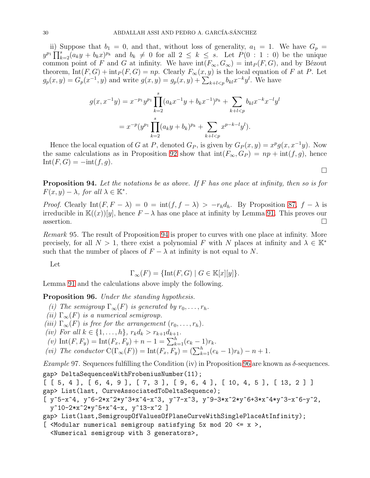ii) Suppose that  $b_1 = 0$ , and that, without loss of generality,  $a_1 = 1$ . We have  $G_p =$  $y^{p_1} \prod_{k=2}^s (a_k y + b_k x)^{p_k}$  and  $b_k \neq 0$  for all  $2 \leq k \leq s$ . Let  $P(0:1:0)$  be the unique common point of F and G at infinity. We have  $\text{int}(F_{\infty}, G_{\infty}) = \text{int}_P (F, G)$ , and by Bézout theorem,  $Int(F, G) + int_P(F, G) = np$ . Clearly  $F_\infty(x, y)$  is the local equation of F at P. Let  $g_p(x, y) = G_p(x^{-1}, y)$  and write  $g(x, y) = g_p(x, y) + \sum_{k+l < p} b_{kl} x^{-k} y^l$ . We have

$$
g(x, x^{-1}y) = x^{-p_1}y^{p_1} \prod_{k=2}^{s} (a_k x^{-1}y + b_k x^{-1})^{p_k} + \sum_{k+l < p} b_{kl} x^{-k} x^{-l} y^l
$$
  
= 
$$
x^{-p} (y^{p_1} \prod_{k=2}^{s} (a_k y + b_k)^{p_k} + \sum_{k+l < p} x^{p-k-l} y^l).
$$

Hence the local equation of G at P, denoted  $G_P$ , is given by  $G_P(x,y) = x^p g(x, x^{-1}y)$ . Now the same calculations as in Proposition [92](#page-28-0) show that  $\text{int}(F_{\infty}, G_P) = np + \text{int}(f, g)$ , hence  $Int(F, G) = -int(f, g).$ 

 $\Box$ 

<span id="page-29-0"></span>**Proposition 94.** Let the notations be as above. If F has one place at infinity, then so is for  $F(x, y) - \lambda$ , for all  $\lambda \in \mathbb{K}^*$ .

*Proof.* Clearly Int $(F, F - \lambda) = 0 = \text{int}(f, f - \lambda) > -r_h d_h$ . By Proposition [87,](#page-25-1)  $f - \lambda$  is irreducible in  $\mathbb{K}((x))[y]$ , hence  $F - \lambda$  has one place at infinity by Lemma [91.](#page-28-1) This proves our assertion.  $\square$ 

Remark 95. The result of Proposition [94](#page-29-0) is proper to curves with one place at infinity. More precisely, for all  $N > 1$ , there exist a polynomial F with N places at infinity and  $\lambda \in \mathbb{K}^*$ such that the number of places of  $F - \lambda$  at infinity is not equal to N.

Let

$$
\Gamma_{\infty}(F) = {\text{Int}(F, G) \mid G \in \mathbb{K}[x][y]}.
$$

Lemma [91](#page-28-1) and the calculations above imply the following.

<span id="page-29-1"></span>Proposition 96. Under the standing hypothesis.

- (i) The semigroup  $\Gamma_{\infty}(F)$  is generated by  $r_0, \ldots, r_h$ .
- (ii)  $\Gamma_{\infty}(F)$  is a numerical semigroup.
- (iii)  $\Gamma_{\infty}(F)$  is free for the arrangement  $(r_0, \ldots, r_h)$ .
- (iv) For all  $k \in \{1, ..., h\}$ ,  $r_k d_k > r_{k+1} d_{k+1}$ .
- (v)  $\text{Int}(F, F_y) = \text{Int}(F_x, F_y) + n 1 = \sum_{k=1}^{h} (e_k 1)r_k.$
- (vi) The conductor  $C(\Gamma_{\infty}(F)) = \text{Int}(F_x, F_y) = (\sum_{k=1}^{h} (e_k 1)r_k) n + 1.$

Example 97. Sequences fulfilling the Condition (iv) in Proposition [96](#page-29-1) are known as  $\delta$ -sequences. gap> DeltaSequencesWithFrobeniusNumber(11);

[ [ 5, 4 ], [ 6, 4, 9 ], [ 7, 3 ], [ 9, 6, 4 ], [ 10, 4, 5 ], [ 13, 2 ] ] gap> List(last, CurveAssociatedToDeltaSequence);

[ $y^5-x^4$ ,  $y^6-2*x^2*y^3+x^4-x^3$ ,  $y^7-x^3$ ,  $y^9-3*x^2*y^6+3*x^4*y^3-x^6-y^2$ , y^10-2\*x^2\*y^5+x^4-x, y^13-x^2 ]

```
gap> List(last,SemigroupOfValuesOfPlaneCurveWithSinglePlaceAtInfinity);
```
[  $\leq$ Modular numerical semigroup satisfying 5x mod 20  $\leq$  x >, <Numerical semigroup with 3 generators>,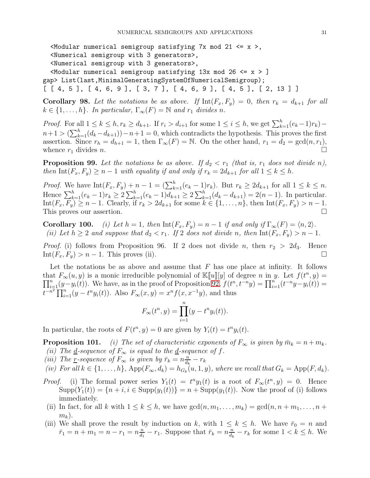$<$ Modular numerical semigroup satisfying 7x mod 21  $<=$  x >, <Numerical semigroup with 3 generators>, <Numerical semigroup with 3 generators>,  $\leq$ Modular numerical semigroup satisfying 13x mod 26  $\leq$  x > ] gap> List(last,MinimalGeneratingSystemOfNumericalSemigroup);

 $[ [ [ 4, 5 ], [ 4, 6, 9 ], [ 3, 7 ], [ 4, 6, 9 ], [ 4, 5 ], [ 2, 13 ] ]$ 

<span id="page-30-0"></span>Corollary 98. Let the notations be as above. If  $\text{Int}(F_x, F_y) = 0$ , then  $r_k = d_{k+1}$  for all  $k \in \{1, \ldots, h\}$ . In particular,  $\Gamma_{\infty}(F) = \mathbb{N}$  and  $r_1$  divides n.

*Proof.* For all  $1 \leq k \leq h, r_k \geq d_{k+1}$ . If  $r_i > d_{i+1}$  for some  $1 \leq i \leq h$ , we get  $\sum_{k=1}^{h} (e_k - 1)r_k$  –  $n+1 > (\sum_{k=1}^{h} (d_k - d_{k+1})) - n+1 = 0$ , which contradicts the hypothesis. This proves the first assertion. Since  $r_h = d_{h+1} = 1$ , then  $\Gamma_\infty(F) = \mathbb{N}$ . On the other hand,  $r_1 = d_2 = \gcd(n, r_1)$ , whence  $r_1$  divides n.

<span id="page-30-1"></span>**Proposition 99.** Let the notations be as above. If  $d_2 < r_1$  (that is,  $r_1$  does not divide n), then  $\text{Int}(F_x, F_y) \geq n-1$  with equality if and only if  $r_k = 2d_{k+1}$  for all  $1 \leq k \leq h$ .

*Proof.* We have  $\text{Int}(F_x, F_y) + n - 1 = (\sum_{k=1}^h (e_k - 1)r_k)$ . But  $r_k \geq 2d_{k+1}$  for all  $1 \leq k \leq n$ . Hence  $\sum_{k=1}^{h} (e_k - 1)r_k \ge 2\sum_{k=1}^{h} (e_k - 1)d_{k+1} \ge 2\sum_{k=1}^{h} (d_k - d_{k+1}) = 2(n-1)$ . In particular.  $\text{Int}(F_x, F_y) \ge n - 1$ . Clearly, if  $r_k > 2d_{k+1}$  for some  $k \in \{1, \ldots, n\}$ , then  $\text{Int}(F_x, F_y) > n - 1$ . This proves our assertion.  $\square$ 

**Corollary 100.** (i) Let  $h = 1$ , then  $\text{Int}(F_x, F_y) = n - 1$  if and only if  $\Gamma_{\infty}(F) = \langle n, 2 \rangle$ . (ii) Let  $h \geq 2$  and suppose that  $d_2 < r_1$ . If 2 does not divide n, then  $\text{Int}(F_x, F_y) > n - 1$ .

*Proof.* (i) follows from Proposition 96. If 2 does not divide n, then  $r_2 > 2d_3$ . Hence  $\text{Int}(F_x, F_y) > n - 1$ . This proves (ii).

Let the notations be as above and assume that  $F$  has one place at infinity. It follows that  $F_{\infty}(u, y)$  is a monic irreducible polynomial of  $\mathbb{K}[[u]][y]$  of degree n in y. Let  $f(t^n, y) =$  $\prod_{i=1}^n(y-y_i(t))$ . We have, as in the proof of Proposition  $92, f(t^n, t^{-n}y) = \prod_{i=1}^n(t^{-n}y-y_i(t))$  $t^{-n^2} \prod_{i=1}^n (y - t^n y_i(t))$ . Also  $F_{\infty}(x, y) = x^n f(x, x^{-1}y)$ , and thus

$$
F_{\infty}(t^n, y) = \prod_{i=1}^n (y - t^n y_i(t)).
$$

In particular, the roots of  $F(t^n, y) = 0$  are given by  $Y_i(t) = t^n y_i(t)$ .

**Proposition 101.** (i) The set of characteristic exponents of  $F_{\infty}$  is given by  $\bar{m}_k = n + m_k$ . (ii) The <u>d</u>-sequence of  $F_{\infty}$  is equal to the <u>d</u>-sequence of f.

(iii) The r-sequence of  $F_{\infty}$  is given by  $\bar{r}_k = n \frac{n}{d_k}$  $\frac{n}{d_k}-r_k$ 

$$
(iv) For all  $k \in \{1, ..., h\}$ ,  $\text{App}(F_{\infty}, d_k) = h_{G_k}(u, 1, y)$ , where we recall that  $G_k = \text{App}(F, d_k)$ .
$$

- *Proof.* (i) The formal power series  $Y_1(t) = t^n y_1(t)$  is a root of  $F_\infty(t^n, y) = 0$ . Hence  $\text{Supp}(Y_1(t)) = \{n+i, i \in \text{Supp}(y_1(t))\} = n + \text{Supp}(y_1(t))$ . Now the proof of (i) follows immediately.
- (ii) In fact, for all k with  $1 \leq k \leq h$ , we have  $gcd(n, m_1, \ldots, m_k) = gcd(n, n + m_1, \ldots, n + k)$  $m_k$ ).
- (iii) We shall prove the result by induction on k, with  $1 \leq k \leq h$ . We have  $\bar{r}_0 = n$  and  $\bar{r}_1 = n + m_1 = n - r_1 = n \frac{n}{d_1}$  $\frac{n}{d_1} - r_1$ . Suppose that  $\bar{r}_k = n \frac{n}{d_k}$  $\frac{n}{d_k} - r_k$  for some  $1 < k \leq h$ . We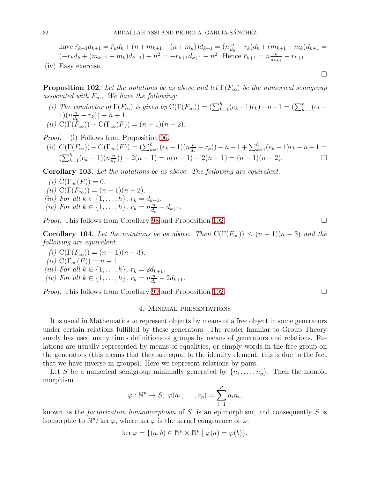have 
$$
\bar{r}_{k+1}d_{k+1} = \bar{r}_k d_k + (n + m_{k+1} - (n + m_k))d_{k+1} = (n \frac{n}{d_k} - r_k)d_k + (m_{k+1} - m_k)d_{k+1} = (-r_kd_k + (m_{k+1} - m_k)d_{k+1}) + n^2 = -r_{k+1}d_{k+1} + n^2
$$
. Hence  $\bar{r}_{k+1} = n \frac{n}{d_{k+1}} - r_{k+1}$ .  
(iv) Easy exercise.

<span id="page-31-1"></span>**Proposition 102.** Let the notations be as above and let  $\Gamma(F_{\infty})$  be the numerical semigroup associated with  $F_{\infty}$ . We have the following:

(i) The conductor of  $\Gamma(F_{\infty})$  is given by  $C(\Gamma(F_{\infty})) = (\sum_{k=1}^{h} (e_k - 1)\overline{r}_k) - n + 1 = (\sum_{k=1}^{h} (e_k 1)(n\frac{n}{d}$  $\frac{n}{d_k} - r_k)$ ) –  $n + 1$ . (ii)  $C(\Gamma(F_{\infty})) + C(\Gamma_{\infty}(F)) = (n-1)(n-2).$ 

Proof. (i) Follows from Proposition [96.](#page-29-1)

(ii) 
$$
C(\Gamma(F_{\infty})) + C(\Gamma_{\infty}(F)) = (\sum_{k=1}^{h} (e_k - 1)(n \frac{n}{d_k} - r_k)) - n + 1 + \sum_{k=1}^{h} (e_k - 1)r_k - n + 1 =
$$
  
 $(\sum_{k=1}^{h} (e_k - 1)(n \frac{n}{d_k})) - 2(n - 1) = n(n - 1) - 2(n - 1) = (n - 1)(n - 2).$ 

Corollary 103. Let the notations be as above. The following are equivalent.

(i)  $C(\Gamma_\infty(F)) = 0.$ (ii)  $C(\Gamma(F_{\infty})) = (n-1)(n-2)$ . (iii) For all  $k \in \{1, ..., h\}$ ,  $r_k = d_{k+1}$ . (iv) For all  $k \in \{1,\ldots,h\}$ ,  $\bar{r}_k = n \frac{n}{d_k}$  $\frac{n}{d_k} - d_{k+1}.$ 

*Proof.* This follows from Corollary [98](#page-30-0) and Proposition [102.](#page-31-1)

**Corollary 104.** Let the notations be as above. Then  $C(\Gamma(F_{\infty})) \leq (n-1)(n-3)$  and the following are equivalent.

(i)  $C(\Gamma(F_{\infty})) = (n-1)(n-3)$ . (ii)  $C(\Gamma_\infty(F)) = n - 1$ . (iii) For all  $k \in \{1, ..., h\}$ ,  $r_k = 2d_{k+1}$ . (iv) For all  $k \in \{1,\ldots,h\}$ ,  $\bar{r}_k = n \frac{n}{d_k}$  $\frac{n}{d_k} - 2d_{k+1}.$ 

<span id="page-31-0"></span>*Proof.* This follows from Corollary [99](#page-30-1) and Proposition [102.](#page-31-1)

### 4. Minimal presentations

It is usual in Mathematics to represent objects by means of a free object in some generators under certain relations fulfilled by these generators. The reader familiar to Group Theory surely has used many times definitions of groups by means of generators and relations. Relations are usually represented by means of equalities, or simply words in the free group on the generators (this means that they are equal to the identity element; this is due to the fact that we have inverse in groups). Here we represent relations by pairs.

Let S be a numerical semigroup minimally generated by  $\{n_1, \ldots, n_p\}$ . Then the monoid morphism

$$
\varphi : \mathbb{N}^p \to S, \ \varphi(a_1, \ldots, a_p) = \sum_{i=1}^p a_i n_i,
$$

known as the *factorization homomorphism* of S, is an epimorphism, and consequently S is isomorphic to  $\mathbb{N}^p$  ker  $\varphi$ , where ker  $\varphi$  is the kernel congruence of  $\varphi$ :

$$
\ker \varphi = \{ (a, b) \in \mathbb{N}^p \times \mathbb{N}^p \mid \varphi(a) = \varphi(b) \}.
$$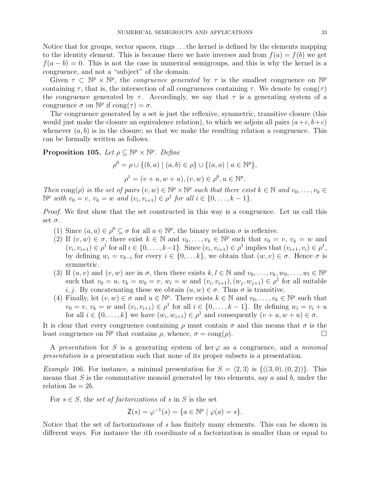Notice that for groups, vector spaces, rings . . . the kernel is defined by the elements mapping to the identity element. This is because there we have inverses and from  $f(a) = f(b)$  we get  $f(a - b) = 0$ . This is not the case in numerical semigroups, and this is why the kernel is a congruence, and not a "subject" of the domain.

Given  $\tau \subset \mathbb{N}^p \times \mathbb{N}^p$ , the *congruence generated* by  $\tau$  is the smallest congruence on  $\mathbb{N}^p$ containing  $\tau$ , that is, the intersection of all congruences containing  $\tau$ . We denote by cong( $\tau$ ) the congruence generated by  $\tau$ . Accordingly, we say that  $\tau$  is a generating system of a congruence  $\sigma$  on  $\mathbb{N}^p$  if  $\text{cong}(\tau) = \sigma$ .

The congruence generated by a set is just the reflexive, symmetric, transitive closure (this would just make the closure an equivalence relation), to which we adjoin all pairs  $(a+c, b+c)$ whenever  $(a, b)$  is in the closure; so that we make the resulting relation a congruence. This can be formally written as follows.

<span id="page-32-0"></span>**Proposition 105.** Let  $\rho \subseteq \mathbb{N}^p \times \mathbb{N}^p$ . Define

$$
\rho^{0} = \rho \cup \{ (b, a) \mid (a, b) \in \rho \} \cup \{ (a, a) \mid a \in \mathbb{N}^{p} \},
$$

$$
\rho^{1} = (v + u, w + u), (v, w) \in \rho^{0}, u \in \mathbb{N}^{p}.
$$

Then  $\text{cong}(\rho)$  is the set of pairs  $(v, w) \in \mathbb{N}^p \times \mathbb{N}^p$  such that there exist  $k \in \mathbb{N}$  and  $v_0, \ldots, v_k \in \mathbb{N}$  $\mathbb{N}^p$  with  $v_0 = v$ ,  $v_k = w$  and  $(v_i, v_{i+1}) \in \rho^1$  for all  $i \in \{0, ..., k-1\}$ .

Proof. We first show that the set constructed in this way is a congruence. Let us call this set  $\sigma$ .

- (1) Since  $(a, a) \in \rho^0 \subseteq \sigma$  for all  $a \in \mathbb{N}^p$ , the binary relation  $\sigma$  is reflexive.
- (2) If  $(v, w) \in \sigma$ , there exist  $k \in \mathbb{N}$  and  $v_0, \ldots, v_k \in \mathbb{N}^p$  such that  $v_0 = v$ ,  $v_k = w$  and  $(v_i, v_{i+1}) \in \rho^1$  for all  $i \in \{0, ..., k-1\}$ . Since  $(v_i, v_{i+1}) \in \rho^1$  implies that  $(v_{i+1}, v_i) \in \rho^1$ , by defining  $w_i = v_{k-i}$  for every  $i \in \{0, \ldots k\}$ , we obtain that  $(w, v) \in \sigma$ . Hence  $\sigma$  is symmetric.
- (3) If  $(u, v)$  and  $(v, w)$  are in  $\sigma$ , then there exists  $k, l \in \mathbb{N}$  and  $v_0, \ldots, v_k, w_0, \ldots, w_l \in \mathbb{N}^p$ such that  $v_0 = u, v_k = w_0 = v, w_l = w$  and  $(v_i, v_{i+1}), (w_j, w_{j+1}) \in \rho^1$  for all suitable i, j. By concatenating these we obtain  $(u, w) \in \sigma$ . Thus  $\sigma$  is transitive.
- (4) Finally, let  $(v, w) \in \sigma$  and  $u \in \mathbb{N}^p$ . There exists  $k \in \mathbb{N}$  and  $v_0, \ldots, v_k \in \mathbb{N}^p$  such that  $v_0 = v, v_k = w$  and  $(v_i, v_{i+1}) \in \rho^1$  for all  $i \in \{0, ..., k-1\}$ . By defining  $w_i = v_i + u$ for all  $i \in \{0, \ldots, k\}$  we have  $(w_i, w_{i+1}) \in \rho^1$  and consequently  $(v+u, w+u) \in \sigma$ .

It is clear that every congruence containing  $\rho$  must contain  $\sigma$  and this means that  $\sigma$  is the least congruence on  $\mathbb{N}^p$  that contains  $\rho$ , whence,  $\sigma = \text{cong}(\rho)$ .

A presentation for S is a generating system of ker  $\varphi$  as a congruence, and a minimal presentation is a presentation such that none of its proper subsets is a presentation.

*Example* 106. For instance, a minimal presentation for  $S = \langle 2, 3 \rangle$  is  $\{((3, 0), (0, 2))\}$ . This means that S is the commutative monoid generated by two elements, say  $a$  and  $b$ , under the relation  $3a = 2b$ .

For  $s \in S$ , the set of factorizations of s in S is the set

$$
\mathsf{Z}(s) = \varphi^{-1}(s) = \{a \in \mathbb{N}^p \mid \varphi(a) = s\}.
$$

Notice that the set of factorizations of s has finitely many elements. This can be shown in different ways. For instance the ith coordinate of a factorization is smaller than or equal to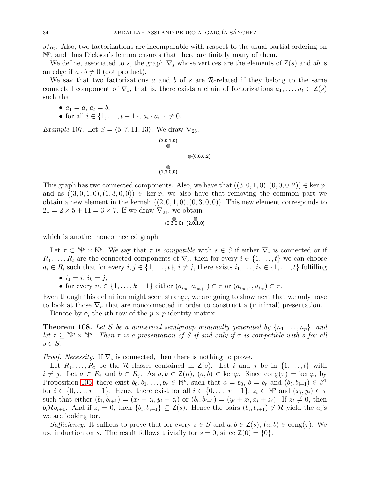$s/n_i$ . Also, two factorizations are incomparable with respect to the usual partial ordering on  $\mathbb{N}^p$ , and thus Dickson's lemma ensures that there are finitely many of them.

We define, associated to s, the graph  $\nabla_s$  whose vertices are the elements of  $\mathsf{Z}(s)$  and ab is an edge if  $a \cdot b \neq 0$  (dot product).

We say that two factorizations a and b of s are  $\mathcal{R}$ -related if they belong to the same connected component of  $\nabla_s$ , that is, there exists a chain of factorizations  $a_1, \ldots, a_t \in \mathsf{Z}(s)$ such that

- $a_1 = a, a_t = b,$
- for all  $i \in \{1, ..., t-1\}, a_i \cdot a_{i-1} \neq 0$ .

<span id="page-33-0"></span>Example 107. Let  $S = \langle 5, 7, 11, 13 \rangle$ . We draw  $\nabla_{26}$ .



This graph has two connected components. Also, we have that  $((3, 0, 1, 0), (0, 0, 0, 2)) \in \text{ker } \varphi$ , and as  $((3, 0, 1, 0), (1, 3, 0, 0)) \in \text{ker } \varphi$ , we also have that removing the common part we obtain a new element in the kernel:  $((2,0,1,0),(0,3,0,0))$ . This new element corresponds to  $21 = 2 \times 5 + 11 = 3 \times 7$ . If we draw  $\nabla_{21}$ , we obtain

$$
(0,3,0,0) (2,0,1,0)
$$

which is another nonconnected graph.

Let  $\tau \subset \mathbb{N}^p \times \mathbb{N}^p$ . We say that  $\tau$  is *compatible* with  $s \in S$  if either  $\nabla_s$  is connected or if  $R_1, \ldots, R_t$  are the connected components of  $\nabla_s$ , then for every  $i \in \{1, \ldots, t\}$  we can choose  $a_i \in R_i$  such that for every  $i, j \in \{1, \ldots, t\}, i \neq j$ , there exists  $i_1, \ldots, i_k \in \{1, \ldots, t\}$  fulfilling

- $i_1 = i, i_k = j,$
- for every  $m \in \{1, \ldots, k-1\}$  either  $(a_{i_m}, a_{i_{m+1}}) \in \tau$  or  $(a_{i_{m+1}}, a_{i_m}) \in \tau$ .

Even though this definition might seem strange, we are going to show next that we only have to look at those  $\nabla_n$  that are nonconnected in order to construct a (minimal) presentation.

Denote by  $e_i$  the *i*th row of the  $p \times p$  identity matrix.

<span id="page-33-1"></span>**Theorem 108.** Let S be a numerical semigroup minimally generated by  $\{n_1, \ldots, n_p\}$ , and let  $\tau \subseteq \mathbb{N}^p \times \mathbb{N}^p$ . Then  $\tau$  is a presentation of S if and only if  $\tau$  is compatible with s for all  $s \in S$ .

*Proof.* Necessity. If  $\nabla_s$  is connected, then there is nothing to prove.

Let  $R_1, \ldots, R_t$  be the R-classes contained in  $\mathsf{Z}(s)$ . Let i and j be in  $\{1, \ldots, t\}$  with  $i \neq j$ . Let  $a \in R_i$  and  $b \in R_j$ . As  $a, b \in \mathsf{Z}(n)$ ,  $(a, b) \in \ker \varphi$ . Since  $\text{cong}(\tau) = \ker \varphi$ , by Proposition [105,](#page-32-0) there exist  $b_0, b_1, \ldots, b_r \in \mathbb{N}^p$ , such that  $a = b_0$ ,  $b = b_r$  and  $(b_i, b_{i+1}) \in \beta^1$ for  $i \in \{0, \ldots, r-1\}$ . Hence there exist for all  $i \in \{0, \ldots, r-1\}$ ,  $z_i \in \mathbb{N}^p$  and  $(x_i, y_i) \in \tau$ such that either  $(b_i, b_{i+1}) = (x_i + z_i, y_i + z_i)$  or  $(b_i, b_{i+1}) = (y_i + z_i, x_i + z_i)$ . If  $z_i \neq 0$ , then  $b_i \mathcal{R} b_{i+1}$ . And if  $z_i = 0$ , then  $\{b_i, b_{i+1}\} \subseteq \mathsf{Z}(s)$ . Hence the pairs  $(b_i, b_{i+1}) \notin \mathcal{R}$  yield the  $a_i$ 's we are looking for.

Sufficiency. It suffices to prove that for every  $s \in S$  and  $a, b \in \mathsf{Z}(s)$ ,  $(a, b) \in \text{cong}(\tau)$ . We use induction on s. The result follows trivially for  $s = 0$ , since  $\mathsf{Z}(0) = \{0\}$ .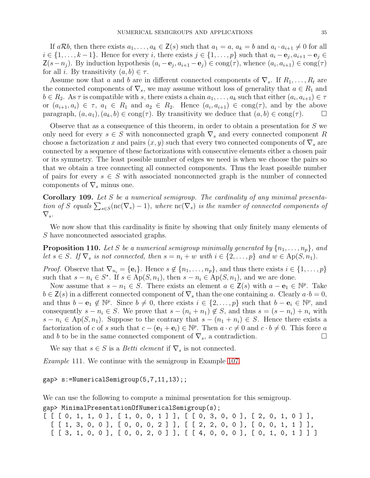If  $a\mathcal{R}b$ , then there exists  $a_1, \ldots, a_k \in \mathsf{Z}(s)$  such that  $a_1 = a, a_k = b$  and  $a_i \cdot a_{i+1} \neq 0$  for all  $i \in \{1, \ldots, k-1\}$ . Hence for every i, there exists  $j \in \{1, \ldots, p\}$  such that  $a_i - e_j, a_{i+1} - e_j \in$  $Z(s-n_j)$ . By induction hypothesis  $(a_i - e_j, a_{i+1} - e_j) \in \text{cong}(\tau)$ , whence  $(a_i, a_{i+1}) \in \text{cong}(\tau)$ for all i. By transitivity  $(a, b) \in \tau$ .

Assume now that a and b are in different connected components of  $\nabla_s$ . If  $R_1, \ldots, R_t$  are the connected components of  $\nabla_s$ , we may assume without loss of generality that  $a \in R_1$  and  $b \in R_2$ . As  $\tau$  is compatible with s, there exists a chain  $a_1, \ldots, a_k$  such that either  $(a_i, a_{i+1}) \in \tau$ or  $(a_{i+1}, a_i) \in \tau$ ,  $a_1 \in R_1$  and  $a_2 \in R_2$ . Hence  $(a_i, a_{i+1}) \in \text{cong}(\tau)$ , and by the above paragraph,  $(a, a_1)$ ,  $(a_k, b) \in \text{cong}(\tau)$ . By transitivity we deduce that  $(a, b) \in \text{cong}(\tau)$ .

Observe that as a consequence of this theorem, in order to obtain a presentation for S we only need for every  $s \in S$  with nonconnected graph  $\nabla_s$  and every connected component R choose a factorization x and pairs  $(x, y)$  such that every two connected components of  $\nabla_s$  are connected by a sequence of these factorizations with consecutive elements either a chosen pair or its symmetry. The least possible number of edges we need is when we choose the pairs so that we obtain a tree connecting all connected components. Thus the least possible number of pairs for every  $s \in S$  with associated nonconnected graph is the number of connected components of  $\nabla_s$  minus one.

**Corollary 109.** Let S be a numerical semigroup. The cardinality of any minimal presentation of S equals  $\sum_{s\in S}(\text{nc}(\nabla_s)-1)$ , where  $\text{nc}(\nabla_s)$  is the number of connected components of  $\nabla_s$ .

We now show that this cardinality is finite by showing that only finitely many elements of S have nonconnected associated graphs.

<span id="page-34-0"></span>**Proposition 110.** Let S be a numerical semigroup minimally generated by  $\{n_1, \ldots, n_p\}$ , and let  $s \in S$ . If  $\nabla_s$  is not connected, then  $s = n_i + w$  with  $i \in \{2, ..., p\}$  and  $w \in \mathrm{Ap}(S, n_1)$ .

*Proof.* Observe that  $\nabla_{n_i} = {\bf{e}}_i$ . Hence  $s \notin \{n_1, \ldots, n_p\}$ , and thus there exists  $i \in \{1, \ldots, p\}$ such that  $s - n_i \in S^*$ . If  $s \in Ap(S, n_1)$ , then  $s - n_i \in Ap(S, n_1)$ , and we are done.

Now assume that  $s - n_1 \in S$ . There exists an element  $a \in \mathsf{Z}(s)$  with  $a - e_1 \in \mathbb{N}^p$ . Take  $b \in \mathsf{Z}(s)$  in a different connected component of  $\nabla_s$  than the one containing a. Clearly  $a \cdot b = 0$ , and thus  $b - e_1 \notin \mathbb{N}^p$ . Since  $b \neq 0$ , there exists  $i \in \{2, \ldots, p\}$  such that  $b - e_i \in \mathbb{N}^p$ , and consequently  $s - n_i \in S$ . We prove that  $s - (n_i + n_1) \notin S$ , and thus  $s = (s - n_i) + n_i$  with  $s - n_i \in \mathrm{Ap}(S, n_1)$ . Suppose to the contrary that  $s - (n_1 + n_i) \in S$ . Hence there exists a factorization of c of s such that  $c - (\mathbf{e}_1 + \mathbf{e}_i) \in \mathbb{N}^p$ . Then  $a \cdot c \neq 0$  and  $c \cdot b \neq 0$ . This force a and b to be in the same connected component of  $\nabla_s$ , a contradiction.

We say that  $s \in S$  is a *Betti element* if  $\nabla_s$  is not connected.

Example 111. We continue with the semigroup in Example [107.](#page-33-0)

gap> s:=NumericalSemigroup(5,7,11,13);;

We can use the following to compute a minimal presentation for this semigroup. gap> MinimalPresentationOfNumericalSemigroup(s);

 $[ [ [ [ 0, 1, 1, 0 ], [ 1, 0, 0, 1 ] ], [ [ 0, 3, 0, 0 ], [ 2, 0, 1, 0 ] ],$ [ [ 1, 3, 0, 0 ], [ 0, 0, 0, 2 ] ], [ [ 2, 2, 0, 0 ], [ 0, 0, 1, 1 ] ],  $[ [ 3, 1, 0, 0 ], [ 0, 0, 2, 0 ] ]$ ,  $[ [ 4, 0, 0, 0 ], [ 0, 1, 0, 1 ] ]$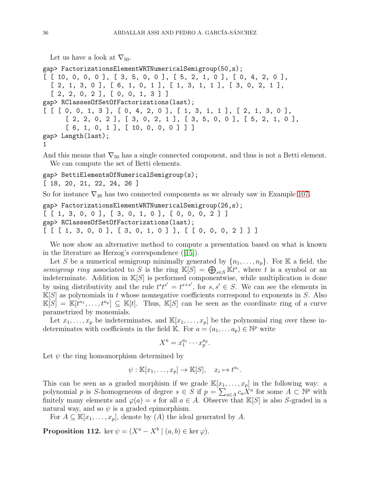Let us have a look at  $\nabla_{50}$ .

```
gap> FactorizationsElementWRTNumericalSemigroup(50,s);
[ [ 10, 0, 0, 0, 0], [ 3, 5, 0, 0], [ 5, 2, 1, 0], [ 0, 4, 2, 0],[ 2, 1, 3, 0 ], [ 6, 1, 0, 1 ], [ 1, 3, 1, 1 ], [ 3, 0, 2, 1 ],
  [2, 2, 0, 2], [0, 0, 1, 3]gap> RClassesOfSetOfFactorizations(last);
[ [ [ 0, 0, 1, 3], [ 0, 4, 2, 0], [ 1, 3, 1, 1], [ 2, 1, 3, 0],[ 2, 2, 0, 2 ], [ 3, 0, 2, 1 ], [ 3, 5, 0, 0 ], [ 5, 2, 1, 0 ],
      [6, 1, 0, 1], [10, 0, 0, 0] ]gap> Length(last);
1
```
And this means that  $\nabla_{50}$  has a single connected component, and thus is not a Betti element. We can compute the set of Betti elements.

```
gap> BettiElementsOfNumericalSemigroup(s);
```
[ 18, 20, 21, 22, 24, 26 ]

So for instance  $\nabla_{26}$  has two connected components as we already saw in Example [107.](#page-33-0)

```
gap> FactorizationsElementWRTNumericalSemigroup(26,s);
[ [ 1, 3, 0, 0 ], [ 3, 0, 1, 0 ], [ 0, 0, 0, 2 ] ]
gap> RClassesOfSetOfFactorizations(last);
[ [ [ 1, 3, 0, 0 ], [ 3, 0, 1, 0 ] ], [ [ 0, 0, 0, 2 ] ] ]
```
We now show an alternative method to compute a presentation based on what is known in the literature as Herzog's correspondence([\[15\]](#page-45-9)).

Let S be a numerical semigroup minimally generated by  $\{n_1, \ldots, n_p\}$ . For K a field, the semigroup ring associated to S is the ring  $\mathbb{K}[S] = \bigoplus_{s \in S} \mathbb{K}t^s$ , where t is a symbol or an indeterminate. Addition in  $\mathbb{K}[S]$  is performed componentwise, while multiplication is done by using distributivity and the rule  $t^st^{s'} = t^{s+s'}$ , for  $s, s' \in S$ . We can see the elements in  $K[S]$  as polynomials in t whose nonnegative coefficients correspond to exponents in S. Also  $\mathbb{K}[S] = \mathbb{K}[t^{n_1}, \ldots, t^{n_p}] \subseteq \mathbb{K}[t]$ . Thus,  $\mathbb{K}[S]$  can be seen as the coordinate ring of a curve parametrized by monomials.

Let  $x_1, \ldots, x_p$  be indeterminates, and  $\mathbb{K}[x_1, \ldots, x_p]$  be the polynomial ring over these indeterminates with coefficients in the field K. For  $a = (a_1, \ldots a_p) \in \mathbb{N}^p$  write

$$
X^a = x_1^{a_1} \cdots x_p^{a_p}.
$$

Let  $\psi$  the ring homomorphism determined by

$$
\psi : \mathbb{K}[x_1,\ldots,x_p] \to \mathbb{K}[S], \quad x_i \mapsto t^{n_i}.
$$

This can be seen as a graded morphism if we grade  $\mathbb{K}[x_1, \ldots, x_p]$  in the following way: a polynomial p is S-homogeneous of degree  $s \in S$  if  $p = \sum_{a \in A} c_a X^a$  for some  $A \subset \mathbb{N}^p$  with finitely many elements and  $\varphi(a) = s$  for all  $a \in A$ . Observe that K[S] is also S-graded in a natural way, and so  $\psi$  is a graded epimorphism.

For  $A \subseteq \mathbb{K}[x_1,\ldots,x_p]$ , denote by  $(A)$  the ideal generated by A.

**Proposition 112.** ker  $\psi = (X^a - X^b \mid (a, b) \in \text{ker } \varphi)$ .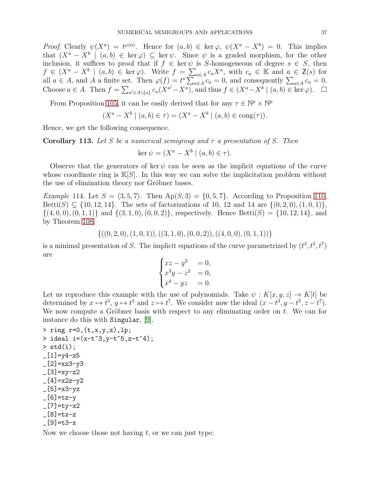Proof. Clearly  $\psi(X^a) = t^{\varphi(a)}$ . Hence for  $(a, b) \in \ker \varphi$ ,  $\psi(X^a - X^b) = 0$ . This implies that  $(X^a - X^b \mid (a, b) \in \text{ker } \varphi) \subseteq \text{ker } \psi$ . Since  $\psi$  is a graded morphism, for the other inclusion, it suffices to proof that if  $f \in \text{ker } \psi$  is S-homogeneous of degree  $s \in S$ , then  $f \in (X^a - X^b \mid (a, b) \in \text{ker }\varphi)$ . Write  $f = \sum_{a \in A} c_a X^a$ , with  $c_a \in \mathbb{K}$  and  $a \in \mathsf{Z}(s)$  for all  $a \in A$ , and A a finite set. Then  $\varphi(f) = t^s \sum_{a \in A} c_a = 0$ , and consequently  $\sum_{a \in A} c_a = 0$ . Choose  $a \in A$ . Then  $f = \sum_{a' \in A \setminus \{a\}} c_a(X^{a'} - X^a)$ , and thus  $f \in (X^a - X^b \mid (a, b) \in \text{ker }\varphi)$ .  $\Box$ 

From Proposition [105,](#page-32-0) it can be easily derived that for any  $\tau \in \mathbb{N}^p \times \mathbb{N}^p$ 

$$
(X^{a} - X^{b} | (a, b) \in \tau) = (X^{a} - X^{b} | (a, b) \in \text{cong}(\tau)).
$$

Hence, we get the following consequence.

Corollary 113. Let S be a numerical semigroup and  $\tau$  a presentation of S. Then

$$
\ker \psi = (X^a - X^b \mid (a, b) \in \tau).
$$

Observe that the generators of ker  $\psi$  can be seen as the implicit equations of the curve whose coordinate ring is  $\mathbb{K}[S]$ . In this way we can solve the implicitation problem without the use of elimination theory nor Gröbner bases.

*Example* 114. Let  $S = \langle 3, 5, 7 \rangle$ . Then  $Ap(S, 3) = \{0, 5, 7\}$ . According to Proposition [110,](#page-34-0) Betti(S)  $\subseteq$  {10, 12, 14}. The sets of factorizations of 10, 12 and 14 are { $(0, 2, 0), (1, 0, 1)$ },  $\{(4, 0, 0), (0, 1, 1)\}\$ and  $\{(3, 1, 0), (0, 0, 2)\}\$ , respectively. Hence Betti $(S) = \{10, 12, 14\}\$ , and by Theorem [108,](#page-33-1)

$$
\{((0,2,0),(1,0,1)),((3,1,0),(0,0,2)),((4,0,0),(0,1,1))\}
$$

is a minimal presentation of S. The implicit equations of the curve parametrized by  $(t^3, t^5, t^7)$ are

$$
\begin{cases}\nxz - y^2 &= 0, \\
x^3y - z^2 &= 0, \\
x^4 - yz &= 0.\n\end{cases}
$$

Let us reproduce this example with the use of polynomials. Take  $\psi: K[x, y, z] \to K[t]$  be determined by  $x \mapsto t^3$ ,  $y \mapsto t^5$  and  $z \mapsto t^7$ . We consider now the ideal  $(x - t^3, y - t^5, z - t^7)$ . We now compute a Gröbner basis with respect to any eliminating order on  $t$ . We can for instance do this with Singular, [\[9\]](#page-45-10).

 $>$  ring r=0,  $(t, x, y, z)$ , lp; > ideal  $i=(x-t^3,y-t^5,z-t^4);$  $>$  std $(i)$ ;  $-[1]$ =y4-z5  $-[2]$ =xz3-y3  $[3] = xy - z2$  $-[4]$ =x2z-y2  $-[5]=x3-yz$  $-[6]$ =tz-y  $-[7]=$ ty-x2  $[8]$ =tx-z  $[9] = t3-x$ 

Now we choose those not having  $t$ , or we can just type: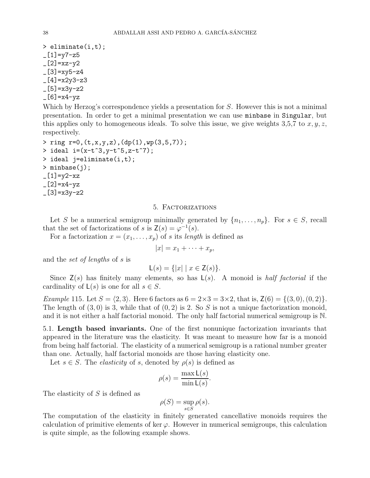> eliminate(i,t);  $-[1]$ =y7-z5  $-[2]$ =xz-y2  $[3] = xy5-z4$  $[4] = x2y3-z3$  $-[5]=x3y-z2$  $-[6]$ =x4-yz

Which by Herzog's correspondence yields a presentation for S. However this is not a minimal presentation. In order to get a minimal presentation we can use minbase in Singular, but this applies only to homogeneous ideals. To solve this issue, we give weights 3,5,7 to  $x, y, z$ , respectively.

> ring r=0,(t,x,y,z),(dp(1),wp(3,5,7)); > ideal  $i=(x-t^3,y-t^5,z-t^7);$ > ideal j=eliminate(i,t); > minbase(j);  $-[1]$ =y2-xz  $[2] = x4 - yz$  $[3] = x3y-z2$ 

### 5. Factorizations

<span id="page-37-0"></span>Let S be a numerical semigroup minimally generated by  $\{n_1, \ldots, n_p\}$ . For  $s \in S$ , recall that the set of factorizations of s is  $\mathsf{Z}(s) = \varphi^{-1}(s)$ .

For a factorization  $x = (x_1, \ldots, x_p)$  of s its length is defined as

$$
|x|=x_1+\cdots+x_p,
$$

and the set of lengths of s is

$$
\mathsf{L}(s) = \{ |x| \mid x \in \mathsf{Z}(s) \}.
$$

Since  $\mathsf{Z}(s)$  has finitely many elements, so has  $\mathsf{L}(s)$ . A monoid is *half factorial* if the cardinality of  $\mathsf{L}(s)$  is one for all  $s \in S$ .

*Example* 115. Let  $S = \langle 2, 3 \rangle$ . Here 6 factors as  $6 = 2 \times 3 = 3 \times 2$ , that is,  $Z(6) = \{(3, 0), (0, 2)\}.$ The length of  $(3,0)$  is 3, while that of  $(0,2)$  is 2. So S is not a unique factorization monoid, and it is not either a half factorial monoid. The only half factorial numerical semigroup is N.

<span id="page-37-1"></span>5.1. Length based invariants. One of the first nonunique factorization invariants that appeared in the literature was the elasticity. It was meant to measure how far is a monoid from being half factorial. The elasticity of a numerical semigroup is a rational number greater than one. Actually, half factorial monoids are those having elasticity one.

Let  $s \in S$ . The *elasticity* of s, denoted by  $\rho(s)$  is defined as

$$
\rho(s) = \frac{\max \mathsf{L}(s)}{\min \mathsf{L}(s)}.
$$

The elasticity of S is defined as

$$
\rho(S) = \sup_{s \in S} \rho(s).
$$

The computation of the elasticity in finitely generated cancellative monoids requires the calculation of primitive elements of ker  $\varphi$ . However in numerical semigroups, this calculation is quite simple, as the following example shows.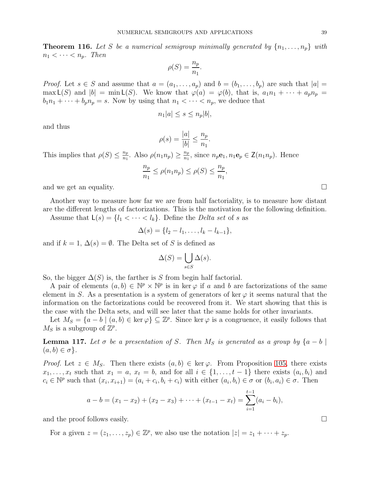**Theorem 116.** Let S be a numerical semigroup minimally generated by  $\{n_1, \ldots, n_p\}$  with  $n_1 < \cdots < n_p$ . Then

$$
\rho(S) = \frac{n_p}{n_1}.
$$

*Proof.* Let  $s \in S$  and assume that  $a = (a_1, \ldots, a_p)$  and  $b = (b_1, \ldots, b_p)$  are such that  $|a| =$ max  $\mathsf{L}(S)$  and  $|b| = \min \mathsf{L}(S)$ . We know that  $\varphi(a) = \varphi(b)$ , that is,  $a_1n_1 + \cdots + a_pn_p =$  $b_1n_1 + \cdots + b_pn_p = s$ . Now by using that  $n_1 < \cdots < n_p$ , we deduce that

$$
n_1|a| \leq s \leq n_p|b|,
$$

and thus

$$
\rho(s) = \frac{|a|}{|b|} \le \frac{n_p}{n_1}
$$

.

This implies that  $\rho(S) \leq \frac{n_p}{n_1}$  $\frac{n_p}{n_1}$ . Also  $\rho(n_1 n_p) \geq \frac{n_p}{n_1}$  $\frac{n_p}{n_1}$ , since  $n_p \mathbf{e}_1, n_1 \mathbf{e}_p \in \mathsf{Z}(n_1 n_p)$ . Hence

$$
\frac{n_p}{n_1} \le \rho(n_1 n_p) \le \rho(S) \le \frac{n_p}{n_1},
$$

and we get an equality.

Another way to measure how far we are from half factoriality, is to measure how distant are the different lengths of factorizations. This is the motivation for the following definition.

Assume that  $\mathsf{L}(s) = \{l_1 < \cdots < l_k\}$ . Define the *Delta set* of s as

$$
\Delta(s) = \{l_2 - l_1, \ldots, l_k - l_{k-1}\},\,
$$

and if  $k = 1$ ,  $\Delta(s) = \emptyset$ . The Delta set of S is defined as

$$
\Delta(S) = \bigcup_{s \in S} \Delta(s).
$$

So, the bigger  $\Delta(S)$  is, the farther is S from begin half factorial.

A pair of elements  $(a, b) \in \mathbb{N}^p \times \mathbb{N}^p$  is in ker  $\varphi$  if a and b are factorizations of the same element in S. As a presentation is a system of generators of ker  $\varphi$  it seems natural that the information on the factorizations could be recovered from it. We start showing that this is the case with the Delta sets, and will see later that the same holds for other invariants.

Let  $M_S = \{a - b \mid (a, b) \in \text{ker } \varphi\} \subseteq \mathbb{Z}^p$ . Since ker  $\varphi$  is a congruence, it easily follows that  $M_S$  is a subgroup of  $\mathbb{Z}^p$ .

<span id="page-38-0"></span>**Lemma 117.** Let  $\sigma$  be a presentation of S. Then M<sub>S</sub> is generated as a group by  $\{a - b \mid$  $(a, b) \in \sigma$ .

*Proof.* Let  $z \in M_S$ . Then there exists  $(a, b) \in \text{ker } \varphi$ . From Proposition [105,](#page-32-0) there exists  $x_1, \ldots, x_t$  such that  $x_1 = a, x_t = b$ , and for all  $i \in \{1, \ldots, t-1\}$  there exists  $(a_i, b_i)$  and  $c_i \in \mathbb{N}^p$  such that  $(x_i, x_{i+1}) = (a_i + c_i, b_i + c_i)$  with either  $(a_i, b_i) \in \sigma$  or  $(b_i, a_i) \in \sigma$ . Then

$$
a-b=(x_1-x_2)+(x_2-x_3)+\cdots+(x_{t-1}-x_t)=\sum_{i=1}^{t-1}(a_i-b_i),
$$

and the proof follows easily.  $\Box$ 

For a given  $z = (z_1, \ldots, z_p) \in \mathbb{Z}^p$ , we also use the notation  $|z| = z_1 + \cdots + z_p$ .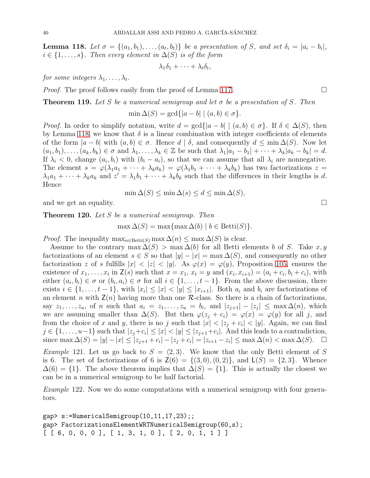<span id="page-39-0"></span>**Lemma 118.** Let  $\sigma = \{(a_1, b_1), \ldots, (a_t, b_t)\}\$  be a presentation of S, and set  $\delta_i = |a_i - b_i|$ ,  $i \in \{1, \ldots, s\}$ . Then every element in  $\Delta(S)$  is of the form

$$
\lambda_1\delta_1+\cdots+\lambda_t\delta_t,
$$

for some integers  $\lambda_1, \ldots, \lambda_t$ .

*Proof.* The proof follows easily from the proof of Lemma [117.](#page-38-0)  $\square$ 

**Theorem 119.** Let S be a numerical semigroup and let  $\sigma$  be a presentation of S. Then

$$
\min \Delta(S) = \gcd\{|a - b| \mid (a, b) \in \sigma\}.
$$

*Proof.* In order to simplify notation, write  $d = \gcd\{|a - b| \mid (a, b) \in \sigma\}$ . If  $\delta \in \Delta(S)$ , then by Lemma [118,](#page-39-0) we know that  $\delta$  is a linear combination with integer coefficients of elements of the form  $|a - b|$  with  $(a, b) \in \sigma$ . Hence  $d | \delta$ , and consequently  $d \le \min \Delta(S)$ . Now let  $(a_1, b_1), \ldots, (a_k, b_k) \in \sigma$  and  $\lambda_1, \ldots, \lambda_k \in \mathbb{Z}$  be such that  $\lambda_1|a_1 - b_1| + \cdots + \lambda_k|a_k - b_k| = d$ . If  $\lambda_i < 0$ , change  $(a_i, b_i)$  with  $(b_i - a_i)$ , so that we can assume that all  $\lambda_i$  are nonnegative. The element  $s = \varphi(\lambda_1 a_1 + \cdots + \lambda_k a_k) = \varphi(\lambda_1 b_1 + \cdots + \lambda_k b_k)$  has two factorizations  $z =$  $\lambda_1 a_1 + \cdots + \lambda_k a_k$  and  $z' = \lambda_1 b_1 + \cdots + \lambda_k b_k$  such that the differences in their lengths is d. Hence

$$
\min \Delta(S) \le \min \Delta(s) \le d \le \min \Delta(S),
$$

and we get an equality.

<span id="page-39-1"></span>Theorem 120. Let S be a numerical semigroup. Then

 $\max \Delta(S) = \max \{\max \Delta(b) \mid b \in \text{Betti}(S)\}.$ 

*Proof.* The inequality  $\max_{n \in \text{Betti}(S)} \max \Delta(n) \leq \max \Delta(S)$  is clear.

Assume to the contrary max  $\Delta(S) > \max \Delta(b)$  for all Betti elements b of S. Take x, y factorizations of an element  $s \in S$  so that  $|y| - |x| = \max \Delta(S)$ , and consequently no other factorization z of s fulfills  $|x| < |z| < |y|$ . As  $\varphi(x) = \varphi(y)$ , Proposition [105,](#page-32-0) ensures the existence of  $x_1, \ldots, x_t$  in  $\mathsf{Z}(s)$  such that  $x = x_1, x_t = y$  and  $(x_i, x_{i+1}) = (a_i + c_i, b_i + c_i)$ , with either  $(a_i, b_i) \in \sigma$  or  $(b_i, a_i) \in \sigma$  for all  $i \in \{1, \ldots, t-1\}$ . From the above discussion, there exists  $i \in \{1, \ldots, t-1\}$ , with  $|x_i| \leq |x| < |y| \leq |x_{i+1}|$ . Both  $a_i$  and  $b_i$  are factorizations of an element n with  $\mathsf{Z}(n)$  having more than one  $\mathcal{R}$ -class. So there is a chain of factorizations, say  $z_1, \ldots, z_u$ , of n such that  $a_i = z_1, \ldots, z_u = b_i$ , and  $|z_{j+1}| - |z_j| \leq \max \Delta(n)$ , which we are assuming smaller than  $\Delta(S)$ . But then  $\varphi(z_j + c_i) = \varphi(x) = \varphi(y)$  for all j, and from the choice of x and y, there is no j such that  $|x| < |z_j + c_i| < |y|$ . Again, we can find  $j \in \{1, \ldots, u-1\}$  such that  $|z_j + c_i| \leq |x| < |y| \leq |z_{j+1} + c_i|$ . And this leads to a contradiction, since  $\max \Delta(S) = |y| - |x| \le |z_{j+1} + c_i| - |z_j + c_i| = |z_{i+1} - z_i| \le \max \Delta(n) < \max \Delta(S)$ .  $\Box$ 

*Example* 121. Let us go back to  $S = \langle 2, 3 \rangle$ . We know that the only Betti element of S is 6. The set of factorizations of 6 is  $Z(6) = \{(3,0), (0, 2)\}\text{, and } L(S) = \{2, 3\}.$  Whence  $\Delta(6) = \{1\}$ . The above theorem implies that  $\Delta(S) = \{1\}$ . This is actually the closest we can be in a numerical semigroup to be half factorial.

<span id="page-39-2"></span>Example 122. Now we do some computations with a numerical semigroup with four generators.

gap> s:=NumericalSemigroup(10,11,17,23);; gap> FactorizationsElementWRTNumericalSemigroup(60,s);  $[ [ 6, 0, 0, 0 ], [ 1, 3, 1, 0 ], [ 2, 0, 1, 1 ] ]$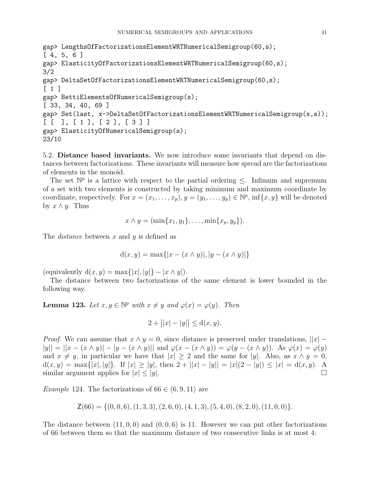```
gap> LengthsOfFactorizationsElementWRTNumericalSemigroup(60,s);
[ 4, 5, 6 ]
gap> ElasticityOfFactorizationsElementWRTNumericalSemigroup(60,s);
3/2
gap> DeltaSetOfFactorizationsElementWRTNumericalSemigroup(60,s);
[ 1 ]
gap> BettiElementsOfNumericalSemigroup(s);
[ 33, 34, 40, 69 ]
gap> Set(last, x->DeltaSetOfFactorizationsElementWRTNumericalSemigroup(x,s));
[ [ [ ] , [ 1 ], [ 2 ], [ 3 ] ]gap> ElasticityOfNumericalSemigroup(s);
23/10
```
<span id="page-40-0"></span>5.2. Distance based invariants. We now introduce some invariants that depend on distances between factorizations. These invariants will measure how spread are the factorizations of elements in the monoid.

The set  $\mathbb{N}^p$  is a lattice with respect to the partial ordering  $\leq$ . Infimum and supremum of a set with two elements is constructed by taking minimum and maximum coordinate by coordinate, respectively. For  $x = (x_1, \ldots, x_p), y = (y_1, \ldots, y_p) \in \mathbb{N}^p$ , inf $\{x, y\}$  will be denoted by  $x \wedge y$ . Thus

$$
x \wedge y = (\min\{x_1, y_1\}, \ldots, \min\{x_p, y_p\}).
$$

The *distance* between x and y is defined as

$$
d(x, y) = \max\{|x - (x \wedge y)|, |y - (x \wedge y)|\}
$$

(equivalently  $d(x, y) = \max\{|x|, |y|\} - |x \wedge y|$ ).

The distance between two factorizations of the same element is lower bounded in the following way.

<span id="page-40-2"></span>**Lemma 123.** Let  $x, y \in \mathbb{N}^p$  with  $x \neq y$  and  $\varphi(x) = \varphi(y)$ . Then

$$
2 + ||x| - |y|| \le d(x, y).
$$

*Proof.* We can assume that  $x \wedge y = 0$ , since distance is preserved under translations,  $||x||$  –  $|y|| = ||x - (x \wedge y)| - |y - (x \wedge y)||$  and  $\varphi(x - (x \wedge y)) = \varphi(y - (x \wedge y))$ . As  $\varphi(x) = \varphi(y)$ and  $x \neq y$ , in particular we have that  $|x| \geq 2$  and the same for |y|. Also, as  $x \wedge y = 0$ ,  $d(x, y) = \max\{|x|, |y|\}.$  If  $|x| \ge |y|$ , then  $2 + ||x| - |y|| = |x|(2 - |y|) \le |x| = d(x, y).$  A similar argument applies for  $|x| \le |y|$ .

<span id="page-40-1"></span>*Example* 124. The factorizations of  $66 \in (6, 9, 11)$  are

$$
\mathsf{Z}(66) = \{ (0,0,6), (1,3,3), (2,6,0), (4,1,3), (5,4,0), (8,2,0), (11,0,0) \}.
$$

The distance between  $(11, 0, 0)$  and  $(0, 0, 6)$  is 11. However we can put other factorizations of 66 between them so that the maximum distance of two consecutive links is at most 4: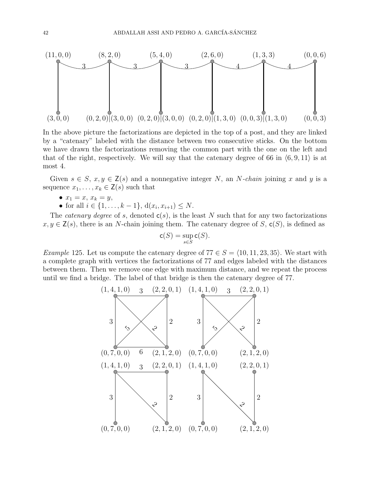

In the above picture the factorizations are depicted in the top of a post, and they are linked by a "catenary" labeled with the distance between two consecutive sticks. On the bottom we have drawn the factorizations removing the common part with the one on the left and that of the right, respectively. We will say that the catenary degree of 66 in  $(6, 9, 11)$  is at most 4.

Given  $s \in S$ ,  $x, y \in \mathsf{Z}(s)$  and a nonnegative integer N, an N-chain joining x and y is a sequence  $x_1, \ldots, x_k \in \mathsf{Z}(s)$  such that

- $x_1 = x, x_k = y,$
- for all  $i \in \{1, ..., k-1\}, d(x_i, x_{i+1}) \leq N$ .

The *catenary degree* of s, denoted  $c(s)$ , is the least N such that for any two factorizations  $x, y \in \mathsf{Z}(s)$ , there is an N-chain joining them. The catenary degree of S,  $\mathsf{c}(S)$ , is defined as

$$
\mathsf c (S) = \sup_{s \in S} \mathsf c (S).
$$

*Example* 125. Let us compute the catenary degree of  $77 \in S = \langle 10, 11, 23, 35 \rangle$ . We start with a complete graph with vertices the factorizations of 77 and edges labeled with the distances between them. Then we remove one edge with maximum distance, and we repeat the process until we find a bridge. The label of that bridge is then the catenary degree of 77.

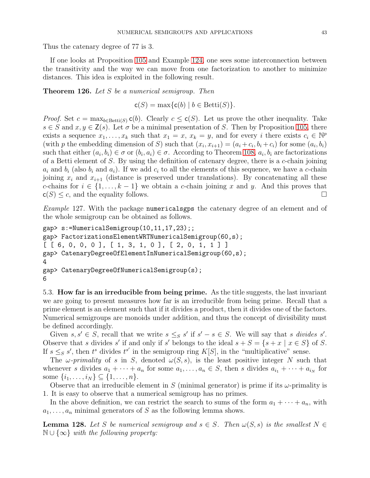Thus the catenary degree of 77 is 3.

If one looks at Proposition [105](#page-32-0) and Example [124,](#page-40-1) one sees some interconnection between the transitivity and the way we can move from one factorization to another to minimize distances. This idea is exploited in the following result.

**Theorem 126.** Let  $S$  be a numerical semigroup. Then

 $c(S) = \max\{c(b) | b \in \text{Betti}(S)\}.$ 

*Proof.* Set  $c = \max_{b \in \text{Betti}(S)} c(b)$ . Clearly  $c \leq c(S)$ . Let us prove the other inequality. Take  $s \in S$  and  $x, y \in \mathsf{Z}(s)$ . Let  $\sigma$  be a minimal presentation of S. Then by Proposition [105,](#page-32-0) there exists a sequence  $x_1, \ldots, x_k$  such that  $x_1 = x, x_k = y$ , and for every i there exists  $c_i \in \mathbb{N}^p$ (with p the embedding dimension of S) such that  $(x_i, x_{i+1}) = (a_i + c_i, b_i + c_i)$  for some  $(a_i, b_i)$ such that either  $(a_i, b_i) \in \sigma$  or  $(b_i, a_i) \in \sigma$ . According to Theorem [108,](#page-33-1)  $a_i, b_i$  are factorizations of a Betti element of S. By using the definition of catenary degree, there is a c-chain joining  $a_i$  and  $b_i$  (also  $b_i$  and  $a_i$ ). If we add  $c_i$  to all the elements of this sequence, we have a c-chain joining  $x_i$  and  $x_{i+1}$  (distance is preserved under translations). By concatenating all these c-chains for  $i \in \{1, \ldots, k-1\}$  we obtain a c-chain joining x and y. And this proves that  $c(S) \leq c$ , and the equality follows.

<span id="page-42-2"></span>Example 127. With the package numericalsgps the catenary degree of an element and of the whole semigroup can be obtained as follows.

```
gap> s:=NumericalSemigroup(10,11,17,23);;
gap> FactorizationsElementWRTNumericalSemigroup(60,s);
[ [ 6, 0, 0, 0], [ 1, 3, 1, 0], [ 2, 0, 1, 1 ] ]gap> CatenaryDegreeOfElementInNumericalSemigroup(60,s);
4
gap> CatenaryDegreeOfNumericalSemigroup(s);
6
```
<span id="page-42-0"></span>5.3. How far is an irreducible from being prime. As the title suggests, the last invariant we are going to present measures how far is an irreducible from being prime. Recall that a prime element is an element such that if it divides a product, then it divides one of the factors. Numerical semigroups are monoids under addition, and thus the concept of divisibility must be defined accordingly.

Given  $s, s' \in S$ , recall that we write  $s \leq_S s'$  if  $s' - s \in S$ . We will say that s divides s'. Observe that s divides s' if and only if s' belongs to the ideal  $s + S = \{s + x \mid x \in S\}$  of S. If  $s \leq_{S} s'$ , then  $t^{s}$  divides  $t^{s'}$  in the semigroup ring  $K[S]$ , in the "multiplicative" sense.

The  $\omega$ -primality of s in S, denoted  $\omega(S, s)$ , is the least positive integer N such that whenever s divides  $a_1 + \cdots + a_n$  for some  $a_1, \ldots, a_n \in S$ , then s divides  $a_{i_1} + \cdots + a_{i_N}$  for some  $\{i_1, \ldots, i_N\} \subseteq \{1, \ldots, n\}.$ 

Observe that an irreducible element in S (minimal generator) is prime if its  $\omega$ -primality is 1. It is easy to observe that a numerical semigroup has no primes.

In the above definition, we can restrict the search to sums of the form  $a_1 + \cdots + a_n$ , with  $a_1, \ldots, a_n$  minimal generators of S as the following lemma shows.

<span id="page-42-1"></span>**Lemma 128.** Let S be numerical semigroup and  $s \in S$ . Then  $\omega(S, s)$  is the smallest  $N \in$  $\mathbb{N} \cup \{\infty\}$  with the following property: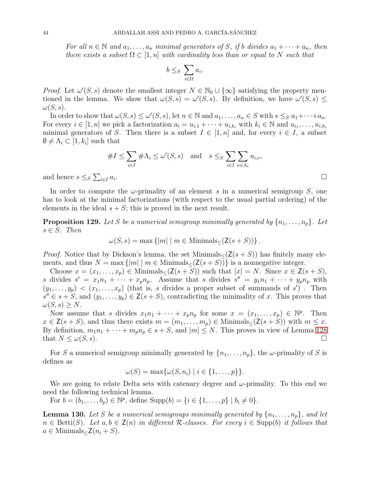For all  $n \in \mathbb{N}$  and  $a_1, \ldots, a_n$  minimal generators of S, if b divides  $a_1 + \cdots + a_n$ , then there exists a subset  $\Omega \subset [1,n]$  with cardinality less than or equal to N such that

$$
b\leq_S\sum_{i\in \Omega}a_i.
$$

*Proof.* Let  $\omega'(S, s)$  denote the smallest integer  $N \in \mathbb{N}_0 \cup \{\infty\}$  satisfying the property mentioned in the lemma. We show that  $\omega(S, s) = \omega'(S, s)$ . By definition, we have  $\omega'(S, s) \leq$  $\omega(S,s)$ .

In order to show that  $\omega(S, s) \leq \omega'(S, s)$ , let  $n \in \mathbb{N}$  and  $a_1, \ldots, a_n \in S$  with  $s \leq_S a_1 + \cdots + a_n$ . For every  $i \in [1, n]$  we pick a factorization  $a_i = u_{i,1} + \cdots + u_{i,k_i}$  with  $k_i \in \mathbb{N}$  and  $u_{i_1}, \ldots, u_{i,k_i}$ minimal generators of S. Then there is a subset  $I \in [1, n]$  and, for every  $i \in I$ , a subset  $\emptyset \neq \Lambda_i \subset [1, k_i]$  such that

$$
#I \leq \sum_{i \in I} #\Lambda_i \leq \omega'(S, s) \quad \text{and} \quad s \leq S \sum_{i \in I} \sum_{\nu \in \Lambda_i} u_{i, \nu},
$$

and hence  $s \leq_S \sum_{i \in I} a_i$ 

In order to compute the  $\omega$ -primality of an element s in a numerical semigroup S, one has to look at the minimal factorizations (with respect to the usual partial ordering) of the elements in the ideal  $s + S$ ; this is proved in the next result.

**Proposition 129.** Let S be a numerical semigroup minimally generated by  $\{n_1, \ldots, n_p\}$ . Let  $s \in S$ . Then

$$
\omega(S, s) = \max \{|m| \mid m \in \text{Minimals}_{\leq} (Z(s + S))\}.
$$

*Proof.* Notice that by Dickson's lemma, the set Minimals<sub> $\lt (Z(s + S))$  has finitely many ele-</sub> ments, and thus  $N = \max\{|m| \mid m \in \text{Minimals}_{\le}(Z(s+S))\}$  is a nonnegative integer.

Choose  $x = (x_1, \ldots, x_p) \in \text{Minimals}_{\leq}(Z(s+S))$  such that  $|x| = N$ . Since  $x \in Z(s+S)$ , s divides  $s' = x_1 n_1 + \cdots + x_p n_p$ . Assume that s divides  $s'' = y_1 n_1 + \cdots + y_p n_p$  with  $(y_1, \ldots, y_p) < (x_1, \ldots, x_p)$  (that is, s divides a proper subset of summands of s'). Then  $s'' \in s + S$ , and  $(y_1, \ldots, y_p) \in \mathsf{Z}(s + S)$ , contradicting the minimality of x. This proves that  $\omega(S, s) \geq N$ .

Now assume that s divides  $x_1n_1 + \cdots + x_pn_p$  for some  $x = (x_1, \ldots, x_p) \in \mathbb{N}^p$ . Then  $x \in \mathsf{Z}(s+S)$ , and thus there exists  $m = (m_1, \ldots, m_p) \in \text{Minimals}_{\leq}(\mathsf{Z}(s+S))$  with  $m \leq x$ . By definition,  $m_1n_1 + \cdots + m_pn_p \in s + S$ , and  $|m| \leq N$ . This proves in view of Lemma [128](#page-42-1) that  $N \leq \omega(S, s)$ .

For S a numerical semigroup minimally generated by  $\{n_1, \ldots, n_p\}$ , the  $\omega$ -primality of S is defines as

$$
\omega(S) = \max{\omega(S, n_i) \mid i \in \{1, \ldots, p\} }.
$$

We are going to relate Delta sets with catenary degree and  $\omega$ -primality. To this end we need the following technical lemma.

For  $b = (b_1, ..., b_p) \in \mathbb{N}^p$ , define  $\text{Supp}(b) = \{i \in \{1, ..., p\} \mid b_i \neq 0\}.$ 

<span id="page-43-0"></span>**Lemma 130.** Let S be a numerical semigroups minimally generated by  $\{n_1, \ldots, n_p\}$ , and let  $n \in \text{Betti}(S)$ . Let  $a, b \in \mathsf{Z}(n)$  in different R-classes. For every  $i \in \text{Supp}(b)$  it follows that  $a \in$  Minimals<sub> $\leq$ </sub> $\mathsf{Z}(n_i + S)$ .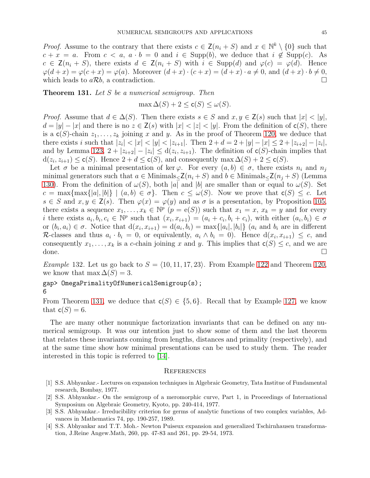*Proof.* Assume to the contrary that there exists  $c \in \mathsf{Z}(n_i + S)$  and  $x \in \mathbb{N}^k \setminus \{0\}$  such that  $c + x = a$ . From  $c < a$ ,  $a \cdot b = 0$  and  $i \in \text{Supp}(b)$ , we deduce that  $i \notin \text{Supp}(c)$ . As  $c \in \mathsf{Z}(n_i + S)$ , there exists  $d \in \mathsf{Z}(n_i + S)$  with  $i \in \text{Supp}(d)$  and  $\varphi(c) = \varphi(d)$ . Hence  $\varphi(d+x) = \varphi(c+x) = \varphi(a)$ . Moreover  $(d+x) \cdot (c+x) = (d+x) \cdot a \neq 0$ , and  $(d+x) \cdot b \neq 0$ , which leads to  $a\mathcal{R}b$ , a contradiction.

<span id="page-44-1"></span>Theorem 131. Let S be a numerical semigroup. Then

 $\max \Delta(S) + 2 \leq \mathsf{c}(S) \leq \omega(S).$ 

*Proof.* Assume that  $d \in \Delta(S)$ . Then there exists  $s \in S$  and  $x, y \in \mathsf{Z}(s)$  such that  $|x| < |y|$ ,  $d = |y| - |x|$  and there is no  $z \in \mathsf{Z}(s)$  with  $|x| < |z| < |y|$ . From the definition of  $c(S)$ , there is a  $c(S)$ -chain  $z_1, \ldots, z_k$  joining x and y. As in the proof of Theorem [120,](#page-39-1) we deduce that there exists i such that  $|z_i| < |x| < |y| < |z_{i+1}|$ . Then  $2 + d = 2 + |y| - |x| \leq 2 + |z_{i+2}| - |z_i|$ , and by Lemma [123,](#page-40-2)  $2 + |z_{i+2}| - |z_i| \le d(z_i, z_{i+1})$ . The definition of  $c(S)$ -chain implies that  $d(z_i, z_{i+1}) \leq \mathsf{c}(S)$ . Hence  $2 + d \leq \mathsf{c}(S)$ , and consequently max  $\Delta(S) + 2 \leq \mathsf{c}(S)$ .

Let  $\sigma$  be a minimal presentation of ker  $\varphi$ . For every  $(a, b) \in \sigma$ , there exists  $n_i$  and  $n_j$ minimal generators such that  $a \in \text{Minimals}_{\leq} Z(n_i + S)$  and  $b \in \text{Minimals}_{\leq} Z(n_i + S)$  (Lemma [130\)](#page-43-0). From the definition of  $\omega(S)$ , both |a| and |b| are smaller than or equal to  $\omega(S)$ . Set  $c = \max\{\max\{|a|, |b|\} \mid (a, b) \in \sigma\}.$  Then  $c \leq \omega(S)$ . Now we prove that  $c(S) \leq c$ . Let  $s \in S$  and  $x, y \in \mathsf{Z}(s)$ . Then  $\varphi(x) = \varphi(y)$  and as  $\sigma$  is a presentation, by Proposition [105,](#page-32-0) there exists a sequence  $x_1, \ldots, x_k \in \mathbb{N}^p$   $(p = e(S))$  such that  $x_1 = x, x_k = y$  and for every i there exists  $a_i, b_i, c_i \in \mathbb{N}^p$  such that  $(x_i, x_{i+1}) = (a_i + c_i, b_i + c_i)$ , with either  $(a_i, b_i) \in \sigma$ or  $(b_i, a_i) \in \sigma$ . Notice that  $d(x_i, x_{i+1}) = d(a_i, b_i) = \max\{|a_i|, |b_i|\}$   $(a_i \text{ and } b_i \text{ are in different})$ R-classes and thus  $a_i \cdot b_i = 0$ , or equivalently,  $a_i \wedge b_i = 0$ . Hence  $d(x_i, x_{i+1}) \leq c$ , and consequently  $x_1, \ldots, x_k$  is a c-chain joining x and y. This implies that  $c(S) \leq c$ , and we are done.

*Example* 132. Let us go back to  $S = \langle 10, 11, 17, 23 \rangle$ . From Example [122](#page-39-2) and Theorem [120,](#page-39-1) we know that max  $\Delta(S) = 3$ .

gap> OmegaPrimalityOfNumericalSemigroup(s); 6

From Theorem [131,](#page-44-1) we deduce that  $c(S) \in \{5,6\}$ . Recall that by Example [127,](#page-42-2) we know that  $c(S) = 6$ .

The are many other nonunique factorization invariants that can be defined on any numerical semigroup. It was our intention just to show some of them and the last theorem that relates these invariants coming from lengths, distances and primality (respectively), and at the same time show how minimal presentations can be used to study them. The reader interested in this topic is referred to [\[14\]](#page-45-11).

#### <span id="page-44-0"></span>**REFERENCES**

- [1] S.S. Abhyankar.- Lectures on expansion techniques in Algebraic Geometry, Tata Institue of Fundamental research, Bombay, 1977.
- [2] S.S. Abhyankar.- On the semigroup of a meromorphic curve, Part 1, in Proceedings of International Symposium on Algebraic Geometry, Kyoto, pp. 240-414, 1977.
- [3] S.S. Abhyankar.- Irreducibility criterion for germs of analytic functions of two complex variables, Advances in Mathematics 74, pp. 190-257, 1989.
- [4] S.S. Abhyankar and T.T. Moh.- Newton Puiseux expansion and generalized Tschirnhausen transformation, J.Reine Angew.Math, 260, pp. 47-83 and 261, pp. 29-54, 1973.